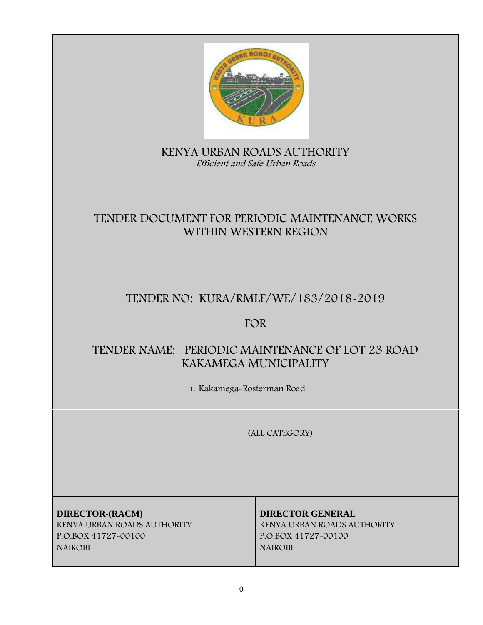

# **KENYA URBAN ROADS AUTHORITY** *Efficient and Safe Urban Roads*

# **TENDER DOCUMENT FOR PERIODIC MAINTENANCE WORKS WITHIN WESTERN REGION**

# **TENDER NO: KURA/RMLF/WE/183/2018-2019**

# **FOR**

# **TENDER NAME: PERIODIC MAINTENANCE OF LOT 23 ROAD KAKAMEGA MUNICIPALITY**

**1. Kakamega-Rosterman Road**

**(ALL CATEGORY)**

**DIRECTOR-(RACM) DIRECTOR GENERAL KENYA URBAN ROADS AUTHORITY KENYA URBAN ROADS AUTHORITY P.O.BOX 41727-00100 P.O.BOX 41727-00100 NAIROBI NAIROBI**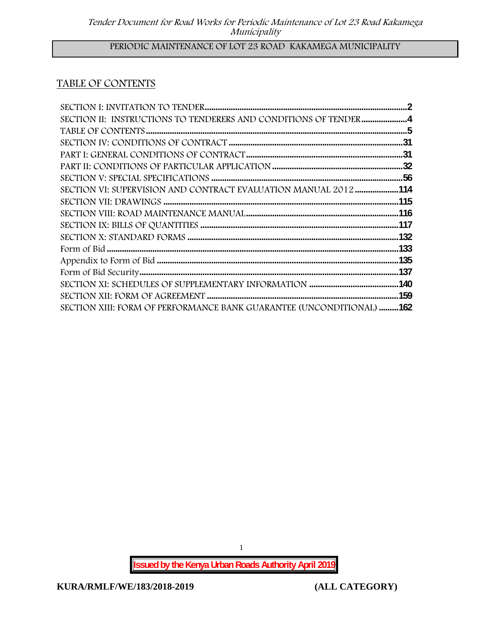# **PERIODIC MAINTENANCE OF LOT 23 ROAD KAKAMEGA MUNICIPALITY**

# **TABLE OF CONTENTS**

| SECTION II: INSTRUCTIONS TO TENDERERS AND CONDITIONS OF TENDER4      |  |
|----------------------------------------------------------------------|--|
|                                                                      |  |
|                                                                      |  |
|                                                                      |  |
|                                                                      |  |
|                                                                      |  |
| SECTION VI: SUPERVISION AND CONTRACT EVALUATION MANUAL 2012114       |  |
|                                                                      |  |
|                                                                      |  |
|                                                                      |  |
|                                                                      |  |
|                                                                      |  |
|                                                                      |  |
|                                                                      |  |
|                                                                      |  |
|                                                                      |  |
| SECTION XIII: FORM OF PERFORMANCE BANK GUARANTEE (UNCONDITIONAL) 162 |  |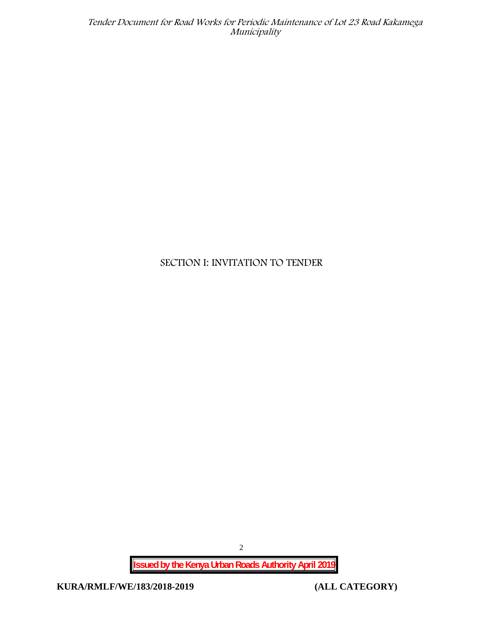# **SECTION I: INVITATION TO TENDER**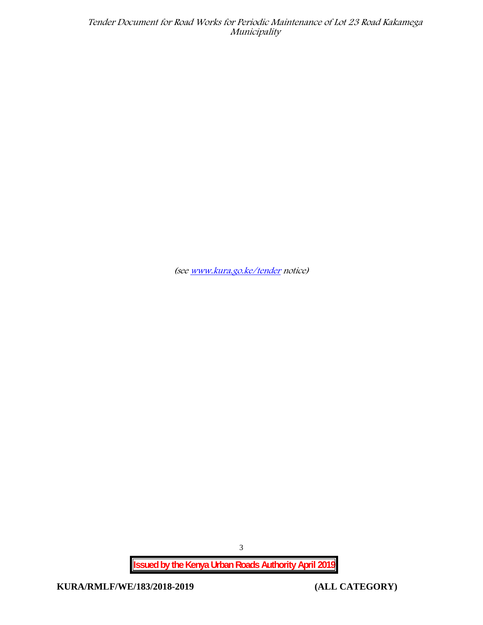*(see www.kura.go.ke/tender notice)*

**Issued by the Kenya Urban Roads Authority April 2019**

**KURA/RMLF/WE/183/2018-2019 (ALL CATEGORY)**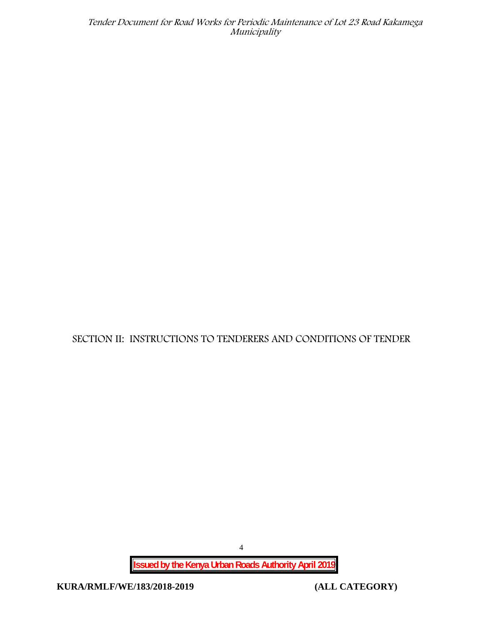**SECTION II: INSTRUCTIONS TO TENDERERS AND CONDITIONS OF TENDER**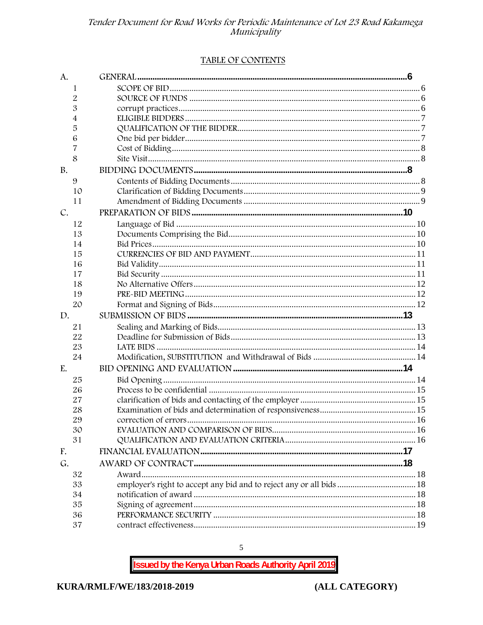#### TABLE OF CONTENTS

| A.        |                                                                      |  |
|-----------|----------------------------------------------------------------------|--|
| 1         |                                                                      |  |
| 2         |                                                                      |  |
| 3         |                                                                      |  |
| 4         |                                                                      |  |
| 5         |                                                                      |  |
| 6         |                                                                      |  |
| 7         |                                                                      |  |
| 8         |                                                                      |  |
| <b>B.</b> |                                                                      |  |
| 9         |                                                                      |  |
| 10        |                                                                      |  |
| 11        |                                                                      |  |
| C.        |                                                                      |  |
| 12        |                                                                      |  |
| 13        |                                                                      |  |
| 14        |                                                                      |  |
| 15        |                                                                      |  |
| 16        |                                                                      |  |
| 17        |                                                                      |  |
| 18        |                                                                      |  |
| 19        |                                                                      |  |
| 20        |                                                                      |  |
| D.        |                                                                      |  |
| 21        |                                                                      |  |
| 22        |                                                                      |  |
| 23        |                                                                      |  |
| 24        |                                                                      |  |
| E.        |                                                                      |  |
| 25        |                                                                      |  |
| 26        |                                                                      |  |
| 27        |                                                                      |  |
| 28        |                                                                      |  |
| 29        |                                                                      |  |
| 30        |                                                                      |  |
| 31        |                                                                      |  |
| F.        |                                                                      |  |
| G.        |                                                                      |  |
| 32        |                                                                      |  |
| 33        | employer's right to accept any bid and to reject any or all bids  18 |  |
| 34        |                                                                      |  |
| 35        |                                                                      |  |
| 36        |                                                                      |  |
| 37        |                                                                      |  |

**Issued by the Kenya Urban Roads Authority April 2019** 

 $\overline{5}$ 

(ALL CATEGORY)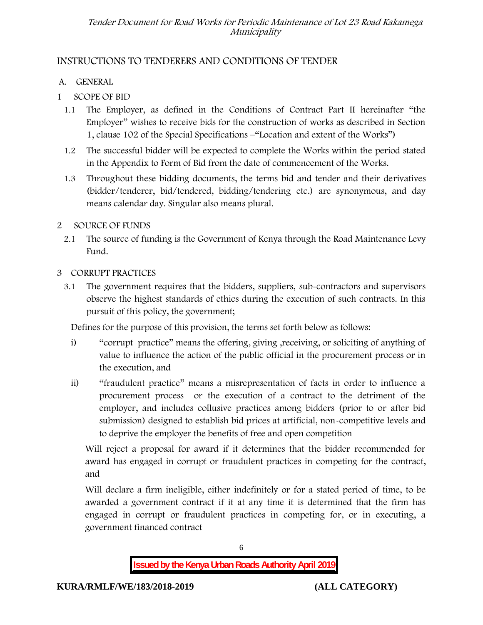# **INSTRUCTIONS TO TENDERERS AND CONDITIONS OF TENDER**

# **A. GENERAL**

- **1 SCOPE OF BID**
	- 1.1 The Employer, as defined in the Conditions of Contract Part II hereinafter "the Employer" wishes to receive bids for the construction of works as described in Section 1, clause 102 of the Special Specifications –"Location and extent of the Works")
	- 1.2 The successful bidder will be expected to complete the Works within the period stated in the Appendix to Form of Bid from the date of commencement of the Works.
	- 1.3 Throughout these bidding documents, the terms bid and tender and their derivatives (bidder/tenderer, bid/tendered, bidding/tendering etc.) are synonymous, and day means calendar day. Singular also means plural.

# **2 SOURCE OF FUNDS**

- 2.1 The source of funding is the Government of Kenya through the Road Maintenance Levy Fund.
- **3 CORRUPT PRACTICES**
	- 3.1 The government requires that the bidders, suppliers, sub-contractors and supervisors observe the highest standards of ethics during the execution of such contracts. In this pursuit of this policy, the government;

Defines for the purpose of this provision, the terms set forth below as follows:

- i) "corrupt practice" means the offering, giving , receiving, or soliciting of anything of value to influence the action of the public official in the procurement process or in the execution, and
- ii) "fraudulent practice" means a misrepresentation of facts in order to influence a procurement process or the execution of a contract to the detriment of the employer, and includes collusive practices among bidders (prior to or after bid submission) designed to establish bid prices at artificial, non-competitive levels and to deprive the employer the benefits of free and open competition

Will reject a proposal for award if it determines that the bidder recommended for award has engaged in corrupt or fraudulent practices in competing for the contract, and

Will declare a firm ineligible, either indefinitely or for a stated period of time, to be awarded a government contract if it at any time it is determined that the firm has engaged in corrupt or fraudulent practices in competing for, or in executing, a government financed contract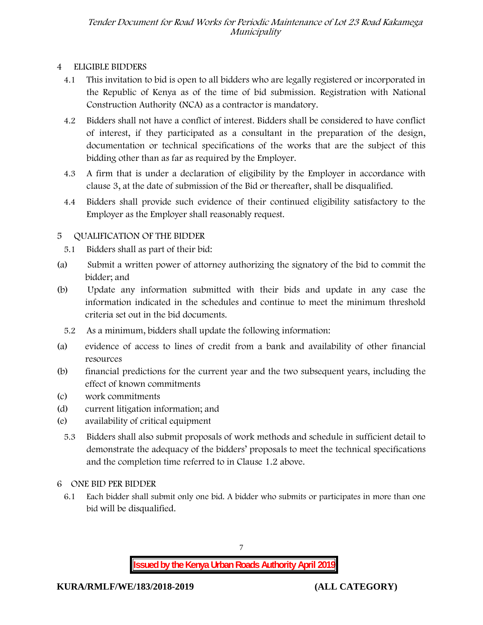## **4 ELIGIBLE BIDDERS**

- 4.1 This invitation to bid is open to all bidders who are legally registered or incorporated in the Republic of Kenya as of the time of bid submission. Registration with National Construction Authority (NCA) as a contractor is mandatory.
- 4.2 Bidders shall not have a conflict of interest. Bidders shall be considered to have conflict of interest, if they participated as a consultant in the preparation of the design, documentation or technical specifications of the works that are the subject of this bidding other than as far as required by the Employer.
- 4.3 A firm that is under a declaration of eligibility by the Employer in accordance with clause 3, at the date of submission of the Bid or thereafter, shall be disqualified.
- 4.4 Bidders shall provide such evidence of their continued eligibility satisfactory to the Employer as the Employer shall reasonably request.

# **5 QUALIFICATION OF THE BIDDER**

- 5.1 Bidders shall as part of their bid:
- (a) Submit a written power of attorney authorizing the signatory of the bid to commit the bidder; and
- (b) Update any information submitted with their bids and update in any case the information indicated in the schedules and continue to meet the minimum threshold criteria set out in the bid documents.
	- 5.2 As a minimum, bidders shall update the following information:
- (a) evidence of access to lines of credit from a bank and availability of other financial resources
- (b) financial predictions for the current year and the two subsequent years, including the effect of known commitments
- (c) work commitments
- (d) current litigation information; and
- (e) availability of critical equipment
	- 5.3 Bidders shall also submit proposals of work methods and schedule in sufficient detail to demonstrate the adequacy of the bidders' proposals to meet the technical specifications and the completion time referred to in Clause 1.2 above.

### **6 ONE BID PER BIDDER**

6.1 Each bidder shall submit only one bid. A bidder who submits or participates in more than one bid will be disqualified.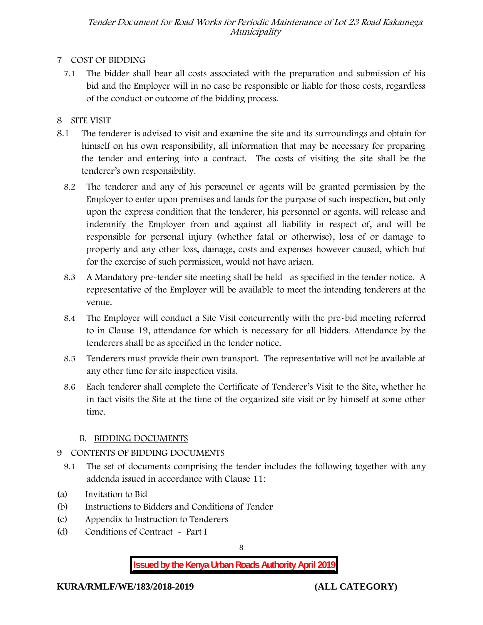## **7 COST OF BIDDING**

7.1 The bidder shall bear all costs associated with the preparation and submission of his bid and the Employer will in no case be responsible or liable for those costs, regardless of the conduct or outcome of the bidding process.

## **8 SITE VISIT**

- 8.1 The tenderer is advised to visit and examine the site and its surroundings and obtain for himself on his own responsibility, all information that may be necessary for preparing the tender and entering into a contract. The costs of visiting the site shall be the tenderer's own responsibility.
	- 8.2 The tenderer and any of his personnel or agents will be granted permission by the Employer to enter upon premises and lands for the purpose of such inspection, but only upon the express condition that the tenderer, his personnel or agents, will release and indemnify the Employer from and against all liability in respect of, and will be responsible for personal injury (whether fatal or otherwise), loss of or damage to property and any other loss, damage, costs and expenses however caused, which but for the exercise of such permission, would not have arisen.
	- 8.3 A Mandatory pre-tender site meeting shall be held as specified in the tender notice. A representative of the Employer will be available to meet the intending tenderers at the venue.
	- 8.4 The Employer will conduct a Site Visit concurrently with the pre-bid meeting referred to in Clause 19, attendance for which is necessary for all bidders. Attendance by the tenderers shall be as specified in the tender notice.
	- 8.5 Tenderers must provide their own transport. The representative will not be available at any other time for site inspection visits.
	- 8.6 Each tenderer shall complete the Certificate of Tenderer's Visit to the Site, whether he in fact visits the Site at the time of the organized site visit or by himself at some other time.

### **B. BIDDING DOCUMENTS**

- **9 CONTENTS OF BIDDING DOCUMENTS**
- 9.1 The set of documents comprising the tender includes the following together with any addenda issued in accordance with Clause 11:
- (a) Invitation to Bid
- (b) Instructions to Bidders and Conditions of Tender
- (c) Appendix to Instruction to Tenderers
- (d) Conditions of Contract Part I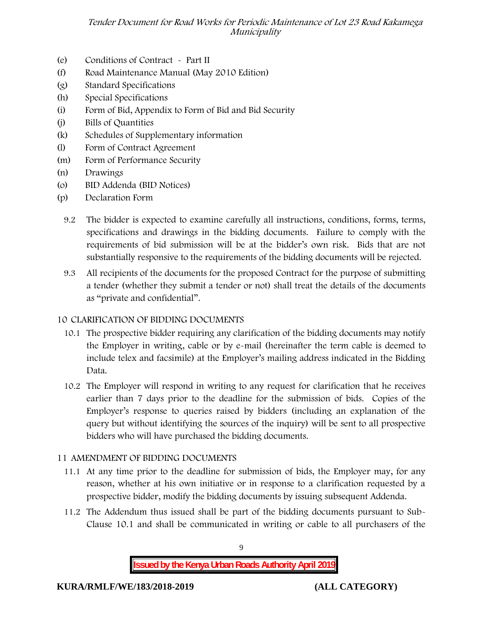- (e) Conditions of Contract Part II
- (f) Road Maintenance Manual (May 2010 Edition)
- (g) Standard Specifications
- (h) Special Specifications
- (i) Form of Bid, Appendix to Form of Bid and Bid Security
- (j) Bills of Quantities
- (k) Schedules of Supplementary information
- (l) Form of Contract Agreement
- (m) Form of Performance Security
- (n) Drawings
- (o) BID Addenda (BID Notices)
- (p) Declaration Form
	- 9.2 The bidder is expected to examine carefully all instructions, conditions, forms, terms, specifications and drawings in the bidding documents. Failure to comply with the requirements of bid submission will be at the bidder's own risk. Bids that are not substantially responsive to the requirements of the bidding documents will be rejected.
	- 9.3 All recipients of the documents for the proposed Contract for the purpose of submitting a tender (whether they submit a tender or not) shall treat the details of the documents as "private and confidential".

### **10 CLARIFICATION OF BIDDING DOCUMENTS**

- 10.1 The prospective bidder requiring any clarification of the bidding documents may notify the Employer in writing, cable or by e-mail (hereinafter the term cable is deemed to include telex and facsimile) at the Employer's mailing address indicated in the Bidding Data.
- 10.2 The Employer will respond in writing to any request for clarification that he receives earlier than 7 days prior to the deadline for the submission of bids. Copies of the Employer's response to queries raised by bidders (including an explanation of the query but without identifying the sources of the inquiry) will be sent to all prospective bidders who will have purchased the bidding documents.

### **11 AMENDMENT OF BIDDING DOCUMENTS**

- 11.1 At any time prior to the deadline for submission of bids, the Employer may, for any reason, whether at his own initiative or in response to a clarification requested by a prospective bidder, modify the bidding documents by issuing subsequent Addenda.
- 11.2 The Addendum thus issued shall be part of the bidding documents pursuant to Sub- Clause 10.1 and shall be communicated in writing or cable to all purchasers of the

9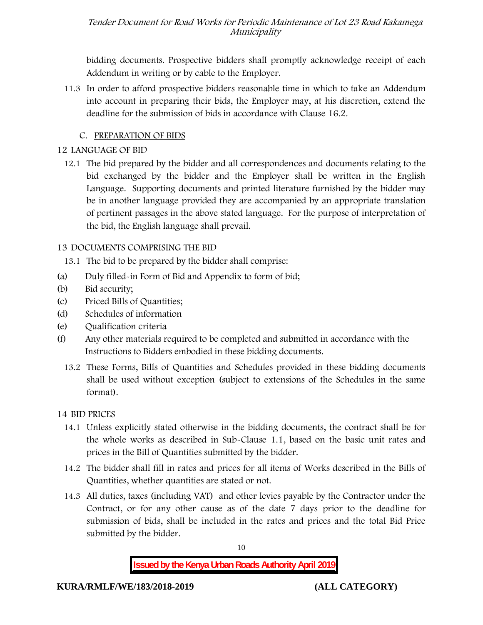bidding documents. Prospective bidders shall promptly acknowledge receipt of each Addendum in writing or by cable to the Employer.

11.3 In order to afford prospective bidders reasonable time in which to take an Addendum into account in preparing their bids, the Employer may, at his discretion, extend the deadline for the submission of bids in accordance with Clause 16.2.

## **C. PREPARATION OF BIDS**

### **12 LANGUAGE OF BID**

12.1 The bid prepared by the bidder and all correspondences and documents relating to the bid exchanged by the bidder and the Employer shall be written in the English Language. Supporting documents and printed literature furnished by the bidder may be in another language provided they are accompanied by an appropriate translation of pertinent passages in the above stated language. For the purpose of interpretation of the bid, the English language shall prevail.

## **13 DOCUMENTS COMPRISING THE BID**

13.1 The bid to be prepared by the bidder shall comprise:

- (a) Duly filled-in Form of Bid and Appendix to form of bid;
- (b) Bid security;
- (c) Priced Bills of Quantities;
- (d) Schedules of information
- (e) Qualification criteria
- (f) Any other materials required to be completed and submitted in accordance with the Instructions to Bidders embodied in these bidding documents.
	- 13.2 These Forms, Bills of Quantities and Schedules provided in these bidding documents shall be used without exception (subject to extensions of the Schedules in the same format).

# **14 BID PRICES**

- 14.1 Unless explicitly stated otherwise in the bidding documents, the contract shall be for the whole works as described in Sub-Clause 1.1, based on the basic unit rates and prices in the Bill of Quantities submitted by the bidder.
- 14.2 The bidder shall fill in rates and prices for all items of Works described in the Bills of Quantities, whether quantities are stated or not.
- 14.3 All duties, taxes (including VAT) and other levies payable by the Contractor under the Contract, or for any other cause as of the date 7 days prior to the deadline for submission of bids, shall be included in the rates and prices and the total Bid Price submitted by the bidder.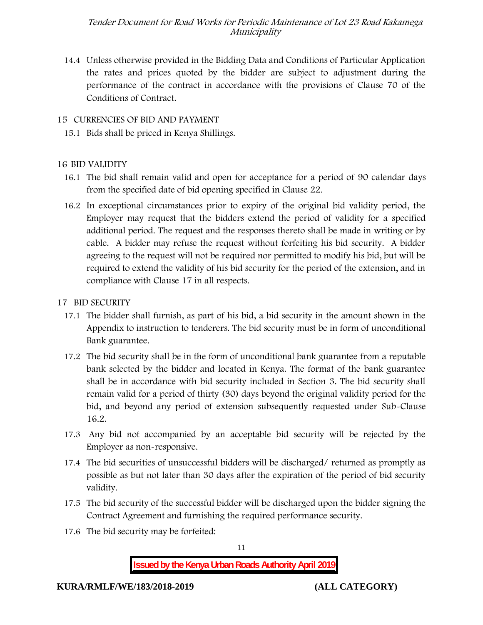14.4 Unless otherwise provided in the Bidding Data and Conditions of Particular Application the rates and prices quoted by the bidder are subject to adjustment during the performance of the contract in accordance with the provisions of Clause 70 of the Conditions of Contract.

#### **15 CURRENCIES OF BID AND PAYMENT**

15.1 Bids shall be priced in Kenya Shillings.

#### **16 BID VALIDITY**

- 16.1 The bid shall remain valid and open for acceptance for a period of 90 calendar days from the specified date of bid opening specified in Clause 22.
- 16.2 In exceptional circumstances prior to expiry of the original bid validity period, the Employer may request that the bidders extend the period of validity for a specified additional period. The request and the responses thereto shall be made in writing or by cable. A bidder may refuse the request without forfeiting his bid security. A bidder agreeing to the request will not be required nor permitted to modify his bid, but will be required to extend the validity of his bid security for the period of the extension, and in compliance with Clause 17 in all respects.

#### **17 BID SECURITY**

- **17.1** The bidder shall furnish, as part of his bid, a bid security in the amount shown in the Appendix to instruction to tenderers. **The bid security must be in form of unconditional Bank guarantee.**
- 17.2 The bid security shall be in the form of unconditional bank guarantee from a reputable bank selected by the bidder and located in Kenya. The format of the bank guarantee shall be in accordance with bid security included in Section 3. The bid security shall remain valid for a period of thirty (30) days beyond the original validity period for the bid, and beyond any period of extension subsequently requested under Sub-Clause 16.2.
- 17.3 Any bid not accompanied by an acceptable bid security will be rejected by the Employer as non-responsive.
- 17.4 The bid securities of unsuccessful bidders will be discharged/ returned as promptly as possible as but not later than 30 days after the expiration of the period of bid security validity.
- 17.5 The bid security of the successful bidder will be discharged upon the bidder signing the Contract Agreement and furnishing the required performance security.
- 17.6 The bid security may be forfeited:

11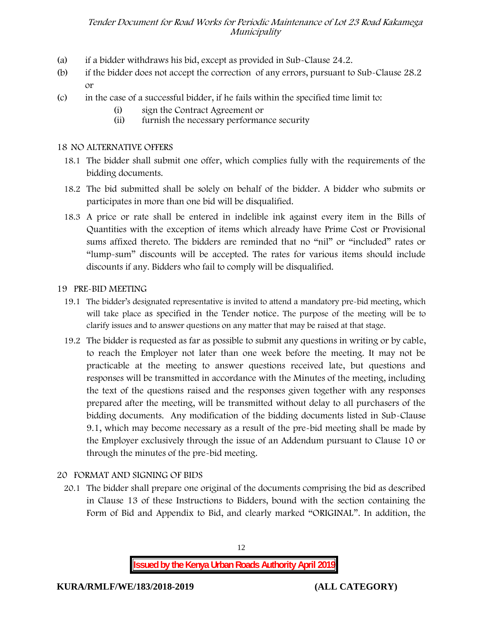- (a) if a bidder withdraws his bid, except as provided in Sub-Clause 24.2.
- (b) if the bidder does not accept the correction of any errors, pursuant to Sub-Clause 28.2 or
- (c) in the case of a successful bidder, if he fails within the specified time limit to:
	- (i) sign the Contract Agreement or
	- (ii) furnish the necessary performance security

#### **18 NO ALTERNATIVE OFFERS**

- 18.1 The bidder shall submit one offer, which complies fully with the requirements of the bidding documents.
- 18.2 The bid submitted shall be solely on behalf of the bidder. A bidder who submits or participates in more than one bid will be disqualified.
- 18.3 A price or rate shall be entered in indelible ink against every item in the Bills of Quantities with the exception of items which already have Prime Cost or Provisional sums affixed thereto. The bidders are reminded that no "nil" or "included" rates or "lump-sum" discounts will be accepted. The rates for various items should include discounts if any. Bidders who fail to comply will be disqualified.

#### **19 PRE-BID MEETING**

- 19.1 The bidder's designated representative is invited to attend a mandatory pre-bid meeting, which will take place as specified in the Tender notice. The purpose of the meeting will be to clarify issues and to answer questions on any matter that may be raised at that stage.
- 19.2 The bidder is requested as far as possible to submit any questions in writing or by cable, to reach the Employer not later than one week before the meeting. It may not be practicable at the meeting to answer questions received late, but questions and responses will be transmitted in accordance with the Minutes of the meeting, including the text of the questions raised and the responses given together with any responses prepared after the meeting, will be transmitted without delay to all purchasers of the bidding documents. Any modification of the bidding documents listed in Sub-Clause 9.1, which may become necessary as a result of the pre-bid meeting shall be made by the Employer exclusively through the issue of an Addendum pursuant to Clause 10 or through the minutes of the pre-bid meeting.

#### **20 FORMAT AND SIGNING OF BIDS**

20.1 The bidder shall prepare one original of the documents comprising the bid as described in Clause 13 of these Instructions to Bidders, bound with the section containing the Form of Bid and Appendix to Bid, and clearly marked "ORIGINAL". In addition, the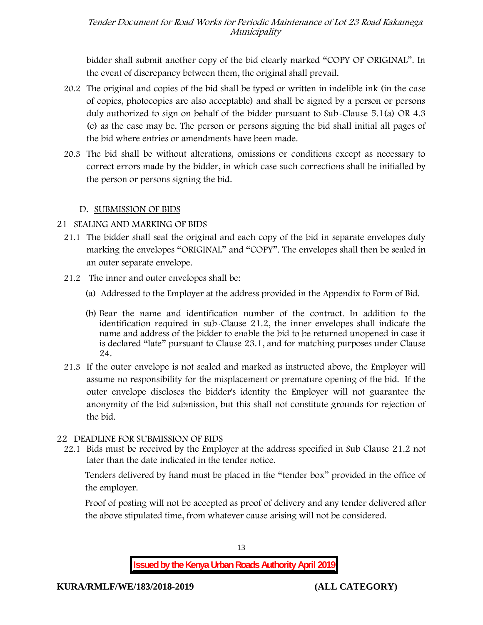bidder shall submit another copy of the bid clearly marked "COPY OF ORIGINAL". In the event of discrepancy between them, the original shall prevail.

- 20.2 The original and copies of the bid shall be typed or written in indelible ink (in the case of copies, photocopies are also acceptable) and shall be signed by a person or persons duly authorized to sign on behalf of the bidder pursuant to Sub-Clause 5.1(a) OR 4.3 (c) as the case may be. The person or persons signing the bid shall initial all pages of the bid where entries or amendments have been made.
- 20.3 The bid shall be without alterations, omissions or conditions except as necessary to correct errors made by the bidder, in which case such corrections shall be initialled by the person or persons signing the bid.

#### **D. SUBMISSION OF BIDS**

#### **21 SEALING AND MARKING OF BIDS**

- 21.1 The bidder shall seal the original and each copy of the bid in separate envelopes duly marking the envelopes "ORIGINAL" and "COPY". The envelopes shall then be sealed in an outer separate envelope.
- 21.2 The inner and outer envelopes shall be:
	- (a) Addressed to the Employer at the address provided in the Appendix to Form of Bid.
	- (b) Bear the name and identification number of the contract. In addition to the identification required in sub-Clause 21.2, the inner envelopes shall indicate the name and address of the bidder to enable the bid to be returned unopened in case it is declared "late" pursuant to Clause 23.1, and for matching purposes under Clause 24.
- 21.3 If the outer envelope is not sealed and marked as instructed above, the Employer will assume no responsibility for the misplacement or premature opening of the bid. If the outer envelope discloses the bidder's identity the Employer will not guarantee the anonymity of the bid submission, but this shall not constitute grounds for rejection of the bid.

#### **22 DEADLINE FOR SUBMISSION OF BIDS**

22.1 Bids must be received by the Employer at the address specified in Sub Clause 21.2 not later than **the date indicated in the tender notice.**

Tenders delivered by hand must be placed in the "tender box" provided in the office of the employer.

Proof of posting will not be accepted as proof of delivery and any tender delivered after the above stipulated time, from whatever cause arising will not be considered.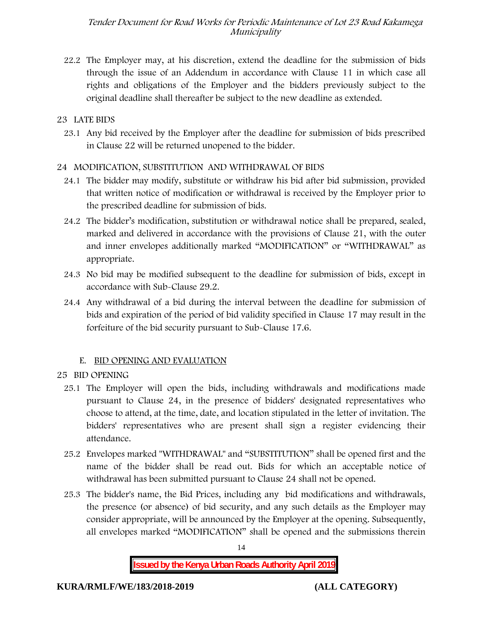22.2 The Employer may, at his discretion, extend the deadline for the submission of bids through the issue of an Addendum in accordance with Clause 11 in which case all rights and obligations of the Employer and the bidders previously subject to the original deadline shall thereafter be subject to the new deadline as extended.

## **23 LATE BIDS**

23.1 Any bid received by the Employer after the deadline for submission of bids prescribed in Clause 22 will be returned unopened to the bidder.

## **24 MODIFICATION, SUBSTITUTION AND WITHDRAWAL OF BIDS**

- 24.1 The bidder may modify, substitute or withdraw his bid after bid submission, provided that written notice of modification or withdrawal is received by the Employer prior to the prescribed deadline for submission of bids.
- 24.2 The bidder's modification, substitution or withdrawal notice shall be prepared, sealed, marked and delivered in accordance with the provisions of Clause 21, with the outer and inner envelopes additionally marked "MODIFICATION" or "WITHDRAWAL" as appropriate.
- 24.3 No bid may be modified subsequent to the deadline for submission of bids, except in accordance with Sub-Clause 29.2.
- 24.4 Any withdrawal of a bid during the interval between the deadline for submission of bids and expiration of the period of bid validity specified in Clause 17 may result in the forfeiture of the bid security pursuant to Sub-Clause 17.6.

### **E. BID OPENING AND EVALUATION**

### **25 BID OPENING**

- 25.1 The Employer will open the bids, including withdrawals and modifications made pursuant to Clause 24, in the presence of bidders' designated representatives who choose to attend, at the time, date, and location stipulated in the letter of invitation. The bidders' representatives who are present shall sign a register evidencing their attendance.
- 25.2 Envelopes marked "WITHDRAWAL" and "SUBSTITUTION" shall be opened first and the name of the bidder shall be read out. Bids for which an acceptable notice of withdrawal has been submitted pursuant to Clause 24 shall not be opened.
- 25.3 The bidder's name, the Bid Prices, including any bid modifications and withdrawals, the presence (or absence) of bid security, and any such details as the Employer may consider appropriate, will be announced by the Employer at the opening. Subsequently, all envelopes marked "MODIFICATION" shall be opened and the submissions therein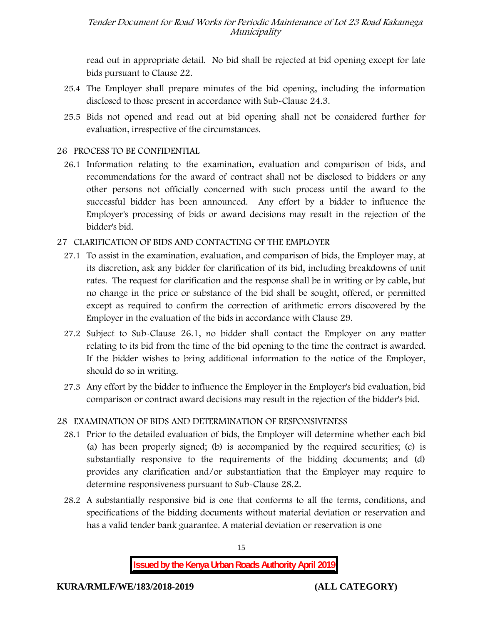read out in appropriate detail. No bid shall be rejected at bid opening except for late bids pursuant to Clause 22.

- 25.4 The Employer shall prepare minutes of the bid opening, including the information disclosed to those present in accordance with Sub-Clause 24.3.
- 25.5 Bids not opened and read out at bid opening shall not be considered further for evaluation, irrespective of the circumstances.

### **26 PROCESS TO BE CONFIDENTIAL**

26.1 Information relating to the examination, evaluation and comparison of bids, and recommendations for the award of contract shall not be disclosed to bidders or any other persons not officially concerned with such process until the award to the successful bidder has been announced. Any effort by a bidder to influence the Employer's processing of bids or award decisions may result in the rejection of the bidder's bid.

#### **27 CLARIFICATION OF BIDS AND CONTACTING OF THE EMPLOYER**

- 27.1 To assist in the examination, evaluation, and comparison of bids, the Employer may, at its discretion, ask any bidder for clarification of its bid, including breakdowns of unit rates. The request for clarification and the response shall be in writing or by cable, but no change in the price or substance of the bid shall be sought, offered, or permitted except as required to confirm the correction of arithmetic errors discovered by the Employer in the evaluation of the bids in accordance with Clause 29.
- 27.2 Subject to Sub-Clause 26.1, no bidder shall contact the Employer on any matter relating to its bid from the time of the bid opening to the time the contract is awarded. If the bidder wishes to bring additional information to the notice of the Employer, should do so in writing.
- 27.3 Any effort by the bidder to influence the Employer in the Employer's bid evaluation, bid comparison or contract award decisions may result in the rejection of the bidder's bid.

### **28 EXAMINATION OF BIDS AND DETERMINATION OF RESPONSIVENESS**

- 28.1 Prior to the detailed evaluation of bids, the Employer will determine whether each bid (a) has been properly signed; (b) is accompanied by the required securities; (c) is substantially responsive to the requirements of the bidding documents; and (d) provides any clarification and/or substantiation that the Employer may require to determine responsiveness pursuant to Sub-Clause 28.2.
- 28.2 A substantially responsive bid is one that conforms to all the terms, conditions, and specifications of the bidding documents without material deviation or reservation and has a valid tender bank guarantee. A material deviation or reservation is one

15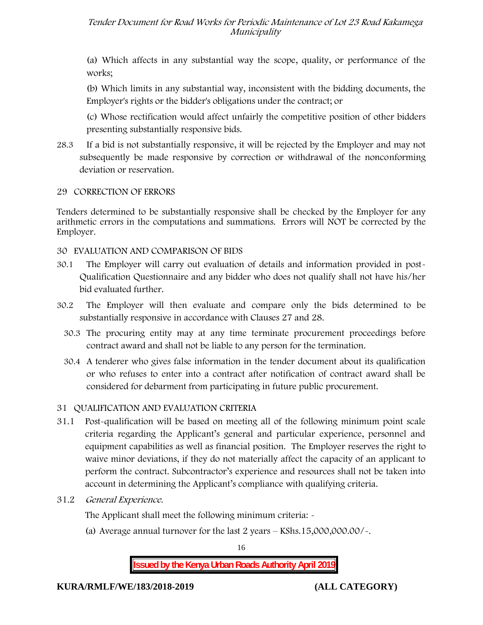(a) Which affects in any substantial way the scope, quality, or performance of the works;

(b) Which limits in any substantial way, inconsistent with the bidding documents, the Employer's rights or the bidder's obligations under the contract; or

(c) Whose rectification would affect unfairly the competitive position of other bidders presenting substantially responsive bids.

28.3 If a bid is not substantially responsive, it will be rejected by the Employer and may not subsequently be made responsive by correction or withdrawal of the nonconforming deviation or reservation.

#### **29 CORRECTION OF ERRORS**

Tenders determined to be substantially responsive shall be checked by the Employer for any arithmetic errors in the computations and summations. Errors will **NOT** be corrected by the Employer.

#### **30 EVALUATION AND COMPARISON OF BIDS**

- 30.1 The Employer will carry out evaluation of details and information provided in post- Qualification Questionnaire and any bidder who does not qualify shall not have his/her bid evaluated further.
- 30.2 The Employer will then evaluate and compare only the bids determined to be substantially responsive in accordance with Clauses 27 and 28.
	- 30.3 The procuring entity may at any time terminate procurement proceedings before contract award and shall not be liable to any person for the termination.
	- 30.4 A tenderer who gives false information in the tender document about its qualification or who refuses to enter into a contract after notification of contract award shall be considered for debarment from participating in future public procurement.

### **31 QUALIFICATION AND EVALUATION CRITERIA**

- 31.1 Post-qualification will be based on meeting all of the following minimum point scale criteria regarding the Applicant's general and particular experience, personnel and equipment capabilities as well as financial position. The Employer reserves the right to waive minor deviations, if they do not materially affect the capacity of an applicant to perform the contract. Subcontractor's experience and resources shall not be taken into account in determining the Applicant's compliance with qualifying criteria.
- **31.2** *General Experience***.**

The Applicant shall meet the following minimum criteria:  $\sim$ 

(a) Average annual turnover for the last 2 years – **KShs.15,000,000.00/-.**

16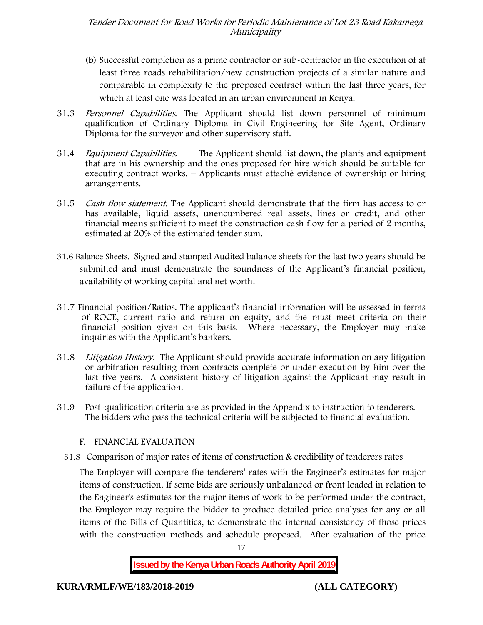- (b) Successful completion as a prime contractor or sub-contractor in the execution of at least three roads rehabilitation/new construction projects of a similar nature and comparable in complexity to the proposed contract within the last three years, for which at least one was located in an urban environment in Kenya.
- 31.3 *Personnel Capabilities***.** The Applicant should list down personnel of minimum qualification of Ordinary Diploma in Civil Engineering for Site Agent, Ordinary Diploma for the surveyor and other supervisory staff.
- 31.4 *Equipment Capabilities.* The Applicant should list down, the plants and equipment that are in his ownership and the ones proposed for hire which should be suitable for executing contract works. – Applicants must attaché evidence of ownership or hiring arrangements.
- 31.5 *Cash flow statement.* The Applicant should demonstrate that the firm has access to or has available, liquid assets, unencumbered real assets, lines or credit, and other financial means sufficient to meet the construction cash flow for a period of 2 months, estimated at 20% of the estimated tender sum.
- **31.6 Balance Sheets***.* Signed and stamped Audited balance sheets for the last two years should be submitted and must demonstrate the soundness of the Applicant's financial position, availability of working capital and net worth.
- **31.7 Financial position/Ratios.** The applicant's financial information will be assessed in terms of ROCE, current ratio and return on equity, and the must meet criteria on their financial position given on this basis. Where necessary, the Employer may make inquiries with the Applicant's bankers.
- 31.8 *Litigation History.* The Applicant should provide accurate information on any litigation or arbitration resulting from contracts complete or under execution by him over the last five years. A consistent history of litigation against the Applicant may result in failure of the application.
- 31.9 Post-qualification criteria are as provided in the Appendix to instruction to tenderers. The bidders who pass the technical criteria will be subjected to financial evaluation.

### **F. FINANCIAL EVALUATION**

31.8 Comparison of major rates of items of construction & credibility of tenderers rates

The Employer will compare the tenderers' rates with the Engineer's estimates for major items of construction. If some bids are seriously unbalanced or front loaded in relation to the Engineer's estimates for the major items of work to be performed under the contract, the Employer may require the bidder to produce detailed price analyses for any or all items of the Bills of Quantities, to demonstrate the internal consistency of those prices with the construction methods and schedule proposed. After evaluation of the price

17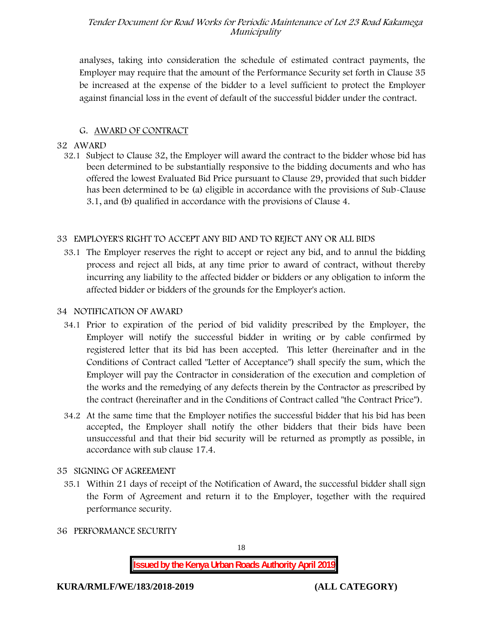analyses, taking into consideration the schedule of estimated contract payments, the Employer may require that the amount of the Performance Security set forth in Clause 35 be increased at the expense of the bidder to a level sufficient to protect the Employer against financial loss in the event of default of the successful bidder under the contract.

### **G. AWARD OF CONTRACT**

#### **32 AWARD**

32.1 Subject to Clause 32, the Employer will award the contract to the bidder whose bid has been determined to be substantially responsive to the bidding documents and who has offered the lowest Evaluated Bid Price pursuant to Clause 29, provided that such bidder has been determined to be (a) eligible in accordance with the provisions of Sub-Clause 3.1, and (b) qualified in accordance with the provisions of Clause 4.

### **33 EMPLOYER'S RIGHT TO ACCEPT ANY BID AND TO REJECT ANY OR ALL BIDS**

33.1 The Employer reserves the right to accept or reject any bid, and to annul the bidding process and reject all bids, at any time prior to award of contract, without thereby incurring any liability to the affected bidder or bidders or any obligation to inform the affected bidder or bidders of the grounds for the Employer's action.

#### **34 NOTIFICATION OF AWARD**

- 34.1 Prior to expiration of the period of bid validity prescribed by the Employer, the Employer will notify the successful bidder in writing or by cable confirmed by registered letter that its bid has been accepted. This letter (hereinafter and in the Conditions of Contract called "Letter of Acceptance") shall specify the sum, which the Employer will pay the Contractor in consideration of the execution and completion of the works and the remedying of any defects therein by the Contractor as prescribed by the contract (hereinafter and in the Conditions of Contract called "the Contract Price").
- 34.2 At the same time that the Employer notifies the successful bidder that his bid has been accepted, the Employer shall notify the other bidders that their bids have been unsuccessful and that their bid security will be returned as promptly as possible, in accordance with sub clause 17.4.

## **35 SIGNING OF AGREEMENT**

- 35.1 Within 21 days of receipt of the Notification of Award, the successful bidder shall sign the Form of Agreement and return it to the Employer, together with the required performance security.
- **36 PERFORMANCE SECURITY**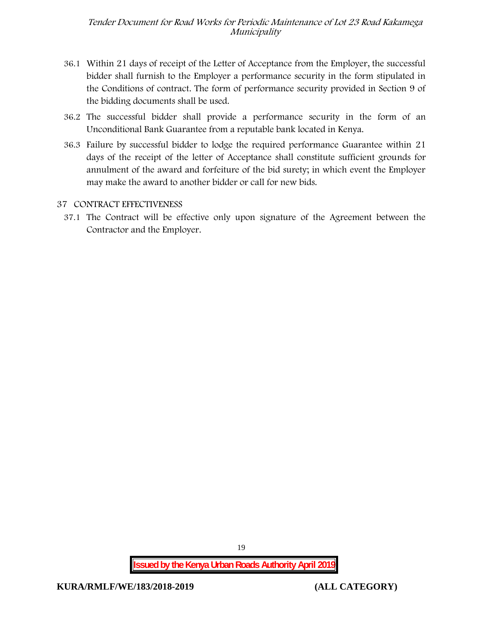- 36.1 Within 21 days of receipt of the Letter of Acceptance from the Employer, the successful bidder shall furnish to the Employer a performance security in the form stipulated in the Conditions of contract. The form of performance security provided in Section 9 of the bidding documents shall be used.
- 36.2 The successful bidder shall provide a performance security in the form of an Unconditional Bank Guarantee from a reputable bank located in Kenya.
- 36.3 Failure by successful bidder to lodge the required performance Guarantee within 21 days of the receipt of the letter of Acceptance shall constitute sufficient grounds for annulment of the award and forfeiture of the bid surety; in which event the Employer may make the award to another bidder or call for new bids.

#### **37 CONTRACT EFFECTIVENESS**

37.1 The Contract will be effective only upon signature of the Agreement between the Contractor and the Employer.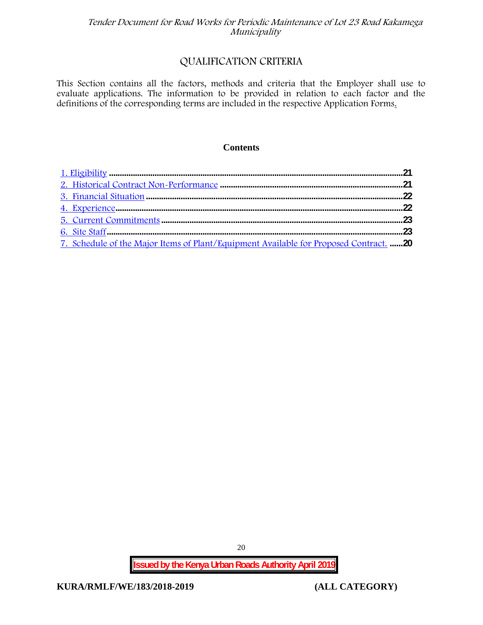## **QUALIFICATION CRITERIA**

This Section contains all the factors, methods and criteria that the Employer shall use to evaluate applications. The information to be provided in relation to each factor and the definitions of the corresponding terms are included in the respective Application Forms.

#### **Contents**

| 7. Schedule of the Major Items of Plant/Equipment Available for Proposed Contract. 20 |  |
|---------------------------------------------------------------------------------------|--|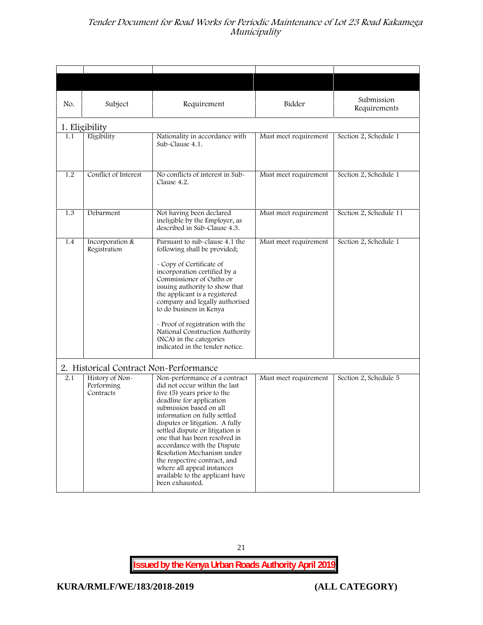| No. | Subject                                    | Requirement                                                                                                                                                                                                                                                                                                                                                                                                                                                                   | Bidder                | Submission<br>Requirements |
|-----|--------------------------------------------|-------------------------------------------------------------------------------------------------------------------------------------------------------------------------------------------------------------------------------------------------------------------------------------------------------------------------------------------------------------------------------------------------------------------------------------------------------------------------------|-----------------------|----------------------------|
|     | 1. Eligibility                             |                                                                                                                                                                                                                                                                                                                                                                                                                                                                               |                       |                            |
| 1.1 | Eligibility                                | Nationality in accordance with<br>Sub-Clause 4.1.                                                                                                                                                                                                                                                                                                                                                                                                                             | Must meet requirement | Section 2, Schedule 1      |
| 1.2 | Conflict of Interest                       | No conflicts of interest in Sub-<br>Clause 4.2.                                                                                                                                                                                                                                                                                                                                                                                                                               | Must meet requirement | Section 2, Schedule 1      |
| 1.3 | Debarment                                  | Not having been declared<br>ineligible by the Employer, as<br>described in Sub-Clause 4.3.                                                                                                                                                                                                                                                                                                                                                                                    | Must meet requirement | Section 2, Schedule 11     |
| 1.4 | Incorporation &<br>Registration            | Pursuant to sub-clause 4.1 the<br>following shall be provided;<br>- Copy of Certificate of<br>incorporation certified by a<br>Commissioner of Oaths or<br>issuing authority to show that<br>the applicant is a registered<br>company and legally authorised<br>to do business in Kenya<br>- Proof of registration with the<br>National Construction Authority<br>(NCA) in the categories<br>indicated in the tender notice.                                                   | Must meet requirement | Section 2, Schedule 1      |
|     | 2. Historical Contract Non-Performance     |                                                                                                                                                                                                                                                                                                                                                                                                                                                                               |                       |                            |
| 2.1 | History of Non-<br>Performing<br>Contracts | Non-performance of a contract<br>did not occur within the last<br>five (5) years prior to the<br>deadline for application<br>submission based on all<br>information on fully settled<br>disputes or litigation. A fully<br>settled dispute or litigation is<br>one that has been resolved in<br>accordance with the Dispute<br>Resolution Mechanism under<br>the respective contract, and<br>where all appeal instances<br>available to the applicant have<br>been exhausted. | Must meet requirement | Section 2, Schedule 5      |

21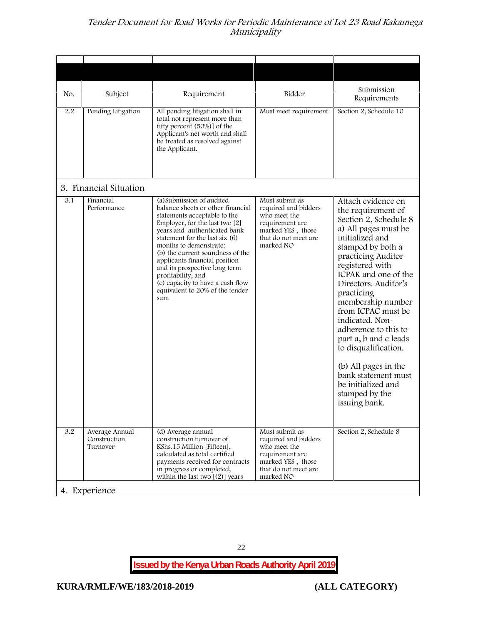| No. | Subject                                    | Requirement                                                                                                                                                                                                                                                                                                                                                                                                                              | Bidder                                                                                                                              | Submission<br>Requirements                                                                                                                                                                                                                                                                                                                                                                                                                                                              |
|-----|--------------------------------------------|------------------------------------------------------------------------------------------------------------------------------------------------------------------------------------------------------------------------------------------------------------------------------------------------------------------------------------------------------------------------------------------------------------------------------------------|-------------------------------------------------------------------------------------------------------------------------------------|-----------------------------------------------------------------------------------------------------------------------------------------------------------------------------------------------------------------------------------------------------------------------------------------------------------------------------------------------------------------------------------------------------------------------------------------------------------------------------------------|
| 2.2 | Pending Litigation                         | All pending litigation shall in<br>total not represent more than<br>fifty percent (50%)] of the<br>Applicant's net worth and shall<br>be treated as resolved against<br>the Applicant.                                                                                                                                                                                                                                                   | Must meet requirement                                                                                                               | Section 2, Schedule 10                                                                                                                                                                                                                                                                                                                                                                                                                                                                  |
|     | 3. Financial Situation                     |                                                                                                                                                                                                                                                                                                                                                                                                                                          |                                                                                                                                     |                                                                                                                                                                                                                                                                                                                                                                                                                                                                                         |
| 3.1 | Financial<br>Performance                   | (a) Submission of audited<br>balance sheets or other financial<br>statements acceptable to the<br>Employer, for the last two $[2]$<br>years and authenticated bank<br>statement for the last six (6)<br>months to demonstrate:<br>(b) the current soundness of the<br>applicants financial position<br>and its prospective long term<br>profitability, and<br>(c) capacity to have a cash flow<br>equivalent to 20% of the tender<br>sum | Must submit as<br>required and bidders<br>who meet the<br>requirement are<br>marked YES, those<br>that do not meet are<br>marked NO | Attach evidence on<br>the requirement of<br>Section 2, Schedule 8<br>a) All pages must be<br>initialized and<br>stamped by both a<br>practicing Auditor<br>registered with<br>ICPAK and one of the<br>Directors. Auditor's<br>practicing<br>membership number<br>from ICPAC must be<br>indicated. Non-<br>adherence to this to<br>part a, b and c leads<br>to disqualification.<br>(b) All pages in the<br>bank statement must<br>be initialized and<br>stamped by the<br>issuing bank. |
| 3.2 | Average Annual<br>Construction<br>Turnover | (d) Average annual<br>construction turnover of<br>KShs.15 Million [Fifteen],<br>calculated as total certified<br>payments received for contracts<br>in progress or completed,<br>within the last two $[(2)]$ years                                                                                                                                                                                                                       | Must submit as<br>required and bidders<br>who meet the<br>requirement are<br>marked YES, those<br>that do not meet are<br>marked NO | Section 2, Schedule 8                                                                                                                                                                                                                                                                                                                                                                                                                                                                   |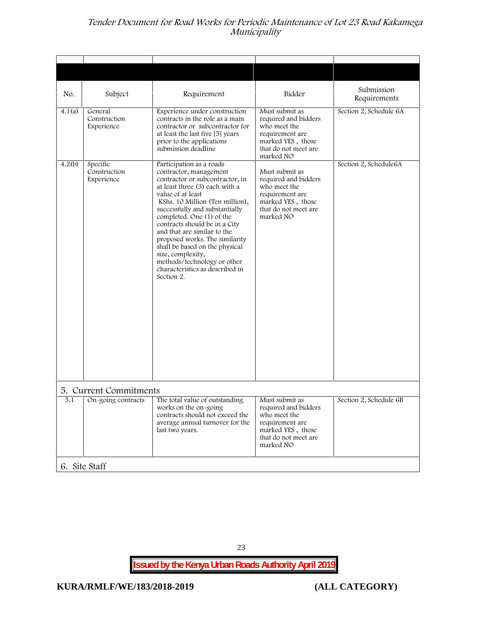| No.    | Subject                                | Requirement                                                                                                                                                                                                                                                                                                                                                                                                                                                                             | Bidder                                                                                                                              | Submission<br>Requirements |
|--------|----------------------------------------|-----------------------------------------------------------------------------------------------------------------------------------------------------------------------------------------------------------------------------------------------------------------------------------------------------------------------------------------------------------------------------------------------------------------------------------------------------------------------------------------|-------------------------------------------------------------------------------------------------------------------------------------|----------------------------|
| 4.1(a) | General<br>Construction<br>Experience  | Experience under construction<br>contracts in the role as a main<br>contractor or subcontractor for<br>at least the last five [5] years<br>prior to the applications<br>submission deadline                                                                                                                                                                                                                                                                                             | Must submit as<br>required and bidders<br>who meet the<br>requirement are<br>marked YES, those<br>that do not meet are<br>marked NO | Section 2, Schedule 6A     |
| 4.2(b) | Specific<br>Construction<br>Experience | Participation as a roads<br>contractor, management<br>contractor or subcontractor, in<br>at least three (3) each with a<br>value of at least<br>KShs. 10 Million (Ten million),<br>successfully and substantially<br>completed. One (1) of the<br>contracts should be in a City<br>and that are similar to the<br>proposed works. The similarity<br>shall be based on the physical<br>size, complexity,<br>methods/technology or other<br>characteristics as described in<br>Section 2. | Must submit as<br>required and bidders<br>who meet the<br>requirement are<br>marked YES, those<br>that do not meet are<br>marked NO | Section 2, Schedule6A      |
|        | 5. Current Commitments                 |                                                                                                                                                                                                                                                                                                                                                                                                                                                                                         |                                                                                                                                     |                            |
| 5.1    | On-going contracts                     | The total value of outstanding<br>works on the on-going<br>contracts should not exceed the<br>average annual turnover for the<br>last two years.                                                                                                                                                                                                                                                                                                                                        | Must submit as<br>required and bidders<br>who meet the<br>requirement are<br>marked YES, those<br>that do not meet are<br>marked NO | Section 2, Schedule 6B     |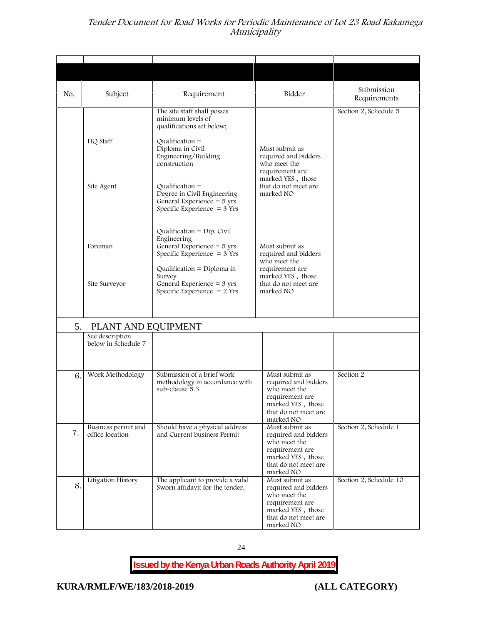| No. | Subject                                                       | Requirement                                                                                                                                                    | Bidder                                                                                                                              | Submission<br>Requirements |
|-----|---------------------------------------------------------------|----------------------------------------------------------------------------------------------------------------------------------------------------------------|-------------------------------------------------------------------------------------------------------------------------------------|----------------------------|
|     | HQ Staff                                                      | The site staff shall posses<br>minimum levels of<br>qualifications set below;<br>$Qualification =$<br>Diploma in Civil<br>Engineering/Building<br>construction | Must submit as<br>required and bidders<br>who meet the<br>requirement are                                                           | Section 2, Schedule 5      |
|     | Site Agent                                                    | Qualification $=$<br>Degree in Civil Engineering<br>General Experience = 5 yrs<br>Specific Experience $=$ 3 Yrs                                                | marked YES, those<br>that do not meet are<br>marked NO                                                                              |                            |
|     | Foreman                                                       | Qualification = $Dip$ . Civil<br>Engineering<br>General Experience $=$ 5 yrs<br>Specific Experience = $3$ Yrs                                                  | Must submit as<br>required and bidders<br>who meet the                                                                              |                            |
|     | Site Surveyor                                                 | Qualification = Diploma in<br>Survey<br>General Experience $=$ 3 yrs<br>Specific Experience $= 2$ Yrs                                                          | requirement are<br>marked YES, those<br>that do not meet are<br>marked NO                                                           |                            |
| 5.  | PLANT AND EQUIPMENT<br>See description<br>below in Schedule 7 |                                                                                                                                                                |                                                                                                                                     |                            |
| 6.  | Work Methodology                                              | Submission of a brief work<br>methodology in accordance with<br>sub-clause 5.3                                                                                 | Must submit as<br>required and bidders<br>who meet the<br>requirement are<br>marked YES, those<br>that do not meet are<br>marked NO | Section 2                  |
| 7.  | Business permit and<br>office location                        | Should have a physical address<br>and Current business Permit                                                                                                  | Must submit as<br>required and bidders<br>who meet the<br>requirement are<br>marked YES, those<br>that do not meet are<br>marked NO | Section 2, Schedule 1      |
| 8.  | Litigation History                                            | The applicant to provide a valid<br>Sworn affidavit for the tender.                                                                                            | Must submit as<br>required and bidders<br>who meet the<br>requirement are<br>marked YES, those<br>that do not meet are<br>marked NO | Section 2, Schedule 10     |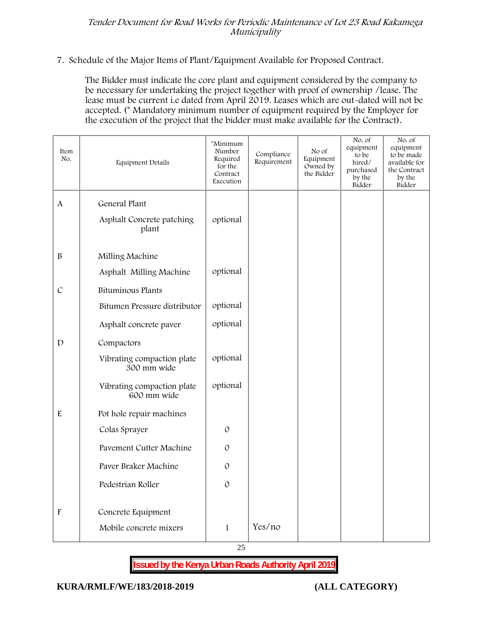#### **7. Schedule of the Major Items of Plant/Equipment Available for Proposed Contract.**

The Bidder must indicate the core plant and equipment considered by the company to be necessary for undertaking the project together with proof of ownership /lease. The lease must be current i.e dated from April 2019. Leases which are out-dated will not be accepted. (\* Mandatory minimum number of equipment required by the Employer for the execution of the project that the bidder must make available for the Contract).

| Item<br>No.               | <b>Equipment Details</b>                            | *Minimum<br>Number<br>Required<br>for the<br>Contract<br>Execution | Compliance<br>Requirement | No of<br>Equipment<br>Owned by<br>the Bidder | No. of<br>equipment<br>to be<br>hired/<br>purchased<br>by the<br>Bidder | No. of<br>equipment<br>to be made<br>available for<br>the Contract<br>by the<br>Bidder |
|---------------------------|-----------------------------------------------------|--------------------------------------------------------------------|---------------------------|----------------------------------------------|-------------------------------------------------------------------------|----------------------------------------------------------------------------------------|
| A                         | General Plant<br>Asphalt Concrete patching<br>plant | optional                                                           |                           |                                              |                                                                         |                                                                                        |
| $\, {\bf B}$              | Milling Machine                                     |                                                                    |                           |                                              |                                                                         |                                                                                        |
|                           | Asphalt Milling Machine                             | optional                                                           |                           |                                              |                                                                         |                                                                                        |
| $\mathcal{C}$             | Bituminous Plants                                   |                                                                    |                           |                                              |                                                                         |                                                                                        |
|                           | Bitumen Pressure distributor                        | optional                                                           |                           |                                              |                                                                         |                                                                                        |
|                           | Asphalt concrete paver                              | optional                                                           |                           |                                              |                                                                         |                                                                                        |
| D                         | Compactors                                          |                                                                    |                           |                                              |                                                                         |                                                                                        |
|                           | Vibrating compaction plate<br>300 mm wide           | optional                                                           |                           |                                              |                                                                         |                                                                                        |
|                           | Vibrating compaction plate<br>600 mm wide           | optional                                                           |                           |                                              |                                                                         |                                                                                        |
| $\rm E$                   | Pot hole repair machines                            |                                                                    |                           |                                              |                                                                         |                                                                                        |
|                           | Colas Sprayer                                       | $\mathcal{O}$                                                      |                           |                                              |                                                                         |                                                                                        |
|                           | <b>Pavement Cutter Machine</b>                      | $\mathcal{O}$                                                      |                           |                                              |                                                                         |                                                                                        |
|                           | Paver Braker Machine                                | $\mathcal{O}$                                                      |                           |                                              |                                                                         |                                                                                        |
|                           | Pedestrian Roller                                   | $\mathcal{O}$                                                      |                           |                                              |                                                                         |                                                                                        |
| $\boldsymbol{\mathrm{F}}$ | Concrete Equipment                                  |                                                                    |                           |                                              |                                                                         |                                                                                        |
|                           | Mobile concrete mixers                              | $\mathbf{1}$                                                       | Yes/no                    |                                              |                                                                         |                                                                                        |

25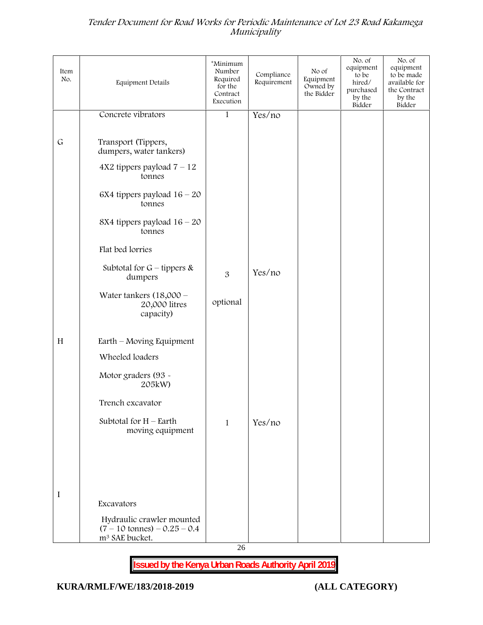| Item<br>No. | Equipment Details                                                                                 | *Minimum<br>Number<br>Required<br>for the<br>Contract<br>Execution | Compliance<br>Requirement | No of<br>Equipment<br>Owned by<br>the Bidder | No. of<br>equipment<br>to be<br>hired/<br>purchased<br>by the<br>Bidder | No. of<br>equipment<br>to be made<br>available for<br>the Contract<br>by the<br>Bidder |
|-------------|---------------------------------------------------------------------------------------------------|--------------------------------------------------------------------|---------------------------|----------------------------------------------|-------------------------------------------------------------------------|----------------------------------------------------------------------------------------|
|             | Concrete vibrators                                                                                | $\mathbf{1}$                                                       | Yes/no                    |                                              |                                                                         |                                                                                        |
| $\mathsf G$ | Transport (Tippers,<br>dumpers, water tankers)<br>$4X2$ tippers payload $7 - 12$                  |                                                                    |                           |                                              |                                                                         |                                                                                        |
|             | tonnes                                                                                            |                                                                    |                           |                                              |                                                                         |                                                                                        |
|             | 6X4 tippers payload $16 - 20$<br>tonnes                                                           |                                                                    |                           |                                              |                                                                         |                                                                                        |
|             | 8X4 tippers payload $16 - 20$<br>tonnes                                                           |                                                                    |                           |                                              |                                                                         |                                                                                        |
|             | Flat bed lorries                                                                                  |                                                                    |                           |                                              |                                                                         |                                                                                        |
|             | Subtotal for $G$ – tippers &<br>dumpers                                                           | 3                                                                  | Yes/no                    |                                              |                                                                         |                                                                                        |
|             | Water tankers $(18,000 -$<br>20,000 litres<br>capacity)                                           | optional                                                           |                           |                                              |                                                                         |                                                                                        |
| H           | Earth – Moving Equipment                                                                          |                                                                    |                           |                                              |                                                                         |                                                                                        |
|             | Wheeled loaders                                                                                   |                                                                    |                           |                                              |                                                                         |                                                                                        |
|             | Motor graders (93 -<br>205kW)                                                                     |                                                                    |                           |                                              |                                                                         |                                                                                        |
|             | Trench excavator                                                                                  |                                                                    |                           |                                              |                                                                         |                                                                                        |
|             | Subtotal for $H$ – Earth<br>moving equipment                                                      | $\mathbf{1}$                                                       | Yes/no                    |                                              |                                                                         |                                                                                        |
|             |                                                                                                   |                                                                    |                           |                                              |                                                                         |                                                                                        |
|             |                                                                                                   |                                                                    |                           |                                              |                                                                         |                                                                                        |
|             |                                                                                                   |                                                                    |                           |                                              |                                                                         |                                                                                        |
| I           | Excavators                                                                                        |                                                                    |                           |                                              |                                                                         |                                                                                        |
|             | Hydraulic crawler mounted<br>$(7 - 10 \text{ tonnes}) - 0.25 - 0.4$<br>m <sup>3</sup> SAE bucket. |                                                                    |                           |                                              |                                                                         |                                                                                        |

26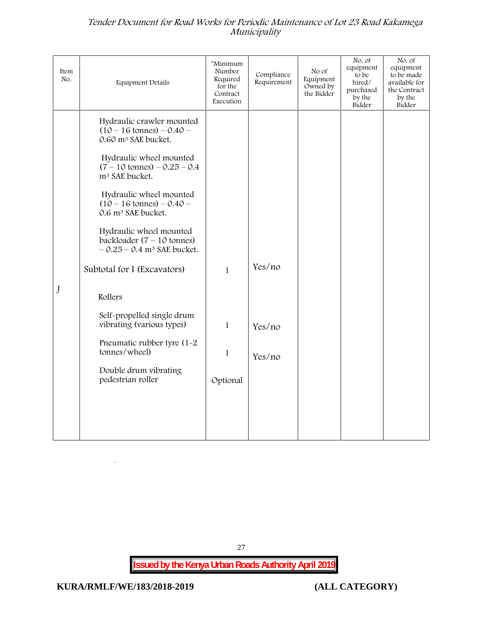| Item<br>No. | Equipment Details                                                                                                                                                                                                                                                                                                                                                                                                                                                                                                                                                                                                            | *Minimum<br>Number<br>Required<br>for the<br>Contract<br>Execution | Compliance<br>Requirement  | No of<br>Equipment<br>Owned by<br>the Bidder | No. of<br>equipment<br>to be<br>hired/<br>purchased<br>by the<br>Bidder | No. of<br>equipment<br>to be made<br>available for<br>the Contract<br>by the<br>Bidder |
|-------------|------------------------------------------------------------------------------------------------------------------------------------------------------------------------------------------------------------------------------------------------------------------------------------------------------------------------------------------------------------------------------------------------------------------------------------------------------------------------------------------------------------------------------------------------------------------------------------------------------------------------------|--------------------------------------------------------------------|----------------------------|----------------------------------------------|-------------------------------------------------------------------------|----------------------------------------------------------------------------------------|
| J           | Hydraulic crawler mounted<br>$(10 - 16 \text{ tonnes}) - 0.40 -$<br>0.60 m <sup>3</sup> SAE bucket.<br>Hydraulic wheel mounted<br>$(7 - 10 \text{ tonnes}) - 0.25 - 0.4$<br>m <sup>3</sup> SAE bucket.<br>Hydraulic wheel mounted<br>$(10 - 16 \text{ tonnes}) - 0.40 -$<br>0.6 m <sup>3</sup> SAE bucket.<br>Hydraulic wheel mounted<br>backloader $(7 - 10 \text{ tonnes})$<br>$-0.25 - 0.4$ m <sup>3</sup> SAE bucket.<br>Subtotal for I (Excavators)<br>Rollers<br>Self-propelled single drum<br>vibrating (various types)<br>Pneumatic rubber tyre (1-2)<br>tonnes/wheel)<br>Double drum vibrating<br>pedestrian roller | $\mathbf{1}$<br>$\mathbf{1}$<br>$\mathbf{1}$<br>Optional           | Yes/no<br>Yes/no<br>Yes/no |                                              |                                                                         |                                                                                        |

27

**Issued by the Kenya Urban Roads Authority April 2019**

 $\ddot{\phantom{a}}$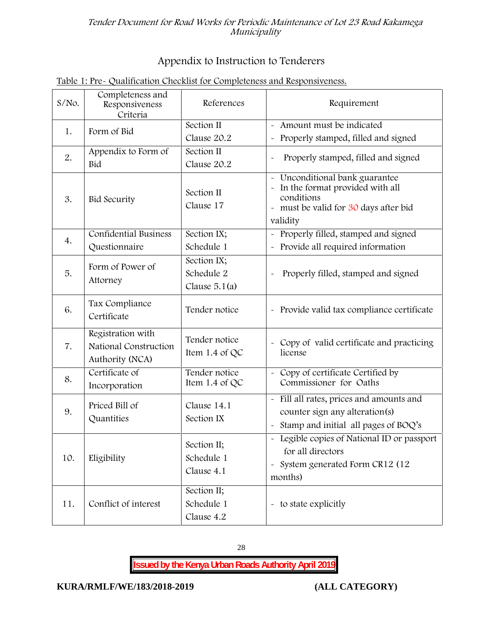# **Appendix to Instruction to Tenderers**

| $S/NO$ . | Completeness and<br>Responsiveness<br>Criteria                | References                                   | Requirement                                                                                                                                                   |
|----------|---------------------------------------------------------------|----------------------------------------------|---------------------------------------------------------------------------------------------------------------------------------------------------------------|
| 1.       | Form of Bid                                                   | Section II<br>Clause 20.2                    | - Amount must be indicated<br>Properly stamped, filled and signed<br>$\tilde{\phantom{a}}$                                                                    |
| 2.       | Appendix to Form of<br><b>Bid</b>                             | Section II<br>Clause 20.2                    | Properly stamped, filled and signed<br>$\tilde{\phantom{a}}$                                                                                                  |
| 3.       | <b>Bid Security</b>                                           | Section II<br>Clause 17                      | Unconditional bank guarantee<br>In the format provided with all<br>conditions<br>must be valid for 30 days after bid<br>$\widetilde{\phantom{m}}$<br>validity |
| 4.       | <b>Confidential Business</b><br>Questionnaire                 | Section IX;<br>Schedule 1                    | Properly filled, stamped and signed<br>Provide all required information                                                                                       |
| 5.       | Form of Power of<br>Attorney                                  | Section IX;<br>Schedule 2<br>Clause $5.1(a)$ | Properly filled, stamped and signed                                                                                                                           |
| 6.       | Tax Compliance<br>Certificate                                 | Tender notice                                | - Provide valid tax compliance certificate                                                                                                                    |
| 7.       | Registration with<br>National Construction<br>Authority (NCA) | Tender notice<br>Item 1.4 of QC              | Copy of valid certificate and practicing<br>license                                                                                                           |
| 8.       | Certificate of<br>Incorporation                               | Tender notice<br>Item 1.4 of $QC$            | Copy of certificate Certified by<br>Commissioner for Oaths                                                                                                    |
| 9.       | Priced Bill of<br>Quantities                                  | Clause 14.1<br>Section IX                    | Fill all rates, prices and amounts and<br>$\tilde{\phantom{a}}$<br>counter sign any alteration(s)<br>Stamp and initial all pages of BOQ's                     |
| 10.      | Eligibility                                                   | Section II;<br>Schedule 1<br>Clause 4.1      | - Legible copies of National ID or passport<br>for all directors<br>System generated Form CR12 (12<br>$\tilde{\phantom{a}}$<br>months)                        |
| 11.      | Conflict of interest                                          | Section II;<br>Schedule 1<br>Clause 4.2      | - to state explicitly                                                                                                                                         |

# **Table 1: Pre- Qualification Checklist for Completeness and Responsiveness.**

28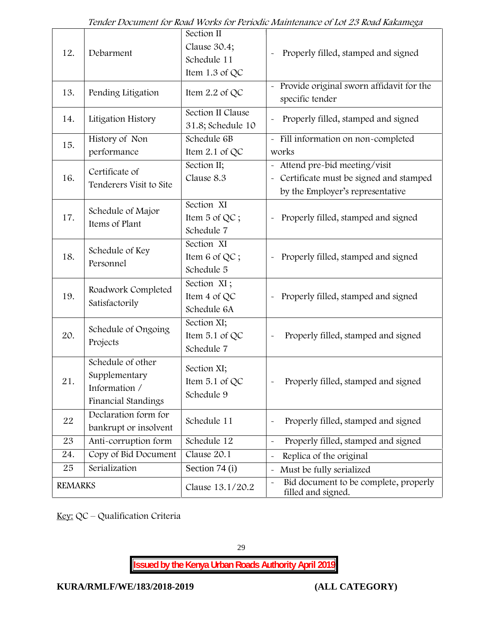| 12.            | Debarment                                                                  | Section II<br>Clause 30.4;<br>Schedule 11<br>Item 1.3 of QC | Properly filled, stamped and signed                                                                            |
|----------------|----------------------------------------------------------------------------|-------------------------------------------------------------|----------------------------------------------------------------------------------------------------------------|
| 13.            | Pending Litigation                                                         | Item $2.2$ of QC                                            | Provide original sworn affidavit for the<br>specific tender                                                    |
| 14.            | Litigation History                                                         | Section II Clause<br>31.8; Schedule 10                      | Properly filled, stamped and signed                                                                            |
| 15.            | History of Non<br>performance                                              | Schedule 6B<br>Item $2.1$ of QC                             | - Fill information on non-completed<br>works                                                                   |
| 16.            | Certificate of<br>Tenderers Visit to Site                                  | Section II;<br>Clause 8.3                                   | - Attend pre-bid meeting/visit<br>- Certificate must be signed and stamped<br>by the Employer's representative |
| 17.            | Schedule of Major<br>Items of Plant                                        | Section XI<br>Item 5 of QC;<br>Schedule 7                   | Properly filled, stamped and signed                                                                            |
| 18.            | Schedule of Key<br>Personnel                                               | Section XI<br>Item 6 of QC;<br>Schedule 5                   | Properly filled, stamped and signed<br>$\widetilde{\phantom{m}}$                                               |
| 19.            | Roadwork Completed<br>Satisfactorily                                       | Section XI;<br>Item 4 of QC<br>Schedule 6A                  | Properly filled, stamped and signed<br>$\tilde{\phantom{a}}$                                                   |
| 20.            | Schedule of Ongoing<br>Projects                                            | Section XI;<br>Item 5.1 of QC<br>Schedule 7                 | Properly filled, stamped and signed                                                                            |
| 21.            | Schedule of other<br>Supplementary<br>Information /<br>Financial Standings | Section XI;<br>Item $5.1$ of QC<br>Schedule 9               | Properly filled, stamped and signed                                                                            |
| 22             | Declaration form for<br>bankrupt or insolvent                              | Schedule 11                                                 | Properly filled, stamped and signed                                                                            |
| 23             | Anti-corruption form                                                       | Schedule 12                                                 | Properly filled, stamped and signed<br>$\tilde{\phantom{a}}$                                                   |
| 24.            | Copy of Bid Document                                                       | Clause 20.1                                                 | Replica of the original                                                                                        |
| 25             | Serialization                                                              | Section 74 (i)                                              | Must be fully serialized                                                                                       |
| <b>REMARKS</b> |                                                                            | Clause 13.1/20.2                                            | Bid document to be complete, properly<br>filled and signed.                                                    |

**Key:** QC – Qualification Criteria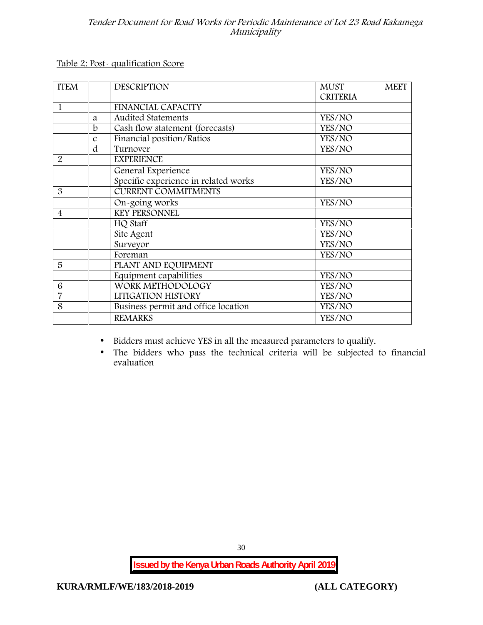**Table 2: Post- qualification Score**

| <b>ITEM</b>    |                  | <b>DESCRIPTION</b>                   | <b>MUST</b>     | <b>MEET</b> |
|----------------|------------------|--------------------------------------|-----------------|-------------|
|                |                  |                                      | <b>CRITERIA</b> |             |
| 1              |                  | <b>FINANCIAL CAPACITY</b>            |                 |             |
|                | a                | <b>Audited Statements</b>            | YES/NO          |             |
|                | b                | Cash flow statement (forecasts)      | YES/NO          |             |
|                | $\boldsymbol{C}$ | Financial position/Ratios            | YES/NO          |             |
|                | d                | Turnover                             | YES/NO          |             |
| 2              |                  | <b>EXPERIENCE</b>                    |                 |             |
|                |                  | General Experience                   | YES/NO          |             |
|                |                  | Specific experience in related works | YES/NO          |             |
| 3              |                  | <b>CURRENT COMMITMENTS</b>           |                 |             |
|                |                  | On-going works                       | YES/NO          |             |
| $\overline{4}$ |                  | <b>KEY PERSONNEL</b>                 |                 |             |
|                |                  | HQ Staff                             | YES/NO          |             |
|                |                  | Site Agent                           | YES/NO          |             |
|                |                  | Surveyor                             | YES/NO          |             |
|                |                  | Foreman                              | YES/NO          |             |
| 5              |                  | PLANT AND EQUIPMENT                  |                 |             |
|                |                  | Equipment capabilities               | YES/NO          |             |
| 6              |                  | WORK METHODOLOGY                     | YES/NO          |             |
| $\overline{7}$ |                  | LITIGATION HISTORY                   | YES/NO          |             |
| 8              |                  | Business permit and office location  | YES/NO          |             |
|                |                  | <b>REMARKS</b>                       | YES/NO          |             |

- Bidders must achieve YES in all the measured parameters to qualify.
- The bidders who pass the technical criteria will be subjected to financial evaluation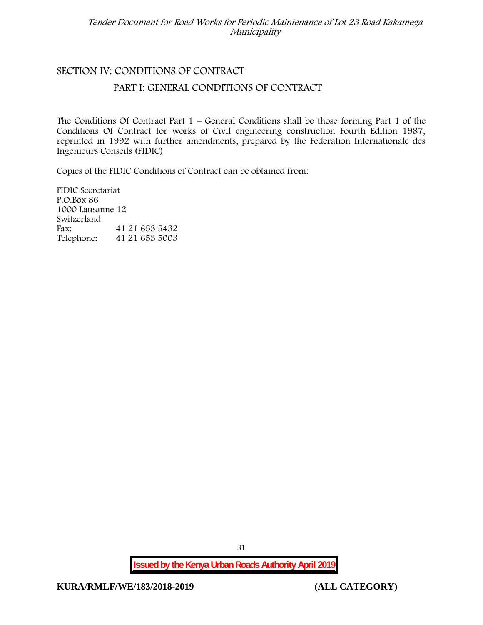# **SECTION IV: CONDITIONS OF CONTRACT**

## **PART I: GENERAL CONDITIONS OF CONTRACT**

The Conditions Of Contract Part  $1$  – General Conditions shall be those forming Part 1 of the Conditions Of Contract for works of Civil engineering construction Fourth Edition 1987, reprinted in 1992 with further amendments, prepared by the Federation Internationale des Ingenieurs Conseils (FIDIC)

Copies of the FIDIC Conditions of Contract can be obtained from:

FIDIC Secretariat P.O.Box 86 1000 Lausanne 12 **Switzerland** Fax: 41 21 653 5432 Telephone: 41 21 653 5003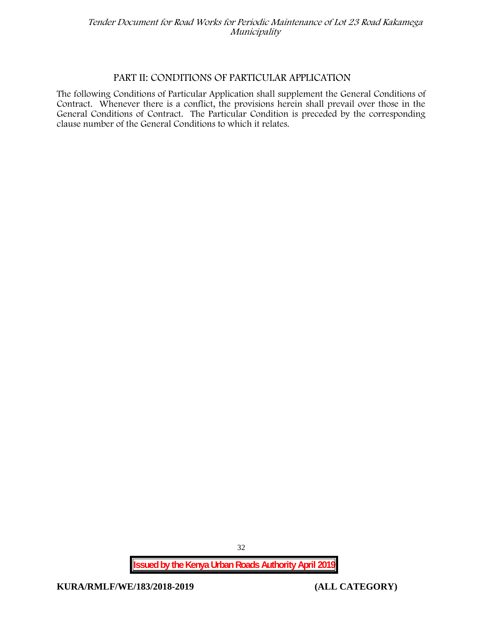#### **PART II: CONDITIONS OF PARTICULAR APPLICATION**

The following Conditions of Particular Application shall supplement the General Conditions of Contract. Whenever there is a conflict, the provisions herein shall prevail over those in the General Conditions of Contract. The Particular Condition is preceded by the corresponding clause number of the General Conditions to which it relates.

**Issued by the Kenya Urban Roads Authority April 2019**

**KURA/RMLF/WE/183/2018-2019 (ALL CATEGORY)**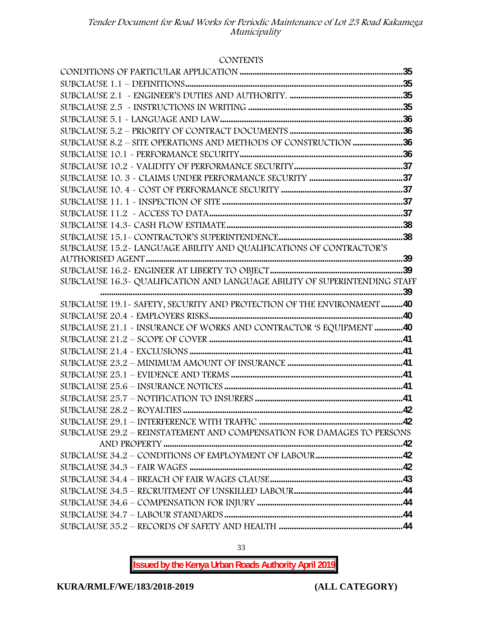#### **CONTENTS**

| SUBCLAUSE 8.2 - SITE OPERATIONS AND METHODS OF CONSTRUCTION 36             |  |
|----------------------------------------------------------------------------|--|
|                                                                            |  |
|                                                                            |  |
|                                                                            |  |
|                                                                            |  |
|                                                                            |  |
|                                                                            |  |
|                                                                            |  |
|                                                                            |  |
| SUBCLAUSE 15.2-LANGUAGE ABILITY AND QUALIFICATIONS OF CONTRACTOR'S         |  |
|                                                                            |  |
|                                                                            |  |
| SUBCLAUSE 16.3- QUALIFICATION AND LANGUAGE ABILITY OF SUPERINTENDING STAFF |  |
|                                                                            |  |
| SUBCLAUSE 19.1 - SAFETY, SECURITY AND PROTECTION OF THE ENVIRONMENT 40     |  |
|                                                                            |  |
| SUBCLAUSE 21.1 - INSURANCE OF WORKS AND CONTRACTOR 'S EQUIPMENT 40         |  |
|                                                                            |  |
| SUBCLAUSE 21.4 ~ EXCLUSIONS …………………………………………………………………………………………41           |  |
|                                                                            |  |
|                                                                            |  |
|                                                                            |  |
|                                                                            |  |
|                                                                            |  |
|                                                                            |  |
| SUBCLAUSE 29.2 - REINSTATEMENT AND COMPENSATION FOR DAMAGES TO PERSONS     |  |
|                                                                            |  |
|                                                                            |  |
|                                                                            |  |
|                                                                            |  |
|                                                                            |  |
|                                                                            |  |
|                                                                            |  |
|                                                                            |  |

**Issued by the Kenya Urban Roads Authority April 2019**

33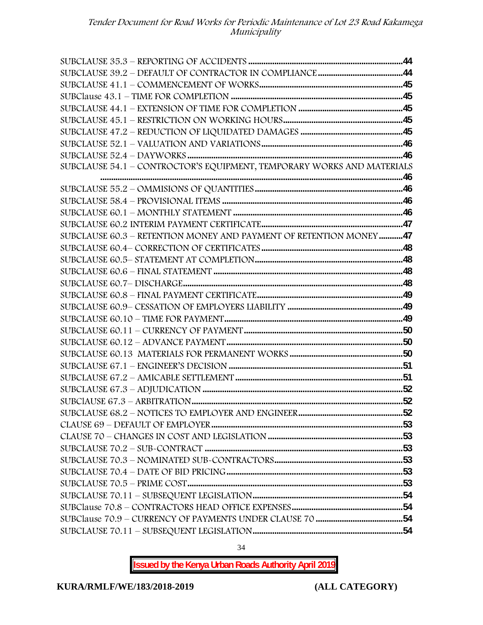| SUBCLAUSE 54.1 - CONTROCTOR'S EQUIPMENT, TEMPORARY WORKS AND MATERIALS |  |
|------------------------------------------------------------------------|--|
|                                                                        |  |
|                                                                        |  |
|                                                                        |  |
|                                                                        |  |
|                                                                        |  |
| SUBCLAUSE 60.3 - RETENTION MONEY AND PAYMENT OF RETENTION MONEY47      |  |
|                                                                        |  |
|                                                                        |  |
|                                                                        |  |
|                                                                        |  |
|                                                                        |  |
|                                                                        |  |
|                                                                        |  |
|                                                                        |  |
|                                                                        |  |
|                                                                        |  |
|                                                                        |  |
|                                                                        |  |
|                                                                        |  |
|                                                                        |  |
|                                                                        |  |
|                                                                        |  |
|                                                                        |  |
|                                                                        |  |
|                                                                        |  |
|                                                                        |  |
|                                                                        |  |
|                                                                        |  |
|                                                                        |  |
|                                                                        |  |
|                                                                        |  |

34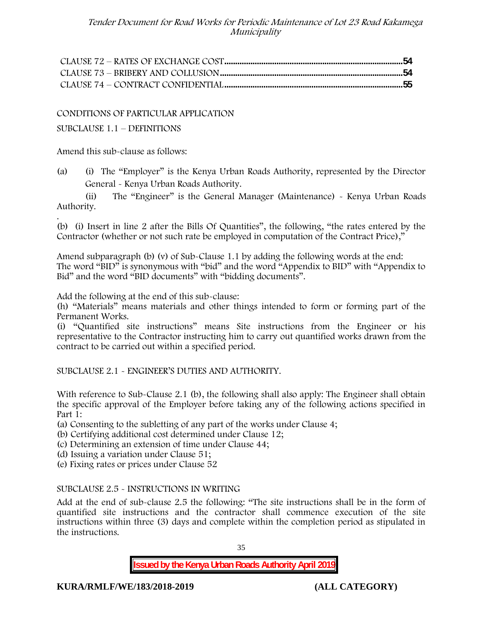CONDITIONS OF PARTICULAR APPLICATION

SUBCLAUSE 1.1 – DEFINITIONS

Amend this sub-clause as follows:

(a) (i) The "Employer" is the Kenya Urban Roads Authority, represented by the Director General - Kenya Urban Roads Authority.

(ii) The "Engineer" is the General Manager (Maintenance) - Kenya Urban Roads Authority.

.(b) (i) Insert in line 2 after the Bills Of Quantities", the following, "the rates entered by the Contractor (whether or not such rate be employed in computation of the Contract Price),"

Amend subparagraph (b) (v) of Sub-Clause 1.1 by adding the following words at the end: The word "BID" is synonymous with "bid" and the word "Appendix to BID" with "Appendix to Bid" and the word "BID documents" with "bidding documents".

Add the following at the end of this sub-clause:

(h) "Materials" means materials and other things intended to form or forming part of the Permanent Works.

(i) "Quantified site instructions" means Site instructions from the Engineer or his representative to the Contractor instructing him to carry out quantified works drawn from the contract to be carried out within a specified period.

SUBCLAUSE 2.1 - ENGINEER'S DUTIES AND AUTHORITY.

With reference to Sub-Clause 2.1 (b), the following shall also apply: The Engineer shall obtain the specific approval of the Employer before taking any of the following actions specified in Part 1:

(a) Consenting to the subletting of any part of the works under Clause 4;

(b) Certifying additional cost determined under Clause 12;

(c) Determining an extension of time under Clause 44;

(d) Issuing a variation under Clause 51;

(e) Fixing rates or prices under Clause 52

#### SUBCLAUSE 2.5 - INSTRUCTIONS IN WRITING

Add at the end of sub-clause 2.5 the following: "The site instructions shall be in the form of quantified site instructions and the contractor shall commence execution of the site instructions within three (3) days and complete within the completion period as stipulated in the instructions.

35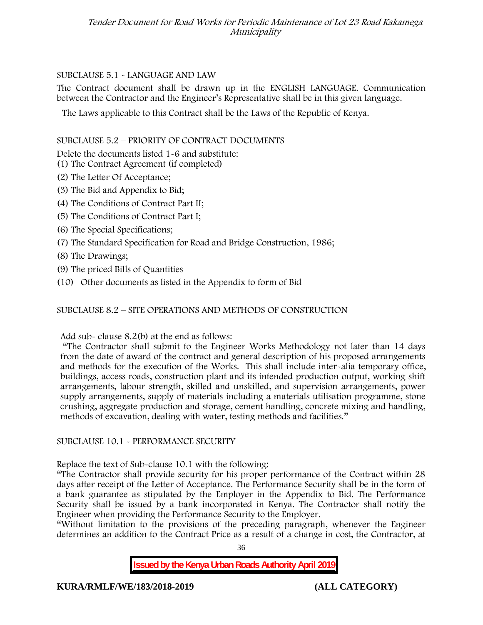# SUBCLAUSE 5.1 - LANGUAGE AND LAW

The Contract document shall be drawn up in the ENGLISH LANGUAGE. Communication between the Contractor and the Engineer's Representative shall be in this given language.

The Laws applicable to this Contract shall be the Laws of the Republic of Kenya.

# SUBCLAUSE 5.2 – PRIORITY OF CONTRACT DOCUMENTS

Delete the documents listed 1-6 and substitute:

- (1) The Contract Agreement (if completed)
- (2) The Letter Of Acceptance;
- (3) The Bid and Appendix to Bid;
- (4) The Conditions of Contract Part II;
- (5) The Conditions of Contract Part I;
- (6) The Special Specifications;
- (7) The Standard Specification for Road and Bridge Construction, 1986;
- (8) The Drawings;
- (9) The priced Bills of Quantities
- (10) Other documents as listed in the Appendix to form of Bid

# SUBCLAUSE 8.2 – SITE OPERATIONS AND METHODS OF CONSTRUCTION

Add sub- clause 8.2(b) at the end as follows:

"The Contractor shall submit to the Engineer Works Methodology not later than 14 days from the date of award of the contract and general description of his proposed arrangements and methods for the execution of the Works. This shall include inter-alia temporary office, buildings, access roads, construction plant and its intended production output, working shift arrangements, labour strength, skilled and unskilled, and supervision arrangements, power supply arrangements, supply of materials including a materials utilisation programme, stone crushing, aggregate production and storage, cement handling, concrete mixing and handling, methods of excavation, dealing with water, testing methods and facilities."

# SUBCLAUSE 10.1 - PERFORMANCE SECURITY

Replace the text of Sub-clause 10.1 with the following:

"The Contractor shall provide security for his proper performance of the Contract within 28 days after receipt of the Letter of Acceptance. The Performance Security shall be in the form of a bank guarantee as stipulated by the Employer in the Appendix to Bid. The Performance Security shall be issued by a bank incorporated in Kenya. The Contractor shall notify the Engineer when providing the Performance Security to the Employer.

"Without limitation to the provisions of the preceding paragraph, whenever the Engineer determines an addition to the Contract Price as a result of a change in cost, the Contractor, at

36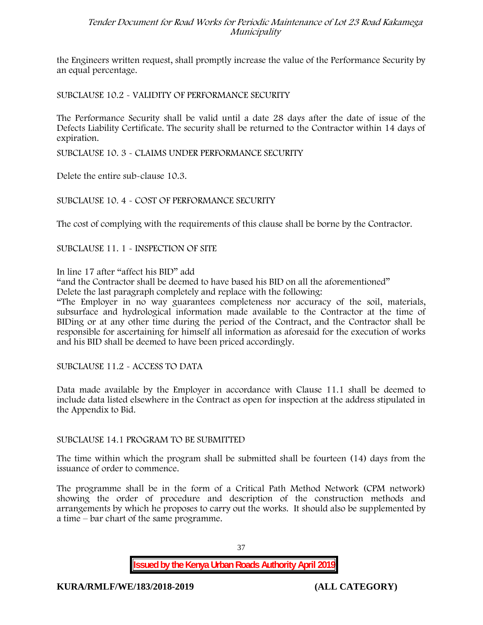the Engineers written request, shall promptly increase the value of the Performance Security by an equal percentage.

SUBCLAUSE 10.2 - VALIDITY OF PERFORMANCE SECURITY

The Performance Security shall be valid until a date 28 days after the date of issue of the Defects Liability Certificate. The security shall be returned to the Contractor within 14 days of expiration.

SUBCLAUSE 10. 3 - CLAIMS UNDER PERFORMANCE SECURITY

Delete the entire sub-clause 10.3.

### SUBCLAUSE 10. 4 - COST OF PERFORMANCE SECURITY

The cost of complying with the requirements of this clause shall be borne by the Contractor.

SUBCLAUSE 11. 1 - INSPECTION OF SITE

In line 17 after "affect his BID" add

"and the Contractor shall be deemed to have based his BID on all the aforementioned"

Delete the last paragraph completely and replace with the following:

"The Employer in no way guarantees completeness nor accuracy of the soil, materials, subsurface and hydrological information made available to the Contractor at the time of BIDing or at any other time during the period of the Contract, and the Contractor shall be responsible for ascertaining for himself all information as aforesaid for the execution of works and his BID shall be deemed to have been priced accordingly.

SUBCLAUSE 11.2 - ACCESS TO DATA

Data made available by the Employer in accordance with Clause 11.1 shall be deemed to include data listed elsewhere in the Contract as open for inspection at the address stipulated in the Appendix to Bid.

### SUBCLAUSE 14.1 PROGRAM TO BE SUBMITTED

The time within which the program shall be submitted shall be fourteen (14) days from the issuance of order to commence**.**

The programme shall be in the form of a Critical Path Method Network (CPM network) showing the order of procedure and description of the construction methods and arrangements by which he proposes to carry out the works. It should also be supplemented by a time – bar chart of the same programme.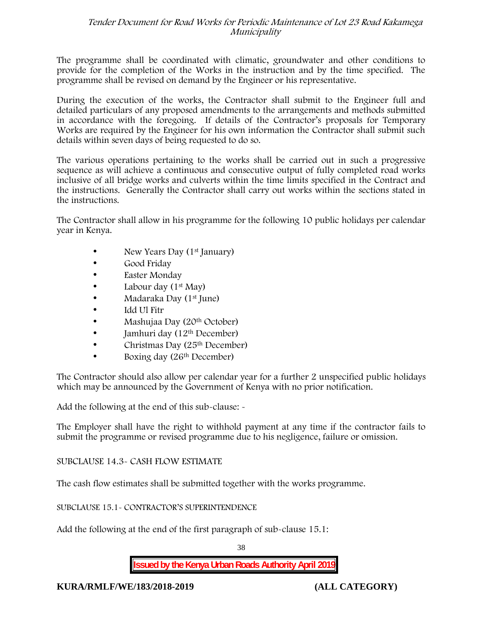The programme shall be coordinated with climatic, groundwater and other conditions to provide for the completion of the Works in the instruction and by the time specified. The programme shall be revised on demand by the Engineer or his representative.

During the execution of the works, the Contractor shall submit to the Engineer full and detailed particulars of any proposed amendments to the arrangements and methods submitted in accordance with the foregoing. If details of the Contractor's proposals for Temporary Works are required by the Engineer for his own information the Contractor shall submit such details within seven days of being requested to do so.

The various operations pertaining to the works shall be carried out in such a progressive sequence as will achieve a continuous and consecutive output of fully completed road works inclusive of all bridge works and culverts within the time limits specified in the Contract and the instructions. Generally the Contractor shall carry out works within the sections stated in the instructions.

The Contractor shall allow in his programme for the following 10 public holidays per calendar year in Kenya.

- New Years Day (1<sup>st</sup> January)
- Good Friday
- Easter Monday
- Labour day  $(1<sup>st</sup>$  May)
- Madaraka Day (1st June)
- Idd Ul Fitr
- Mashujaa Day (20<sup>th</sup> October)
- $\bullet$  Jamhuri day (12<sup>th</sup> December)
- Christmas Day  $(25<sup>th</sup> December)$
- Boxing day (26<sup>th</sup> December)

The Contractor should also allow per calendar year for a further 2 unspecified public holidays which may be announced by the Government of Kenya with no prior notification.

Add the following at the end of this sub-clause: -

The Employer shall have the right to withhold payment at any time if the contractor fails to submit the programme or revised programme due to his negligence, failure or omission.

# SUBCLAUSE 14.3- CASH FLOW ESTIMATE

The cash flow estimates shall be submitted together with the works programme.

# SUBCLAUSE 15.1- CONTRACTOR'S SUPERINTENDENCE

Add the following at the end of the first paragraph of sub-clause 15.1:

38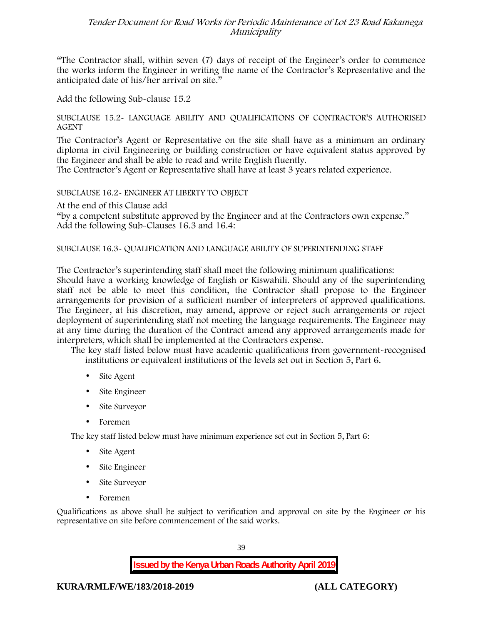"The Contractor shall, within seven (7) days of receipt of the Engineer's order to commence the works inform the Engineer in writing the name of the Contractor's Representative and the anticipated date of his/her arrival on site."

Add the following Sub-clause 15.2

### SUBCLAUSE 15.2- LANGUAGE ABILITY AND QUALIFICATIONS OF CONTRACTOR'S AUTHORISED AGENT

The Contractor's Agent or Representative on the site shall have as a minimum an ordinary diploma in civil Engineering or building construction or have equivalent status approved by the Engineer and shall be able to read and write English fluently.

The Contractor's Agent or Representative shall have at least 3 years related experience.

### SUBCLAUSE 16.2- ENGINEER AT LIBERTY TO OBJECT

At the end of this Clause add

"by a competent substitute approved by the Engineer and at the Contractors own expense." Add the following Sub-Clauses 16.3 and 16.4:

### SUBCLAUSE 16.3- QUALIFICATION AND LANGUAGE ABILITY OF SUPERINTENDING STAFF

The Contractor's superintending staff shall meet the following minimum qualifications: Should have a working knowledge of English or Kiswahili. Should any of the superintending staff not be able to meet this condition, the Contractor shall propose to the Engineer arrangements for provision of a sufficient number of interpreters of approved qualifications. The Engineer, at his discretion, may amend, approve or reject such arrangements or reject deployment of superintending staff not meeting the language requirements. The Engineer may at any time during the duration of the Contract amend any approved arrangements made for interpreters, which shall be implemented at the Contractors expense.

The key staff listed below must have academic qualifications from government-recognised institutions or equivalent institutions of the levels set out in Section 5, Part 6.

- Site Agent
- Site Engineer
- Site Surveyor
- Foremen

The key staff listed below must have minimum experience set out in Section 5, Part 6:

- Site Agent
- Site Engineer
- Site Surveyor
- Foremen

Qualifications as above shall be subject to verification and approval on site by the Engineer or his representative on site before commencement of the said works.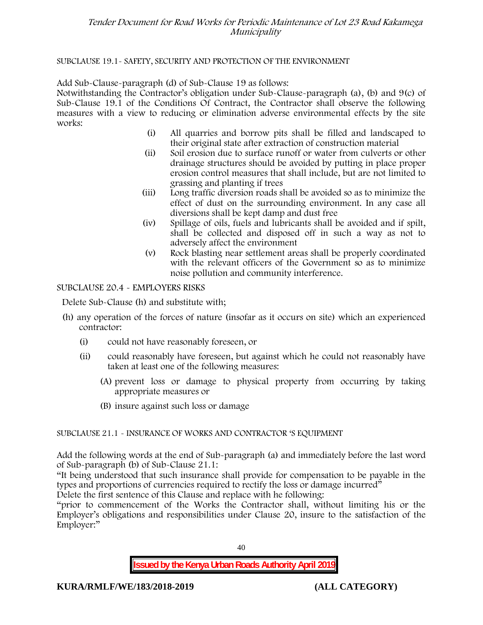### SUBCLAUSE 19.1- SAFETY, SECURITY AND PROTECTION OF THE ENVIRONMENT

Add Sub-Clause-paragraph (d) of Sub-Clause 19 as follows:

Notwithstanding the Contractor's obligation under Sub-Clause-paragraph (a), (b) and 9(c) of Sub-Clause 19.1 of the Conditions Of Contract, the Contractor shall observe the following measures with a view to reducing or elimination adverse environmental effects by the site works:

- (i) All quarries and borrow pits shall be filled and landscaped to their original state after extraction of construction material
- (ii) Soil erosion due to surface runoff or water from culverts or other drainage structures should be avoided by putting in place proper erosion control measures that shall include, but are not limited to grassing and planting if trees
- (iii) Long traffic diversion roads shall be avoided so as to minimize the effect of dust on the surrounding environment. In any case all diversions shall be kept damp and dust free
- (iv) Spillage of oils, fuels and lubricants shall be avoided and if spilt, shall be collected and disposed off in such a way as not to adversely affect the environment
- (v) Rock blasting near settlement areas shall be properly coordinated with the relevant officers of the Government so as to minimize noise pollution and community interference.

### SUBCLAUSE 20.4 - EMPLOYERS RISKS

Delete Sub-Clause (h) and substitute with;

- (h) any operation of the forces of nature (insofar as it occurs on site) which an experienced contractor:
	- (i) could not have reasonably foreseen, or
	- (ii) could reasonably have foreseen, but against which he could not reasonably have taken at least one of the following measures:
		- (A) prevent loss or damage to physical property from occurring by taking appropriate measures or
		- (B) insure against such loss or damage

# SUBCLAUSE 21.1 - INSURANCE OF WORKS AND CONTRACTOR 'S EQUIPMENT

Add the following words at the end of Sub-paragraph (a) and immediately before the last word of Sub-paragraph (b) of Sub-Clause 21.1:

"It being understood that such insurance shall provide for compensation to be payable in the types and proportions of currencies required to rectify the loss or damage incurred"

Delete the first sentence of this Clause and replace with he following:

"prior to commencement of the Works the Contractor shall, without limiting his or the Employer's obligations and responsibilities under Clause 20, insure to the satisfaction of the Employer:"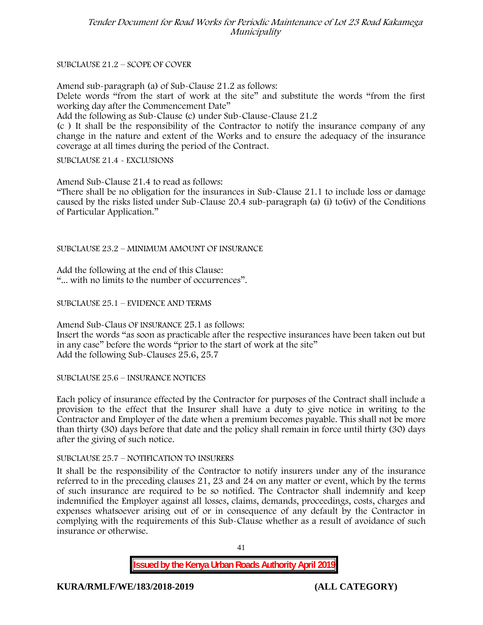SUBCLAUSE 21.2 – SCOPE OF COVER

Amend sub-paragraph (a) of Sub-Clause 21.2 as follows:

Delete words "from the start of work at the site" and substitute the words "from the first working day after the Commencement Date"

Add the following as Sub-Clause (c) under Sub-Clause-Clause 21.2

(c ) It shall be the responsibility of the Contractor to notify the insurance company of any change in the nature and extent of the Works and to ensure the adequacy of the insurance coverage at all times during the period of the Contract.

SUBCLAUSE 21.4 - EXCLUSIONS

Amend Sub-Clause 21.4 to read as follows:

"There shall be no obligation for the insurances in Sub-Clause 21.1 to include loss or damage caused by the risks listed under Sub-Clause 20.4 sub-paragraph (a) (i) to(iv) of the Conditions of Particular Application."

SUBCLAUSE 23.2 – MINIMUM AMOUNT OF INSURANCE

Add the following at the end of this Clause: "... with no limits to the number of occurrences".

SUBCLAUSE 25.1 – EVIDENCE AND TERMS

Amend Sub-Claus OF INSURANCE 25.1 as follows: Insert the words "as soon as practicable after the respective insurances have been taken out but in any case" before the words "prior to the start of work at the site" Add the following Sub-Clauses 25.6, 25.7

SUBCLAUSE 25.6 – INSURANCE NOTICES

Each policy of insurance effected by the Contractor for purposes of the Contract shall include a provision to the effect that the Insurer shall have a duty to give notice in writing to the Contractor and Employer of the date when a premium becomes payable. This shall not be more than thirty (30) days before that date and the policy shall remain in force until thirty (30) days after the giving of such notice.

### SUBCLAUSE 25.7 – NOTIFICATION TO INSURERS

It shall be the responsibility of the Contractor to notify insurers under any of the insurance referred to in the preceding clauses 21, 23 and 24 on any matter or event, which by the terms of such insurance are required to be so notified. The Contractor shall indemnify and keep indemnified the Employer against all losses, claims, demands, proceedings, costs, charges and expenses whatsoever arising out of or in consequence of any default by the Contractor in complying with the requirements of this Sub-Clause whether as a result of avoidance of such insurance or otherwise.

41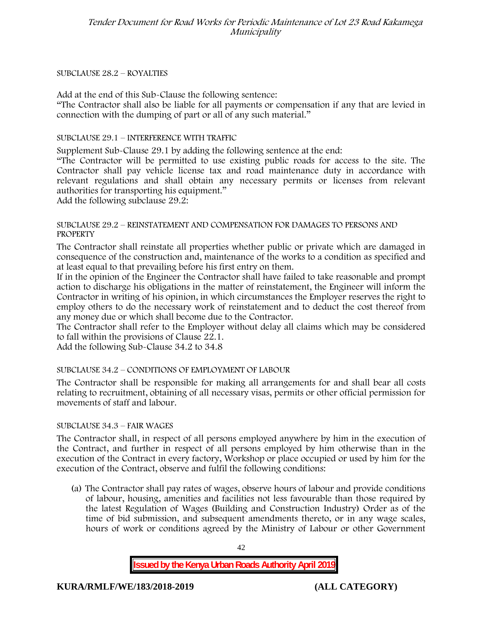### SUBCLAUSE 28.2 – ROYALTIES

Add at the end of this Sub-Clause the following sentence: "The Contractor shall also be liable for all payments or compensation if any that are levied in

connection with the dumping of part or all of any such material."

### SUBCLAUSE 29.1 – INTERFERENCE WITH TRAFFIC

Supplement Sub-Clause 29.1 by adding the following sentence at the end:

"The Contractor will be permitted to use existing public roads for access to the site. The Contractor shall pay vehicle license tax and road maintenance duty in accordance with relevant regulations and shall obtain any necessary permits or licenses from relevant authorities for transporting his equipment."

Add the following subclause 29.2:

### SUBCLAUSE 29.2 – REINSTATEMENT AND COMPENSATION FOR DAMAGES TO PERSONS AND **PROPERTY**

The Contractor shall reinstate all properties whether public or private which are damaged in consequence of the construction and, maintenance of the works to a condition as specified and at least equal to that prevailing before his first entry on them.

If in the opinion of the Engineer the Contractor shall have failed to take reasonable and prompt action to discharge his obligations in the matter of reinstatement, the Engineer will inform the Contractor in writing of his opinion, in which circumstances the Employer reserves the right to employ others to do the necessary work of reinstatement and to deduct the cost thereof from any money due or which shall become due to the Contractor.

The Contractor shall refer to the Employer without delay all claims which may be considered to fall within the provisions of Clause 22.1.

Add the following Sub-Clause 34.2 to 34.8

# SUBCLAUSE 34.2 – CONDITIONS OF EMPLOYMENT OF LABOUR

The Contractor shall be responsible for making all arrangements for and shall bear all costs relating to recruitment, obtaining of all necessary visas, permits or other official permission for movements of staff and labour.

### SUBCLAUSE 34.3 – FAIR WAGES

The Contractor shall, in respect of all persons employed anywhere by him in the execution of the Contract, and further in respect of all persons employed by him otherwise than in the execution of the Contract in every factory, Workshop or place occupied or used by him for the execution of the Contract, observe and fulfil the following conditions:

(a) The Contractor shall pay rates of wages, observe hours of labour and provide conditions of labour, housing, amenities and facilities not less favourable than those required by the latest Regulation of Wages (Building and Construction Industry) Order as of the time of bid submission, and subsequent amendments thereto, or in any wage scales, hours of work or conditions agreed by the Ministry of Labour or other Government

42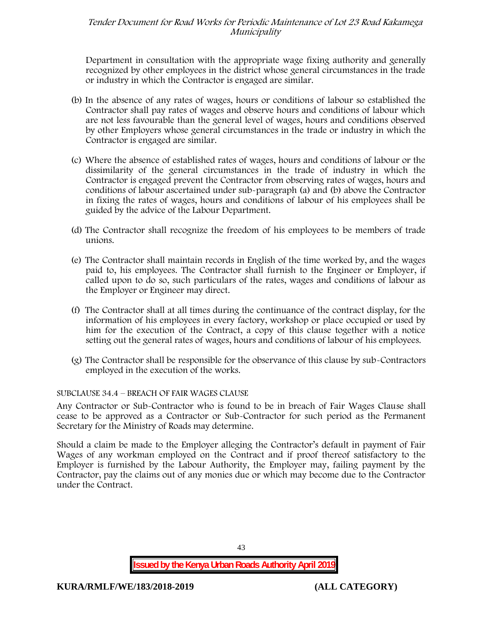Department in consultation with the appropriate wage fixing authority and generally recognized by other employees in the district whose general circumstances in the trade or industry in which the Contractor is engaged are similar.

- (b) In the absence of any rates of wages, hours or conditions of labour so established the Contractor shall pay rates of wages and observe hours and conditions of labour which are not less favourable than the general level of wages, hours and conditions observed by other Employers whose general circumstances in the trade or industry in which the Contractor is engaged are similar.
- (c) Where the absence of established rates of wages, hours and conditions of labour or the dissimilarity of the general circumstances in the trade of industry in which the Contractor is engaged prevent the Contractor from observing rates of wages, hours and conditions of labour ascertained under sub-paragraph (a) and (b) above the Contractor in fixing the rates of wages, hours and conditions of labour of his employees shall be guided by the advice of the Labour Department.
- (d) The Contractor shall recognize the freedom of his employees to be members of trade unions.
- (e) The Contractor shall maintain records in English of the time worked by, and the wages paid to, his employees. The Contractor shall furnish to the Engineer or Employer, if called upon to do so, such particulars of the rates, wages and conditions of labour as the Employer or Engineer may direct.
- (f) The Contractor shall at all times during the continuance of the contract display, for the information of his employees in every factory, workshop or place occupied or used by him for the execution of the Contract, a copy of this clause together with a notice setting out the general rates of wages, hours and conditions of labour of his employees.
- (g) The Contractor shall be responsible for the observance of this clause by sub-Contractors employed in the execution of the works.

# SUBCLAUSE 34.4 – BREACH OF FAIR WAGES CLAUSE

Any Contractor or Sub-Contractor who is found to be in breach of Fair Wages Clause shall cease to be approved as a Contractor or Sub-Contractor for such period as the Permanent Secretary for the Ministry of Roads may determine.

Should a claim be made to the Employer alleging the Contractor's default in payment of Fair Wages of any workman employed on the Contract and if proof thereof satisfactory to the Employer is furnished by the Labour Authority, the Employer may, failing payment by the Contractor, pay the claims out of any monies due or which may become due to the Contractor under the Contract.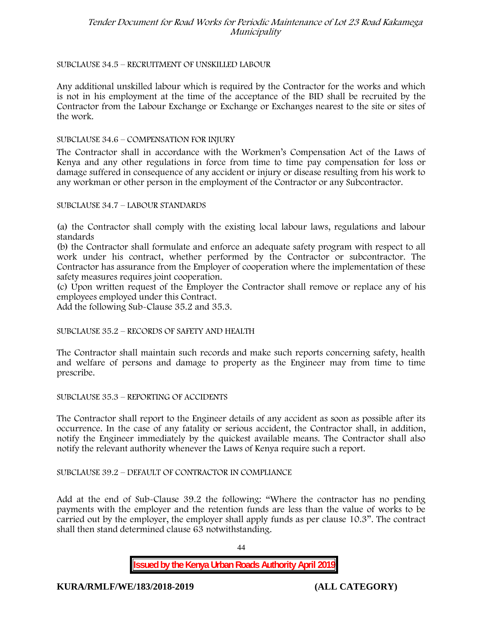### SUBCLAUSE 34.5 – RECRUITMENT OF UNSKILLED LABOUR

Any additional unskilled labour which is required by the Contractor for the works and which is not in his employment at the time of the acceptance of the BID shall be recruited by the Contractor from the Labour Exchange or Exchange or Exchanges nearest to the site or sites of the work.

### SUBCLAUSE 34.6 – COMPENSATION FOR INJURY

The Contractor shall in accordance with the Workmen's Compensation Act of the Laws of Kenya and any other regulations in force from time to time pay compensation for loss or damage suffered in consequence of any accident or injury or disease resulting from his work to any workman or other person in the employment of the Contractor or any Subcontractor.

SUBCLAUSE 34.7 – LABOUR STANDARDS

(a) the Contractor shall comply with the existing local labour laws, regulations and labour standards

(b) the Contractor shall formulate and enforce an adequate safety program with respect to all work under his contract, whether performed by the Contractor or subcontractor. The Contractor has assurance from the Employer of cooperation where the implementation of these safety measures requires joint cooperation.

(c) Upon written request of the Employer the Contractor shall remove or replace any of his employees employed under this Contract.

Add the following Sub-Clause 35.2 and 35.3.

### SUBCLAUSE 35.2 – RECORDS OF SAFETY AND HEALTH

The Contractor shall maintain such records and make such reports concerning safety, health and welfare of persons and damage to property as the Engineer may from time to time prescribe.

SUBCLAUSE 35.3 – REPORTING OF ACCIDENTS

The Contractor shall report to the Engineer details of any accident as soon as possible after its occurrence. In the case of any fatality or serious accident, the Contractor shall, in addition, notify the Engineer immediately by the quickest available means. The Contractor shall also notify the relevant authority whenever the Laws of Kenya require such a report.

### SUBCLAUSE 39.2 – DEFAULT OF CONTRACTOR IN COMPLIANCE

Add at the end of Sub-Clause 39.2 the following: "Where the contractor has no pending payments with the employer and the retention funds are less than the value of works to be carried out by the employer, the employer shall apply funds as per clause 10.3". The contract shall then stand determined clause 63 notwithstanding.

44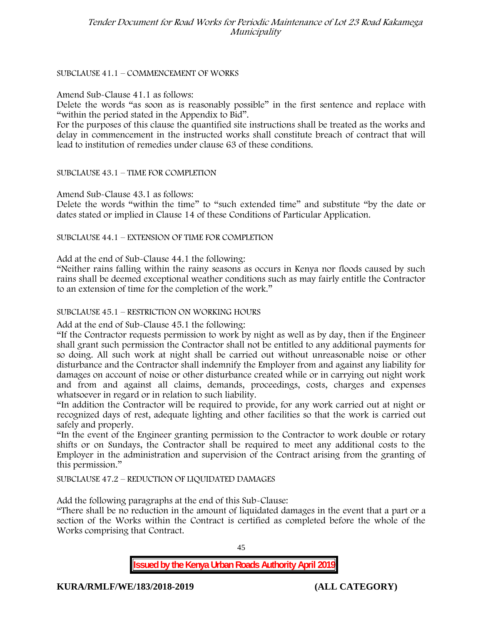### SUBCLAUSE 41.1 – COMMENCEMENT OF WORKS

### Amend Sub-Clause 41.1 as follows:

Delete the words "as soon as is reasonably possible" in the first sentence and replace with "within the period stated in the Appendix to Bid".

For the purposes of this clause the quantified site instructions shall be treated as the works and delay in commencement in the instructed works shall constitute breach of contract that will lead to institution of remedies under clause 63 of these conditions.

### SUBCLAUSE 43.1 – TIME FOR COMPLETION

Amend Sub-Clause 43.1 as follows:

Delete the words "within the time" to "such extended time" and substitute "by the date or dates stated or implied in Clause 14 of these Conditions of Particular Application.

SUBCLAUSE 44.1 – EXTENSION OF TIME FOR COMPLETION

Add at the end of Sub-Clause 44.1 the following:

"Neither rains falling within the rainy seasons as occurs in Kenya nor floods caused by such rains shall be deemed exceptional weather conditions such as may fairly entitle the Contractor to an extension of time for the completion of the work."

### SUBCLAUSE 45.1 – RESTRICTION ON WORKING HOURS

Add at the end of Sub-Clause 45.1 the following:

"If the Contractor requests permission to work by night as well as by day, then if the Engineer shall grant such permission the Contractor shall not be entitled to any additional payments for so doing. All such work at night shall be carried out without unreasonable noise or other disturbance and the Contractor shall indemnify the Employer from and against any liability for damages on account of noise or other disturbance created while or in carrying out night work and from and against all claims, demands, proceedings, costs, charges and expenses whatsoever in regard or in relation to such liability.

"In addition the Contractor will be required to provide, for any work carried out at night or recognized days of rest, adequate lighting and other facilities so that the work is carried out safely and properly.

"In the event of the Engineer granting permission to the Contractor to work double or rotary shifts or on Sundays, the Contractor shall be required to meet any additional costs to the Employer in the administration and supervision of the Contract arising from the granting of this permission."

SUBCLAUSE 47.2 – REDUCTION OF LIQUIDATED DAMAGES

Add the following paragraphs at the end of this Sub-Clause:

"There shall be no reduction in the amount of liquidated damages in the event that a part or a section of the Works within the Contract is certified as completed before the whole of the Works comprising that Contract.

45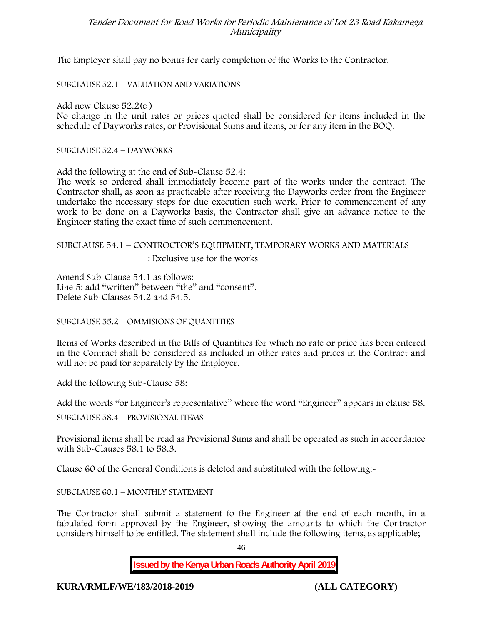The Employer shall pay no bonus for early completion of the Works to the Contractor.

SUBCLAUSE 52.1 – VALUATION AND VARIATIONS

Add new Clause 52.2(c )

No change in the unit rates or prices quoted shall be considered for items included in the schedule of Dayworks rates, or Provisional Sums and items, or for any item in the BOQ.

SUBCLAUSE 52.4 – DAYWORKS

Add the following at the end of Sub-Clause 52.4:

The work so ordered shall immediately become part of the works under the contract. The Contractor shall, as soon as practicable after receiving the Dayworks order from the Engineer undertake the necessary steps for due execution such work. Prior to commencement of any work to be done on a Dayworks basis, the Contractor shall give an advance notice to the Engineer stating the exact time of such commencement.

# SUBCLAUSE 54.1 – CONTROCTOR'S EQUIPMENT, TEMPORARY WORKS AND MATERIALS

: Exclusive use for the works

Amend Sub-Clause 54.1 as follows: Line 5: add "written" between "the" and "consent". Delete Sub-Clauses 54.2 and 54.5.

SUBCLAUSE 55.2 – OMMISIONS OF QUANTITIES

Items of Works described in the Bills of Quantities for which no rate or price has been entered in the Contract shall be considered as included in other rates and prices in the Contract and will not be paid for separately by the Employer.

Add the following Sub-Clause 58:

Add the words "or Engineer's representative" where the word "Engineer" appears in clause 58.

SUBCLAUSE 58.4 – PROVISIONAL ITEMS

Provisional items shall be read as Provisional Sums and shall be operated as such in accordance with Sub-Clauses 58.1 to 58.3.

Clause 60 of the General Conditions is deleted and substituted with the following:-

SUBCLAUSE 60.1 – MONTHLY STATEMENT

The Contractor shall submit a statement to the Engineer at the end of each month, in a tabulated form approved by the Engineer, showing the amounts to which the Contractor considers himself to be entitled. The statement shall include the following items, as applicable;

46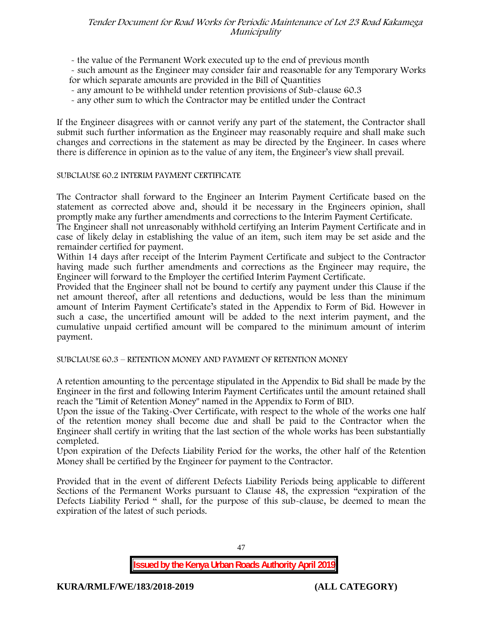- the value of the Permanent Work executed up to the end of previous month
- such amount as the Engineer may consider fair and reasonable for any Temporary Works for which separate amounts are provided in the Bill of Quantities
- any amount to be withheld under retention provisions of Sub-clause 60.3
- any other sum to which the Contractor may be entitled under the Contract

If the Engineer disagrees with or cannot verify any part of the statement, the Contractor shall submit such further information as the Engineer may reasonably require and shall make such changes and corrections in the statement as may be directed by the Engineer. In cases where there is difference in opinion as to the value of any item, the Engineer's view shall prevail.

### SUBCLAUSE 60.2 INTERIM PAYMENT CERTIFICATE

The Contractor shall forward to the Engineer an Interim Payment Certificate based on the statement as corrected above and, should it be necessary in the Engineers opinion, shall promptly make any further amendments and corrections to the Interim Payment Certificate.

The Engineer shall not unreasonably withhold certifying an Interim Payment Certificate and in case of likely delay in establishing the value of an item, such item may be set aside and the remainder certified for payment.

Within 14 days after receipt of the Interim Payment Certificate and subject to the Contractor having made such further amendments and corrections as the Engineer may require, the Engineer will forward to the Employer the certified Interim Payment Certificate.

Provided that the Engineer shall not be bound to certify any payment under this Clause if the net amount thereof, after all retentions and deductions, would be less than the minimum amount of Interim Payment Certificate's stated in the Appendix to Form of Bid. However in such a case, the uncertified amount will be added to the next interim payment, and the cumulative unpaid certified amount will be compared to the minimum amount of interim payment.

SUBCLAUSE 60.3 – RETENTION MONEY AND PAYMENT OF RETENTION MONEY

A retention amounting to the percentage stipulated in the Appendix to Bid shall be made by the Engineer in the first and following Interim Payment Certificates until the amount retained shall reach the "Limit of Retention Money" named in the Appendix to Form of BID.

Upon the issue of the Taking-Over Certificate, with respect to the whole of the works one half of the retention money shall become due and shall be paid to the Contractor when the Engineer shall certify in writing that the last section of the whole works has been substantially completed.

Upon expiration of the Defects Liability Period for the works, the other half of the Retention Money shall be certified by the Engineer for payment to the Contractor.

Provided that in the event of different Defects Liability Periods being applicable to different Sections of the Permanent Works pursuant to Clause 48, the expression "expiration of the Defects Liability Period " shall, for the purpose of this sub-clause, be deemed to mean the expiration of the latest of such periods.

47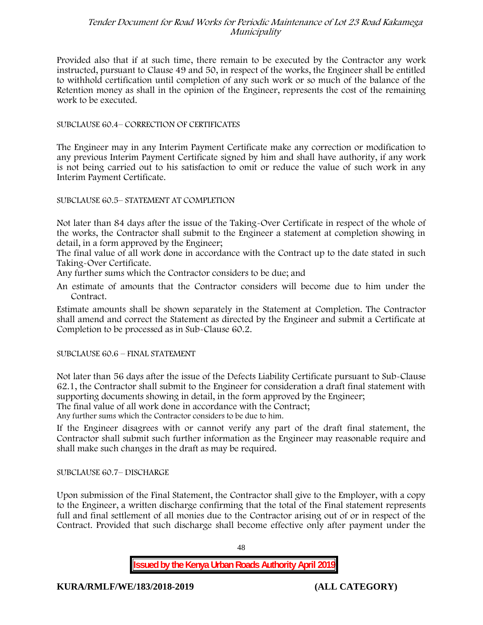Provided also that if at such time, there remain to be executed by the Contractor any work instructed, pursuant to Clause 49 and 50, in respect of the works, the Engineer shall be entitled to withhold certification until completion of any such work or so much of the balance of the Retention money as shall in the opinion of the Engineer, represents the cost of the remaining work to be executed.

### SUBCLAUSE 60.4– CORRECTION OF CERTIFICATES

The Engineer may in any Interim Payment Certificate make any correction or modification to any previous Interim Payment Certificate signed by him and shall have authority, if any work is not being carried out to his satisfaction to omit or reduce the value of such work in any Interim Payment Certificate.

### SUBCLAUSE 60.5– STATEMENT AT COMPLETION

Not later than 84 days after the issue of the Taking-Over Certificate in respect of the whole of the works, the Contractor shall submit to the Engineer a statement at completion showing in detail, in a form approved by the Engineer;

The final value of all work done in accordance with the Contract up to the date stated in such Taking-Over Certificate.

Any further sums which the Contractor considers to be due; and

An estimate of amounts that the Contractor considers will become due to him under the Contract.

Estimate amounts shall be shown separately in the Statement at Completion. The Contractor shall amend and correct the Statement as directed by the Engineer and submit a Certificate at Completion to be processed as in Sub-Clause 60.2.

### SUBCLAUSE 60.6 – FINAL STATEMENT

Not later than 56 days after the issue of the Defects Liability Certificate pursuant to Sub-Clause 62.1, the Contractor shall submit to the Engineer for consideration a draft final statement with supporting documents showing in detail, in the form approved by the Engineer;

The final value of all work done in accordance with the Contract;

Any further sums which the Contractor considers to be due to him.

If the Engineer disagrees with or cannot verify any part of the draft final statement, the Contractor shall submit such further information as the Engineer may reasonable require and shall make such changes in the draft as may be required.

SUBCLAUSE 60.7– DISCHARGE

Upon submission of the Final Statement, the Contractor shall give to the Employer, with a copy to the Engineer, a written discharge confirming that the total of the Final statement represents full and final settlement of all monies due to the Contractor arising out of or in respect of the Contract. Provided that such discharge shall become effective only after payment under the

48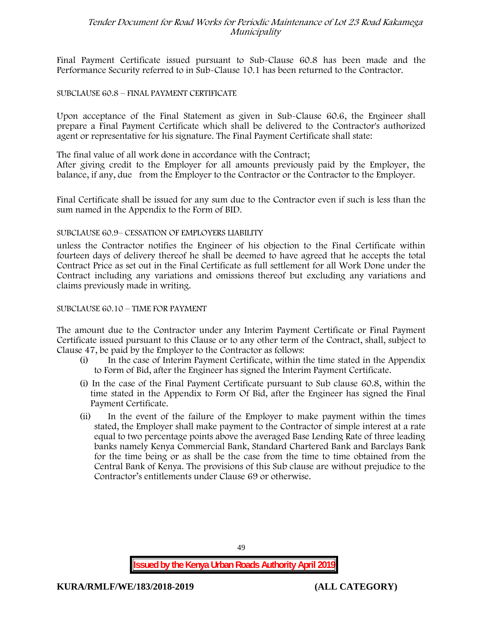Final Payment Certificate issued pursuant to Sub-Clause 60.8 has been made and the Performance Security referred to in Sub-Clause 10.1 has been returned to the Contractor.

### SUBCLAUSE 60.8 – FINAL PAYMENT CERTIFICATE

Upon acceptance of the Final Statement as given in Sub-Clause 60.6, the Engineer shall prepare a Final Payment Certificate which shall be delivered to the Contractor's authorized agent or representative for his signature. The Final Payment Certificate shall state:

The final value of all work done in accordance with the Contract;

After giving credit to the Employer for all amounts previously paid by the Employer, the balance, if any, due from the Employer to the Contractor or the Contractor to the Employer.

Final Certificate shall be issued for any sum due to the Contractor even if such is less than the sum named in the Appendix to the Form of BID.

### SUBCLAUSE 60.9– CESSATION OF EMPLOYERS LIABILITY

unless the Contractor notifies the Engineer of his objection to the Final Certificate within fourteen days of delivery thereof he shall be deemed to have agreed that he accepts the total Contract Price as set out in the Final Certificate as full settlement for all Work Done under the Contract including any variations and omissions thereof but excluding any variations and claims previously made in writing.

### SUBCLAUSE 60.10 – TIME FOR PAYMENT

The amount due to the Contractor under any Interim Payment Certificate or Final Payment Certificate issued pursuant to this Clause or to any other term of the Contract, shall, subject to Clause 47, be paid by the Employer to the Contractor as follows:

- (i) In the case of Interim Payment Certificate, within the time stated in the Appendix to Form of Bid, after the Engineer has signed the Interim Payment Certificate.
- (i) In the case of the Final Payment Certificate pursuant to Sub clause 60.8, within the time stated in the Appendix to Form Of Bid, after the Engineer has signed the Final Payment Certificate.
- (ii) In the event of the failure of the Employer to make payment within the times stated, the Employer shall make payment to the Contractor of simple interest at a rate equal to two percentage points above the averaged Base Lending Rate of three leading banks namely Kenya Commercial Bank, Standard Chartered Bank and Barclays Bank for the time being or as shall be the case from the time to time obtained from the Central Bank of Kenya. The provisions of this Sub clause are without prejudice to the Contractor's entitlements under Clause 69 or otherwise.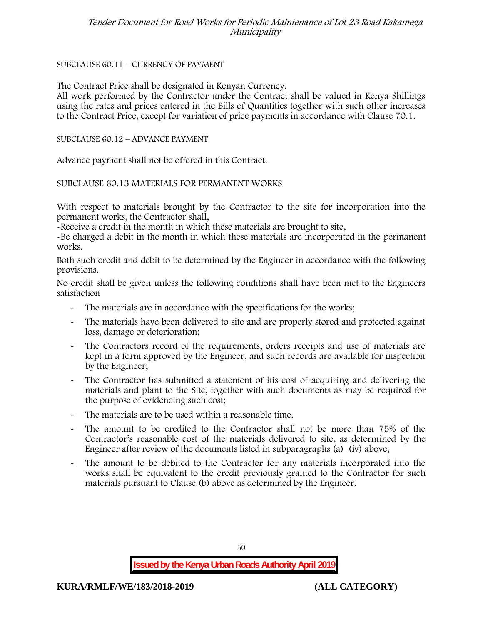### SUBCLAUSE 60.11 – CURRENCY OF PAYMENT

The Contract Price shall be designated in Kenyan Currency.

All work performed by the Contractor under the Contract shall be valued in Kenya Shillings using the rates and prices entered in the Bills of Quantities together with such other increases to the Contract Price, except for variation of price payments in accordance with Clause 70.1.

### SUBCLAUSE 60.12 – ADVANCE PAYMENT

Advance payment shall not be offered in this Contract.

### SUBCLAUSE 60.13 MATERIALS FOR PERMANENT WORKS

With respect to materials brought by the Contractor to the site for incorporation into the permanent works, the Contractor shall,

-Receive a credit in the month in which these materials are brought to site,

-Be charged a debit in the month in which these materials are incorporated in the permanent works.

Both such credit and debit to be determined by the Engineer in accordance with the following provisions.

No credit shall be given unless the following conditions shall have been met to the Engineers satisfaction

- The materials are in accordance with the specifications for the works;
- The materials have been delivered to site and are properly stored and protected against loss, damage or deterioration;
- The Contractors record of the requirements, orders receipts and use of materials are kept in a form approved by the Engineer, and such records are available for inspection by the Engineer;
- The Contractor has submitted a statement of his cost of acquiring and delivering the materials and plant to the Site, together with such documents as may be required for the purpose of evidencing such cost;
- The materials are to be used within a reasonable time.
- The amount to be credited to the Contractor shall not be more than 75% of the Contractor's reasonable cost of the materials delivered to site, as determined by the Engineer after review of the documents listed in subparagraphs (a) (iv) above;
- The amount to be debited to the Contractor for any materials incorporated into the works shall be equivalent to the credit previously granted to the Contractor for such materials pursuant to Clause (b) above as determined by the Engineer.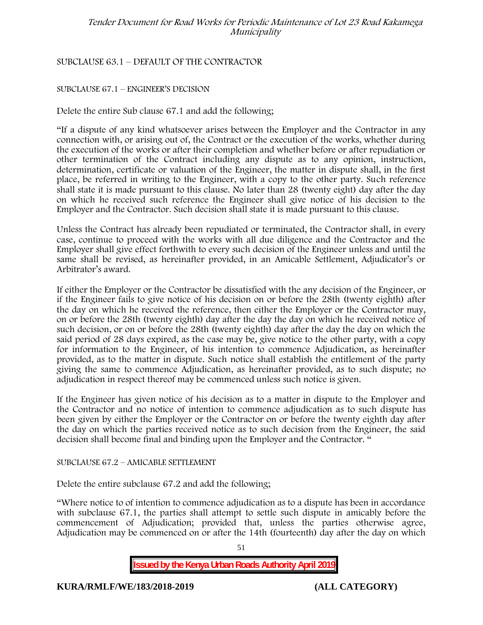# SUBCLAUSE 63.1 – DEFAULT OF THE CONTRACTOR

### SUBCLAUSE 67.1 – ENGINEER'S DECISION

Delete the entire Sub clause 67.1 and add the following;

"If a dispute of any kind whatsoever arises between the Employer and the Contractor in any connection with, or arising out of, the Contract or the execution of the works, whether during the execution of the works or after their completion and whether before or after repudiation or other termination of the Contract including any dispute as to any opinion, instruction, determination, certificate or valuation of the Engineer, the matter in dispute shall, in the first place, be referred in writing to the Engineer, with a copy to the other party. Such reference shall state it is made pursuant to this clause. No later than 28 (twenty eight) day after the day on which he received such reference the Engineer shall give notice of his decision to the Employer and the Contractor. Such decision shall state it is made pursuant to this clause.

Unless the Contract has already been repudiated or terminated, the Contractor shall, in every case, continue to proceed with the works with all due diligence and the Contractor and the Employer shall give effect forthwith to every such decision of the Engineer unless and until the same shall be revised, as hereinafter provided, in an Amicable Settlement, Adjudicator's or Arbitrator's award.

If either the Employer or the Contractor be dissatisfied with the any decision of the Engineer, or if the Engineer fails to give notice of his decision on or before the 28th (twenty eighth) after the day on which he received the reference, then either the Employer or the Contractor may, on or before the 28th (twenty eighth) day after the day the day on which he received notice of such decision, or on or before the 28th (twenty eighth) day after the day the day on which the said period of 28 days expired, as the case may be, give notice to the other party, with a copy for information to the Engineer, of his intention to commence Adjudication, as hereinafter provided, as to the matter in dispute. Such notice shall establish the entitlement of the party giving the same to commence Adjudication, as hereinafter provided, as to such dispute; no adjudication in respect thereof may be commenced unless such notice is given.

If the Engineer has given notice of his decision as to a matter in dispute to the Employer and the Contractor and no notice of intention to commence adjudication as to such dispute has been given by either the Employer or the Contractor on or before the twenty eighth day after the day on which the parties received notice as to such decision from the Engineer, the said decision shall become final and binding upon the Employer and the Contractor. "

SUBCLAUSE 67.2 – AMICABLE SETTLEMENT

Delete the entire subclause 67.2 and add the following;

"Where notice to of intention to commence adjudication as to a dispute has been in accordance with subclause 67.1, the parties shall attempt to settle such dispute in amicably before the commencement of Adjudication; provided that, unless the parties otherwise agree, Adjudication may be commenced on or after the 14th (fourteenth) day after the day on which

51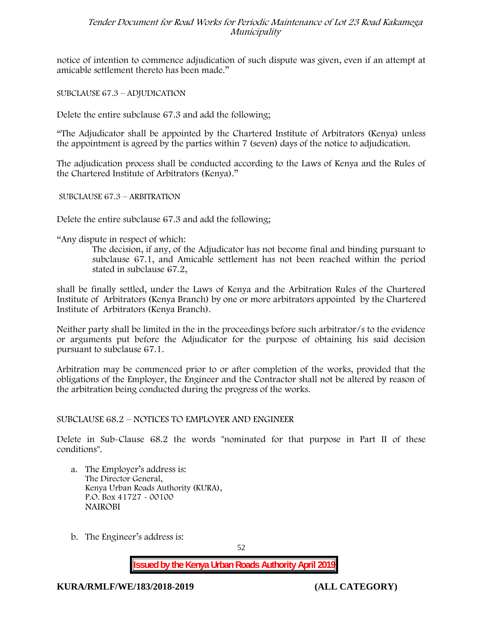notice of intention to commence adjudication of such dispute was given, even if an attempt at amicable settlement thereto has been made."

SUBCLAUSE 67.3 – ADJUDICATION

Delete the entire subclause 67.3 and add the following;

"The Adjudicator shall be appointed by the Chartered Institute of Arbitrators (Kenya) unless the appointment is agreed by the parties within 7 (seven) days of the notice to adjudication.

The adjudication process shall be conducted according to the Laws of Kenya and the Rules of the Chartered Institute of Arbitrators (Kenya)."

SUBCLAUSE 67.3 – ARBITRATION

Delete the entire subclause 67.3 and add the following;

"Any dispute in respect of which:

The decision, if any, of the Adjudicator has not become final and binding pursuant to subclause 67.1, and Amicable settlement has not been reached within the period stated in subclause 67.2,

shall be finally settled, under the Laws of Kenya and the Arbitration Rules of the Chartered Institute of Arbitrators (Kenya Branch) by one or more arbitrators appointed by the Chartered Institute of Arbitrators (Kenya Branch).

Neither party shall be limited in the in the proceedings before such arbitrator/s to the evidence or arguments put before the Adjudicator for the purpose of obtaining his said decision pursuant to subclause 67.1.

Arbitration may be commenced prior to or after completion of the works, provided that the obligations of the Employer, the Engineer and the Contractor shall not be altered by reason of the arbitration being conducted during the progress of the works.

SUBCLAUSE 68.2 – NOTICES TO EMPLOYER AND ENGINEER

Delete in Sub-Clause 68.2 the words "nominated for that purpose in Part II of these conditions".

- a. The Employer's address is: The Director General, Kenya Urban Roads Authority (KURA), P.O. Box 41727 - 00100 **NAIROBI**
- b. The Engineer's address is:

52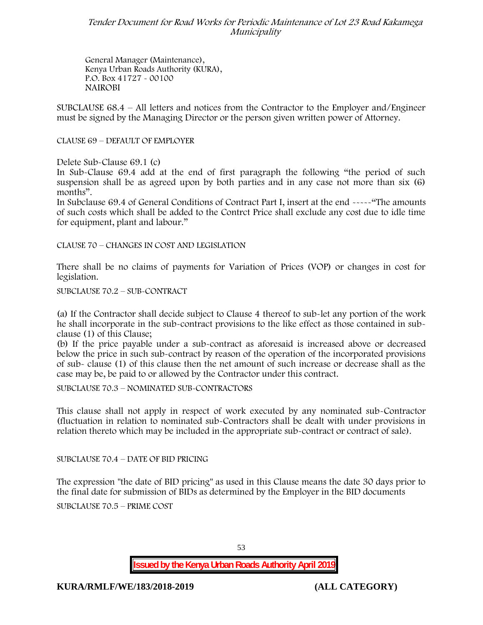General Manager (Maintenance), Kenya Urban Roads Authority (KURA), P.O. Box 41727 - 00100 **NAIROBI**

SUBCLAUSE 68.4 – All letters and notices from the Contractor to the Employer and/Engineer must be signed by the Managing Director or the person given written power of Attorney.

CLAUSE 69 – DEFAULT OF EMPLOYER

Delete Sub-Clause 69.1 (c)

In Sub-Clause 69.4 add at the end of first paragraph the following "the period of such suspension shall be as agreed upon by both parties and in any case not more than six (6) months".

In Subclause 69.4 of General Conditions of Contract Part I, insert at the end -----"The amounts of such costs which shall be added to the Contrct Price shall exclude any cost due to idle time for equipment, plant and labour."

CLAUSE 70 – CHANGES IN COST AND LEGISLATION

There shall be no claims of payments for Variation of Prices (VOP) or changes in cost for legislation.

SUBCLAUSE 70.2 – SUB-CONTRACT

(a) If the Contractor shall decide subject to Clause 4 thereof to sub-let any portion of the work he shall incorporate in the sub-contract provisions to the like effect as those contained in sub clause (1) of this Clause;

(b) If the price payable under a sub-contract as aforesaid is increased above or decreased below the price in such sub-contract by reason of the operation of the incorporated provisions of sub- clause (1) of this clause then the net amount of such increase or decrease shall as the case may be, be paid to or allowed by the Contractor under this contract.

SUBCLAUSE 70.3 – NOMINATED SUB-CONTRACTORS

This clause shall not apply in respect of work executed by any nominated sub-Contractor (fluctuation in relation to nominated sub-Contractors shall be dealt with under provisions in relation thereto which may be included in the appropriate sub-contract or contract of sale).

SUBCLAUSE 70.4 – DATE OF BID PRICING

The expression "the date of BID pricing" as used in this Clause means the date 30 days prior to the final date for submission of BIDs as determined by the Employer in the BID documents

SUBCLAUSE 70.5 – PRIME COST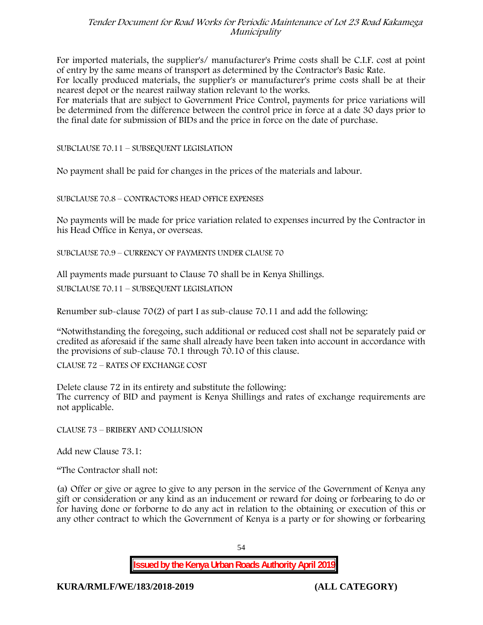For imported materials, the supplier's/ manufacturer's Prime costs shall be C.I.F. cost at point of entry by the same means of transport as determined by the Contractor's Basic Rate.

For locally produced materials, the supplier's or manufacturer's prime costs shall be at their nearest depot or the nearest railway station relevant to the works.

For materials that are subject to Government Price Control, payments for price variations will be determined from the difference between the control price in force at a date 30 days prior to the final date for submission of BIDs and the price in force on the date of purchase.

SUBCLAUSE 70.11 – SUBSEQUENT LEGISLATION

No payment shall be paid for changes in the prices of the materials and labour.

SUBCLAUSE 70.8 – CONTRACTORS HEAD OFFICE EXPENSES

No payments will be made for price variation related to expenses incurred by the Contractor in his Head Office in Kenya, or overseas.

SUBCLAUSE 70.9 – CURRENCY OF PAYMENTS UNDER CLAUSE 70

All payments made pursuant to Clause 70 shall be in Kenya Shillings.

SUBCLAUSE 70.11 – SUBSEQUENT LEGISLATION

Renumber sub-clause 70(2) of part I as sub-clause 70.11 and add the following:

"Notwithstanding the foregoing, such additional or reduced cost shall not be separately paid or credited as aforesaid if the same shall already have been taken into account in accordance with the provisions of sub-clause 70.1 through 70.10 of this clause.

CLAUSE 72 – RATES OF EXCHANGE COST

Delete clause 72 in its entirety and substitute the following: The currency of BID and payment is Kenya Shillings and rates of exchange requirements are not applicable.

CLAUSE 73 – BRIBERY AND COLLUSION

Add new Clause 73.1:

"The Contractor shall not:

(a) Offer or give or agree to give to any person in the service of the Government of Kenya any gift or consideration or any kind as an inducement or reward for doing or forbearing to do or for having done or forborne to do any act in relation to the obtaining or execution of this or any other contract to which the Government of Kenya is a party or for showing or forbearing

54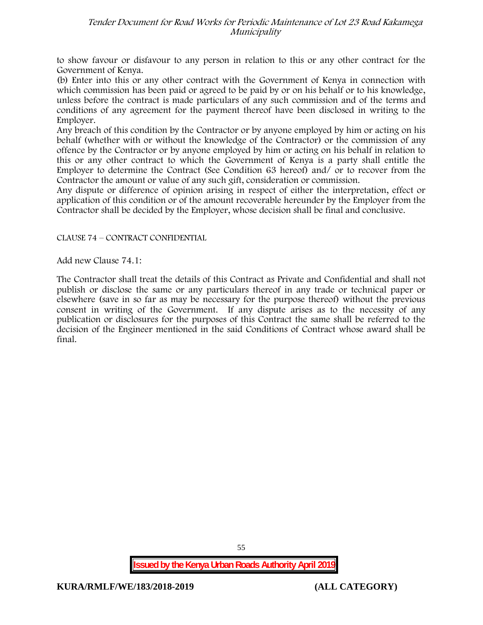to show favour or disfavour to any person in relation to this or any other contract for the Government of Kenya.

(b) Enter into this or any other contract with the Government of Kenya in connection with which commission has been paid or agreed to be paid by or on his behalf or to his knowledge, unless before the contract is made particulars of any such commission and of the terms and conditions of any agreement for the payment thereof have been disclosed in writing to the Employer.

Any breach of this condition by the Contractor or by anyone employed by him or acting on his behalf (whether with or without the knowledge of the Contractor) or the commission of any offence by the Contractor or by anyone employed by him or acting on his behalf in relation to this or any other contract to which the Government of Kenya is a party shall entitle the Employer to determine the Contract (See Condition 63 hereof) and/ or to recover from the Contractor the amount or value of any such gift, consideration or commission.

Any dispute or difference of opinion arising in respect of either the interpretation, effect or application of this condition or of the amount recoverable hereunder by the Employer from the Contractor shall be decided by the Employer, whose decision shall be final and conclusive.

### CLAUSE 74 – CONTRACT CONFIDENTIAL

Add new Clause 74.1:

The Contractor shall treat the details of this Contract as Private and Confidential and shall not publish or disclose the same or any particulars thereof in any trade or technical paper or elsewhere (save in so far as may be necessary for the purpose thereof) without the previous consent in writing of the Government. If any dispute arises as to the necessity of any publication or disclosures for the purposes of this Contract the same shall be referred to the decision of the Engineer mentioned in the said Conditions of Contract whose award shall be final.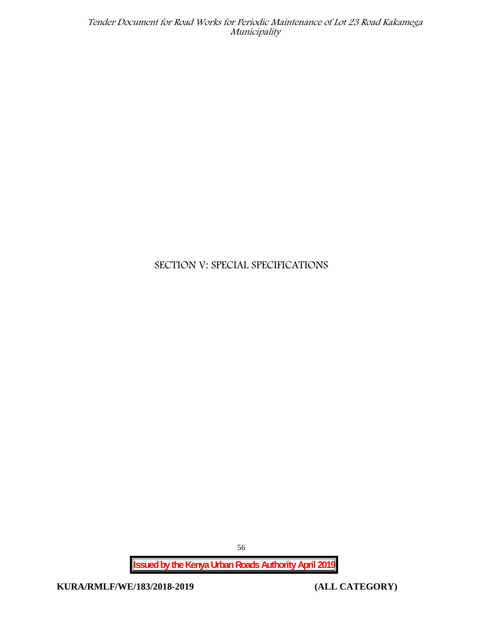# **SECTION V: SPECIAL SPECIFICATIONS**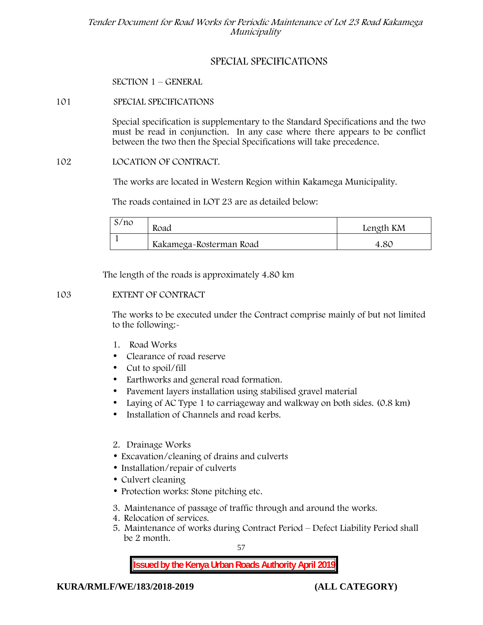# **SPECIAL SPECIFICATIONS**

**SECTION 1 – GENERAL**

# **101 SPECIAL SPECIFICATIONS**

Special specification is supplementary to the Standard Specifications and the two must be read in conjunction. In any case where there appears to be conflict between the two then the Special Specifications will take precedence.

### **102 LOCATION OF CONTRACT.**

The works are located in Western Region within Kakamega Municipality.

The roads contained in LOT 23 are as detailed below:

| S/no | Road                    | Length KM |  |
|------|-------------------------|-----------|--|
|      | Kakamega-Rosterman Road | 4.80      |  |

The length of the roads is approximately 4.80 km

### **103 EXTENT OF CONTRACT**

The works to be executed under the Contract comprise mainly of but not limited to the following:-

- **1. Road Works**
- Clearance of road reserve
- Cut to spoil/fill
- Earthworks and general road formation.
- Pavement layers installation using stabilised gravel material
- Laying of AC Type 1 to carriageway and walkway on both sides. (0.8 km)
- Installation of Channels and road kerbs.
- **2. Drainage Works**
- Excavation/cleaning of drains and culverts
- Installation/repair of culverts
- Culvert cleaning
- Protection works: Stone pitching etc.
- **3. Maintenance of passage of traffic through and around the works.**
- **4. Relocation of services.**
- **5. Maintenance of works during Contract Period – Defect Liability Period shall be 2 month.**

57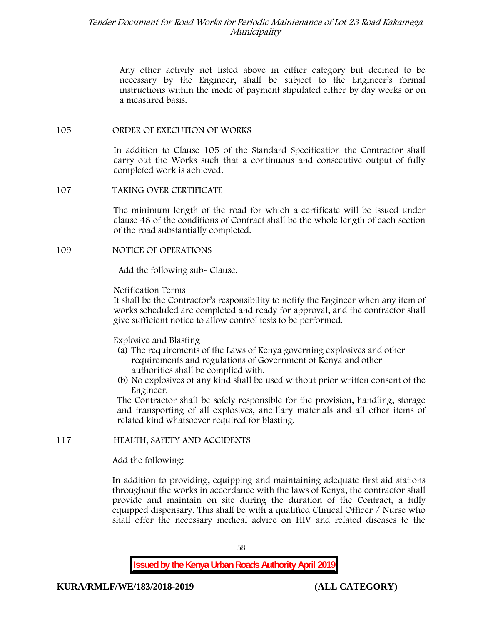Any other activity not listed above in either category but deemed to be necessary by the Engineer, shall be subject to the Engineer's formal instructions within the mode of payment stipulated either by day works or on a measured basis.

### **105 ORDER OF EXECUTION OF WORKS**

In addition to Clause 105 of the Standard Specification the Contractor shall carry out the Works such that a continuous and consecutive output of fully completed work is achieved.

### **107 TAKING OVER CERTIFICATE**

The minimum length of the road for which a certificate will be issued under clause 48 of the conditions of Contract shall be the whole length of each section of the road substantially completed.

### **109 NOTICE OF OPERATIONS**

Add the following sub- Clause.

### Notification Terms

It shall be the Contractor's responsibility to notify the Engineer when any item of works scheduled are completed and ready for approval, and the contractor shall give sufficient notice to allow control tests to be performed.

### Explosive and Blasting

- (a) The requirements of the Laws of Kenya governing explosives and other requirements and regulations of Government of Kenya and other authorities shall be complied with.
- (b) No explosives of any kind shall be used without prior written consent of the Engineer.

The Contractor shall be solely responsible for the provision, handling, storage and transporting of all explosives, ancillary materials and all other items of related kind whatsoever required for blasting.

# **117 HEALTH, SAFETY AND ACCIDENTS**

Add the following:

In addition to providing, equipping and maintaining adequate first aid stations throughout the works in accordance with the laws of Kenya, the contractor shall provide and maintain on site during the duration of the Contract, a fully equipped dispensary. This shall be with a qualified Clinical Officer / Nurse who shall offer the necessary medical advice on HIV and related diseases to the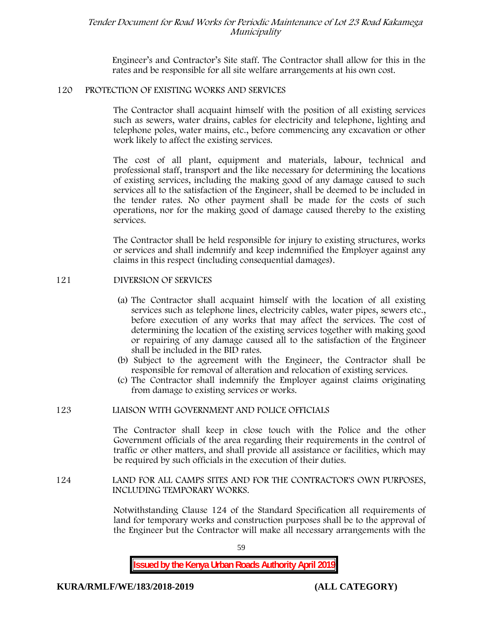Engineer's and Contractor's Site staff. The Contractor shall allow for this in the rates and be responsible for all site welfare arrangements at his own cost.

### **120 PROTECTION OF EXISTING WORKS AND SERVICES**

The Contractor shall acquaint himself with the position of all existing services such as sewers, water drains, cables for electricity and telephone, lighting and telephone poles, water mains, etc., before commencing any excavation or other work likely to affect the existing services.

The cost of all plant, equipment and materials, labour, technical and professional staff, transport and the like necessary for determining the locations of existing services, including the making good of any damage caused to such services all to the satisfaction of the Engineer, shall be deemed to be included in the tender rates. No other payment shall be made for the costs of such operations, nor for the making good of damage caused thereby to the existing services.

The Contractor shall be held responsible for injury to existing structures, works or services and shall indemnify and keep indemnified the Employer against any claims in this respect (including consequential damages).

### **121 DIVERSION OF SERVICES**

- (a) The Contractor shall acquaint himself with the location of all existing services such as telephone lines, electricity cables, water pipes, sewers etc., before execution of any works that may affect the services. The cost of determining the location of the existing services together with making good or repairing of any damage caused all to the satisfaction of the Engineer shall be included in the BID rates.
- (b) Subject to the agreement with the Engineer, the Contractor shall be responsible for removal of alteration and relocation of existing services.
- (c) The Contractor shall indemnify the Employer against claims originating from damage to existing services or works.

### **123 LIAISON WITH GOVERNMENT AND POLICE OFFICIALS**

The Contractor shall keep in close touch with the Police and the other Government officials of the area regarding their requirements in the control of traffic or other matters, and shall provide all assistance or facilities, which may be required by such officials in the execution of their duties.

### **124 LAND FOR ALL CAMPS SITES AND FOR THE CONTRACTOR'S OWN PURPOSES, INCLUDING TEMPORARY WORKS.**

Notwithstanding Clause 124 of the Standard Specification all requirements of land for temporary works and construction purposes shall be to the approval of the Engineer but the Contractor will make all necessary arrangements with the

59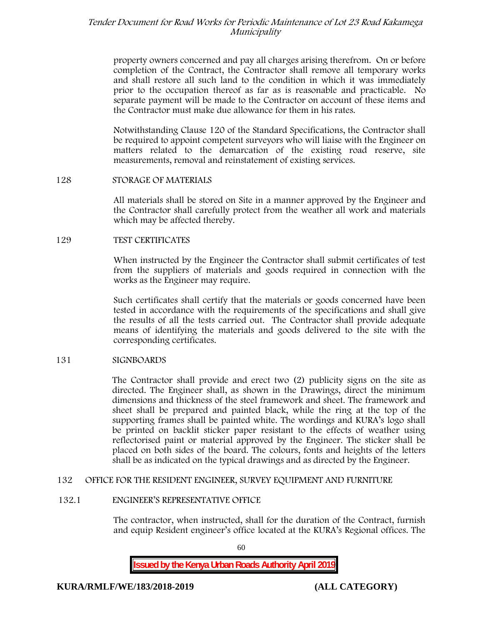property owners concerned and pay all charges arising therefrom. On or before completion of the Contract, the Contractor shall remove all temporary works and shall restore all such land to the condition in which it was immediately prior to the occupation thereof as far as is reasonable and practicable. No separate payment will be made to the Contractor on account of these items and the Contractor must make due allowance for them in his rates.

Notwithstanding Clause 120 of the Standard Specifications, the Contractor shall be required to appoint competent surveyors who will liaise with the Engineer on matters related to the demarcation of the existing road reserve, site measurements, removal and reinstatement of existing services.

### **128 STORAGE OF MATERIALS**

All materials shall be stored on Site in a manner approved by the Engineer and the Contractor shall carefully protect from the weather all work and materials which may be affected thereby.

### **129 TEST CERTIFICATES**

When instructed by the Engineer the Contractor shall submit certificates of test from the suppliers of materials and goods required in connection with the works as the Engineer may require.

Such certificates shall certify that the materials or goods concerned have been tested in accordance with the requirements of the specifications and shall give the results of all the tests carried out. The Contractor shall provide adequate means of identifying the materials and goods delivered to the site with the corresponding certificates.

### **131 SIGNBOARDS**

The Contractor shall provide and erect two (2) publicity signs on the site as directed. The Engineer shall, as shown in the Drawings, direct the minimum dimensions and thickness of the steel framework and sheet. The framework and sheet shall be prepared and painted black, while the ring at the top of the supporting frames shall be painted white. The wordings and KURA's logo shall be printed on backlit sticker paper resistant to the effects of weather using reflectorised paint or material approved by the Engineer. The sticker shall be placed on both sides of the board. The colours, fonts and heights of the letters shall be as indicated on the typical drawings and as directed by the Engineer.

### **132 OFFICE FOR THE RESIDENT ENGINEER, SURVEY EQUIPMENT AND FURNITURE**

### **132.1 ENGINEER'S REPRESENTATIVE OFFICE**

The contractor, when instructed, shall for the duration of the Contract, furnish and equip Resident engineer's office located at the KURA's Regional offices. The

60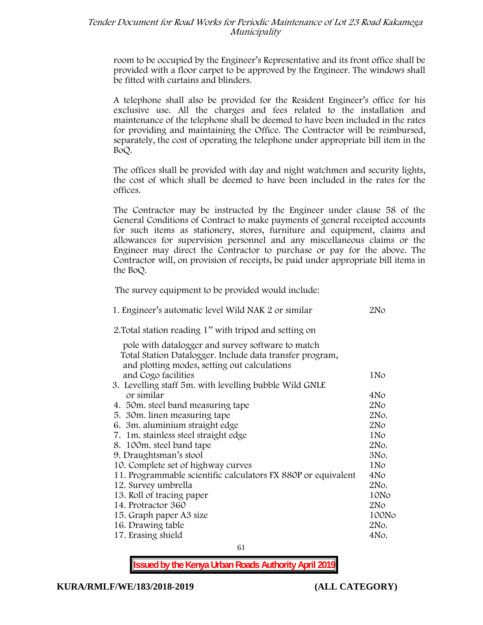room to be occupied by the Engineer's Representative and its front office shall be provided with a floor carpet to be approved by the Engineer. The windows shall be fitted with curtains and blinders.

A telephone shall also be provided for the Resident Engineer's office for his exclusive use. All the charges and fees related to the installation and maintenance of the telephone shall be deemed to have been included in the rates for providing and maintaining the Office. The Contractor will be reimbursed, separately, the cost of operating the telephone under appropriate bill item in the BoQ.

The offices shall be provided with day and night watchmen and security lights, the cost of which shall be deemed to have been included in the rates for the offices.

The Contractor may be instructed by the Engineer under clause 58 of the General Conditions of Contract to make payments of general receipted accounts for such items as stationery, stores, furniture and equipment, claims and allowances for supervision personnel and any miscellaneous claims or the Engineer may direct the Contractor to purchase or pay for the above. The Contractor will, on provision of receipts, be paid under appropriate bill items in the BoQ.

**The survey equipment to be provided would include:**

| 1. Engineer's automatic level Wild NAK 2 or similar                                                      | 2N <sub>O</sub> |
|----------------------------------------------------------------------------------------------------------|-----------------|
| 2. Total station reading 1" with tripod and setting on                                                   |                 |
| pole with datalogger and survey software to match                                                        |                 |
| Total Station Datalogger. Include data transfer program,<br>and plotting modes, setting out calculations |                 |
| and Cogo facilities                                                                                      | 1N <sub>o</sub> |
| 3. Levelling staff 5m. with levelling bubble Wild GNLE                                                   |                 |
| or similar                                                                                               | 4No             |
| 4. 50 m. steel band measuring tape                                                                       | 2N <sub>O</sub> |
| 5. 30 m. linen measuring tape                                                                            | 2No.            |
| 6. 3m. aluminium straight edge                                                                           | 2N <sub>O</sub> |
| 7. 1m. stainless steel straight edge                                                                     | 1N <sub>o</sub> |
| 8. 100m. steel band tape                                                                                 | 2No.            |
| 9. Draughtsman's stool                                                                                   | 3No.            |
| 10. Complete set of highway curves                                                                       | 1N <sub>o</sub> |
| 11. Programmable scientific calculators FX 880P or equivalent                                            | 4N <sub>o</sub> |
| 12. Survey umbrella                                                                                      | 2No.            |
| 13. Roll of tracing paper                                                                                | 10No            |
| 14. Protractor 360                                                                                       | 2N <sub>O</sub> |
| 15. Graph paper A3 size                                                                                  | 100No           |
| 16. Drawing table                                                                                        | 2No.            |
| 17. Erasing shield                                                                                       | 4No.            |
|                                                                                                          |                 |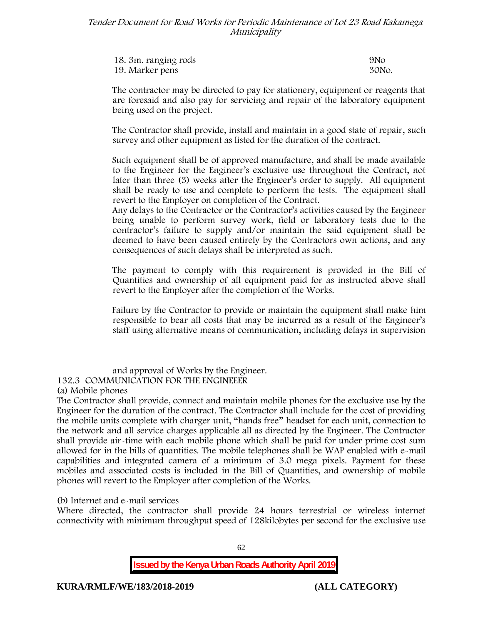| 18. 3m. ranging rods | 9N <sub>O</sub> |
|----------------------|-----------------|
| 19. Marker pens      | 30No.           |

The contractor may be directed to pay for stationery, equipment or reagents that are foresaid and also pay for servicing and repair of the laboratory equipment being used on the project.

The Contractor shall provide, install and maintain in a good state of repair, such survey and other equipment as listed for the duration of the contract.

Such equipment shall be of approved manufacture, and shall be made available to the Engineer for the Engineer's exclusive use throughout the Contract, not later than three (3) weeks after the Engineer's order to supply. All equipment shall be ready to use and complete to perform the tests. The equipment shall revert to the Employer on completion of the Contract.

Any delays to the Contractor or the Contractor's activities caused by the Engineer being unable to perform survey work, field or laboratory tests due to the contractor's failure to supply and/or maintain the said equipment shall be deemed to have been caused entirely by the Contractors own actions, and any consequences of such delays shall be interpreted as such.

The payment to comply with this requirement is provided in the Bill of Quantities and ownership of all equipment paid for as instructed above shall revert to the Employer after the completion of the Works.

Failure by the Contractor to provide or maintain the equipment shall make him responsible to bear all costs that may be incurred as a result of the Engineer's staff using alternative means of communication, including delays in supervision

and approval of Works by the Engineer.

**132.3 COMMUNICATION FOR THE ENGINEEER**

**(a) Mobile phones**

The Contractor shall provide, connect and maintain mobile phones for the exclusive use by the Engineer for the duration of the contract. The Contractor shall include for the cost of providing the mobile units complete with charger unit, "hands free" headset for each unit, connection to the network and all service charges applicable all as directed by the Engineer. The Contractor shall provide air-time with each mobile phone which shall be paid for under prime cost sum allowed for in the bills of quantities. The mobile telephones shall be WAP enabled with e-mail capabilities and integrated camera of a minimum of 3.0 mega pixels. Payment for these mobiles and associated costs is included in the Bill of Quantities, and ownership of mobile phones will revert to the Employer after completion of the Works.

**(b) Internet and e-mail services**

Where directed, the contractor shall provide 24 hours terrestrial or wireless internet connectivity with minimum throughput speed of 128kilobytes per second for the exclusive use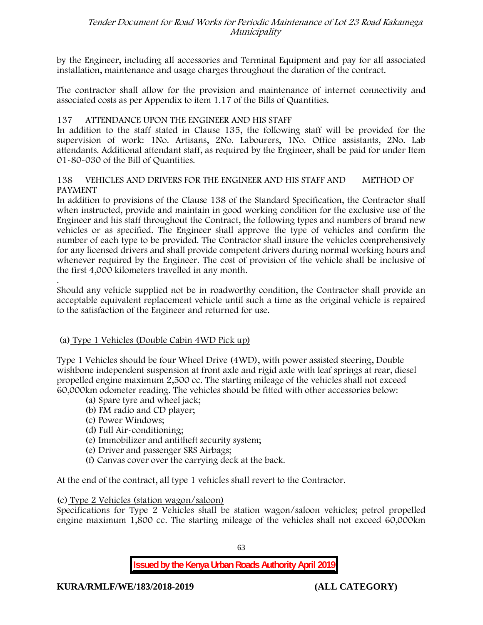by the Engineer, including all accessories and Terminal Equipment and pay for all associated installation, maintenance and usage charges throughout the duration of the contract.

The contractor shall allow for the provision and maintenance of internet connectivity and associated costs as per Appendix to item 1.17 of the Bills of Quantities.

# **137 ATTENDANCE UPON THE ENGINEER AND HIS STAFF**

In addition to the staff stated in Clause 135, the following staff will be provided for the supervision of work: 1No. Artisans, 2No. Labourers, 1No. Office assistants, 2No. Lab attendants. Additional attendant staff, as required by the Engineer, shall be paid for under Item 01-80-030 of the Bill of Quantities.

### **138 VEHICLES AND DRIVERS FOR THE ENGINEER AND HIS STAFF AND METHOD OF PAYMENT**

In addition to provisions of the Clause 138 of the Standard Specification, the Contractor shall when instructed, provide and maintain in good working condition for the exclusive use of the Engineer and his staff throughout the Contract, the following types and numbers of brand new vehicles or as specified. The Engineer shall approve the type of vehicles and confirm the number of each type to be provided. The Contractor shall insure the vehicles comprehensively for any licensed drivers and shall provide competent drivers during normal working hours and whenever required by the Engineer. The cost of provision of the vehicle shall be inclusive of the first 4,000 kilometers travelled in any month.

.Should any vehicle supplied not be in roadworthy condition, the Contractor shall provide an acceptable equivalent replacement vehicle until such a time as the original vehicle is repaired to the satisfaction of the Engineer and returned for use.

# **(a) Type 1 Vehicles (Double Cabin 4WD Pick up)**

Type 1 Vehicles should be four Wheel Drive (4WD), with power assisted steering, Double wishbone independent suspension at front axle and rigid axle with leaf springs at rear, diesel propelled engine maximum 2,500 cc. The starting mileage of the vehicles shall not exceed 60,000km odometer reading. The vehicles should be fitted with other accessories below:

- (a) Spare tyre and wheel jack;
- (b) FM radio and CD player;
- (c) Power Windows;
- (d) Full Air-conditioning;
- (e) Immobilizer and antitheft security system;
- (e) Driver and passenger SRS Airbags;
- (f) Canvas cover over the carrying deck at the back.

At the end of the contract, all type 1 vehicles shall revert to the Contractor.

### **(c) Type 2 Vehicles (station wagon/saloon)**

Specifications for Type 2 Vehicles shall be station wagon/saloon vehicles; petrol propelled engine maximum 1,800 cc. The starting mileage of the vehicles shall not exceed 60,000km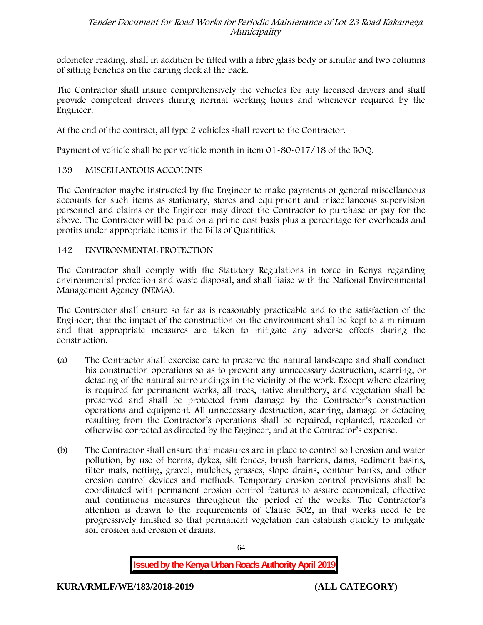odometer reading. shall in addition be fitted with a fibre glass body or similar and two columns of sitting benches on the carting deck at the back.

The Contractor shall insure comprehensively the vehicles for any licensed drivers and shall provide competent drivers during normal working hours and whenever required by the Engineer.

At the end of the contract, all type 2 vehicles shall revert to the Contractor.

Payment of vehicle shall be per vehicle month in item 01-80-017/18 of the BOQ.

# **139 MISCELLANEOUS ACCOUNTS**

The Contractor maybe instructed by the Engineer to make payments of general miscellaneous accounts for such items as stationary, stores and equipment and miscellaneous supervision personnel and claims or the Engineer may direct the Contractor to purchase or pay for the above. The Contractor will be paid on a prime cost basis plus a percentage for overheads and profits under appropriate items in the Bills of Quantities.

# **142 ENVIRONMENTAL PROTECTION**

The Contractor shall comply with the Statutory Regulations in force in Kenya regarding environmental protection and waste disposal, and shall liaise with the National Environmental Management Agency (NEMA).

The Contractor shall ensure so far as is reasonably practicable and to the satisfaction of the Engineer; that the impact of the construction on the environment shall be kept to a minimum and that appropriate measures are taken to mitigate any adverse effects during the construction.

- (a) The Contractor shall exercise care to preserve the natural landscape and shall conduct his construction operations so as to prevent any unnecessary destruction, scarring, or defacing of the natural surroundings in the vicinity of the work. Except where clearing is required for permanent works, all trees, native shrubbery, and vegetation shall be preserved and shall be protected from damage by the Contractor's construction operations and equipment. All unnecessary destruction, scarring, damage or defacing resulting from the Contractor's operations shall be repaired, replanted, reseeded or otherwise corrected as directed by the Engineer, and at the Contractor's expense.
- (b) The Contractor shall ensure that measures are in place to control soil erosion and water pollution, by use of berms, dykes, silt fences, brush barriers, dams, sediment basins, filter mats, netting, gravel, mulches, grasses, slope drains, contour banks, and other erosion control devices and methods. Temporary erosion control provisions shall be coordinated with permanent erosion control features to assure economical, effective and continuous measures throughout the period of the works. The Contractor's attention is drawn to the requirements of Clause 502, in that works need to be progressively finished so that permanent vegetation can establish quickly to mitigate soil erosion and erosion of drains.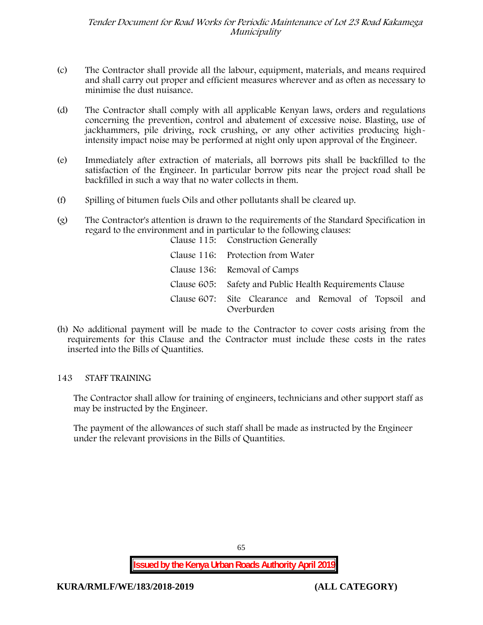- (c) The Contractor shall provide all the labour, equipment, materials, and means required and shall carry out proper and efficient measures wherever and as often as necessary to minimise the dust nuisance.
- (d) The Contractor shall comply with all applicable Kenyan laws, orders and regulations concerning the prevention, control and abatement of excessive noise. Blasting, use of jackhammers, pile driving, rock crushing, or any other activities producing highintensity impact noise may be performed at night only upon approval of the Engineer.
- (e) Immediately after extraction of materials, all borrows pits shall be backfilled to the satisfaction of the Engineer. In particular borrow pits near the project road shall be backfilled in such a way that no water collects in them.
- (f) Spilling of bitumen fuels Oils and other pollutants shall be cleared up.
- (g) The Contractor's attention is drawn to the requirements of the Standard Specification in regard to the environment and in particular to the following clauses: Clause 115: Construction Generally

| Clause 116: Protection from Water                                   |
|---------------------------------------------------------------------|
| Clause 136: Removal of Camps                                        |
| Clause 605: Safety and Public Health Requirements Clause            |
| Clause 607: Site Clearance and Removal of Topsoil and<br>Overburden |

(h) No additional payment will be made to the Contractor to cover costs arising from the requirements for this Clause and the Contractor must include these costs in the rates inserted into the Bills of Quantities.

### **143 STAFF TRAINING**

The Contractor shall allow for training of engineers, technicians and other support staff as may be instructed by the Engineer.

The payment of the allowances of such staff shall be made as instructed by the Engineer under the relevant provisions in the Bills of Quantities.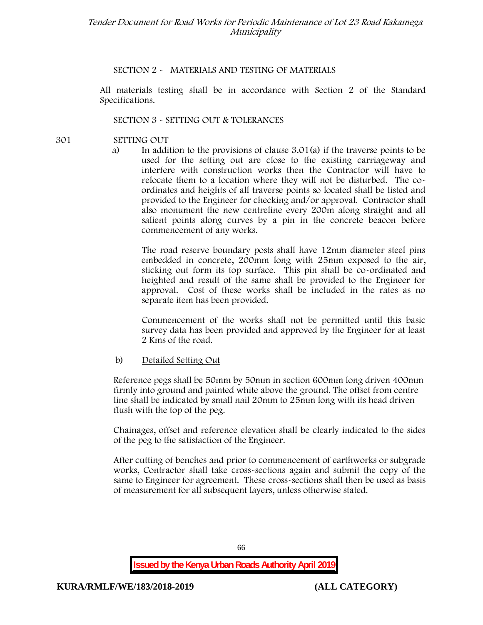### **SECTION 2 - MATERIALS AND TESTING OF MATERIALS**

All materials testing shall be in accordance with Section 2 of the Standard Specifications.

### **SECTION 3 - SETTING OUT & TOLERANCES**

- **301 SETTING OUT**
	- a) In addition to the provisions of clause 3.01(a) if the traverse points to be used for the setting out are close to the existing carriageway and interfere with construction works then the Contractor will have to relocate them to a location where they will not be disturbed. The co ordinates and heights of all traverse points so located shall be listed and provided to the Engineer for checking and/or approval. Contractor shall also monument the new centreline every 200m along straight and all salient points along curves by a pin in the concrete beacon before commencement of any works.

The road reserve boundary posts shall have 12mm diameter steel pins embedded in concrete, 200mm long with 25mm exposed to the air, sticking out form its top surface. This pin shall be co-ordinated and heighted and result of the same shall be provided to the Engineer for approval. Cost of these works shall be included in the rates as no separate item has been provided.

Commencement of the works shall not be permitted until this basic survey data has been provided and approved by the Engineer for at least 2 Kms of the road.

### b) Detailed Setting Out

Reference pegs shall be 50mm by 50mm in section 600mm long driven 400mm firmly into ground and painted white above the ground. The offset from centre line shall be indicated by small nail 20mm to 25mm long with its head driven flush with the top of the peg.

Chainages, offset and reference elevation shall be clearly indicated to the sides of the peg to the satisfaction of the Engineer.

After cutting of benches and prior to commencement of earthworks or subgrade works, Contractor shall take cross-sections again and submit the copy of the same to Engineer for agreement. These cross-sections shall then be used as basis of measurement for all subsequent layers, unless otherwise stated.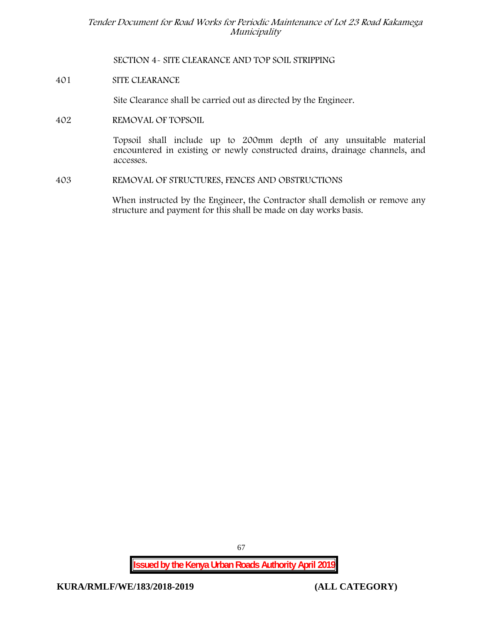**SECTION 4- SITE CLEARANCE AND TOP SOIL STRIPPING**

**401 SITE CLEARANCE**

Site Clearance shall be carried out as directed by the Engineer.

**402 REMOVAL OF TOPSOIL**

Topsoil shall include up to 200mm depth of any unsuitable material encountered in existing or newly constructed drains, drainage channels, and accesses.

**403 REMOVAL OF STRUCTURES, FENCES AND OBSTRUCTIONS**

When instructed by the Engineer, the Contractor shall demolish or remove any structure and payment for this shall be made on day works basis.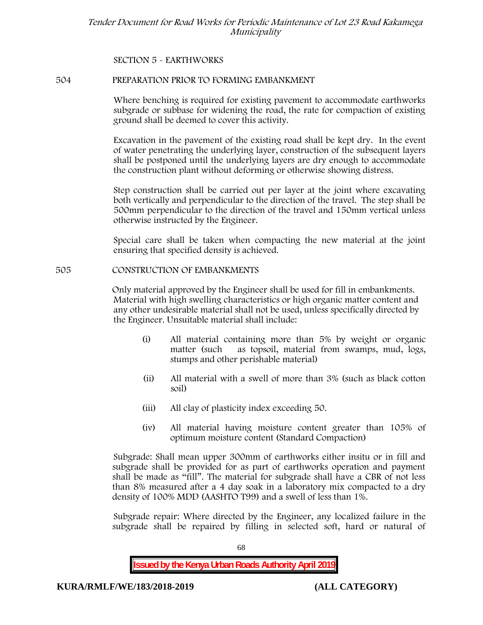# **SECTION 5 - EARTHWORKS**

### **504 PREPARATION PRIOR TO FORMING EMBANKMENT**

Where benching is required for existing pavement to accommodate earthworks subgrade or subbase for widening the road, the rate for compaction of existing ground shall be deemed to cover this activity.

Excavation in the pavement of the existing road shall be kept dry. In the event of water penetrating the underlying layer, construction of the subsequent layers shall be postponed until the underlying layers are dry enough to accommodate the construction plant without deforming or otherwise showing distress.

Step construction shall be carried out per layer at the joint where excavating both vertically and perpendicular to the direction of the travel. The step shall be 500mm perpendicular to the direction of the travel and 150mm vertical unless otherwise instructed by the Engineer.

Special care shall be taken when compacting the new material at the joint ensuring that specified density is achieved.

### **505 CONSTRUCTION OF EMBANKMENTS**

Only material approved by the Engineer shall be used for fill in embankments. Material with high swelling characteristics or high organic matter content and any other undesirable material shall not be used, unless specifically directed by the Engineer. Unsuitable material shall include:

- (i) All material containing more than 5% by weight or organic matter (such as topsoil, material from swamps, mud, logs, stumps and other perishable material)
- (ii) All material with a swell of more than 3% (such as black cotton soil)
- (iii) All clay of plasticity index exceeding 50.
- (iv) All material having moisture content greater than 105% of optimum moisture content (Standard Compaction)

Subgrade: Shall mean upper 300mm of earthworks either insitu or in fill and subgrade shall be provided for as part of earthworks operation and payment shall be made as "fill". The material for subgrade shall have a CBR of not less than 8% measured after a 4 day soak in a laboratory mix compacted to a dry density of 100% MDD (AASHTO T99) and a swell of less than 1%.

Subgrade repair: Where directed by the Engineer, any localized failure in the subgrade shall be repaired by filling in selected soft, hard or natural of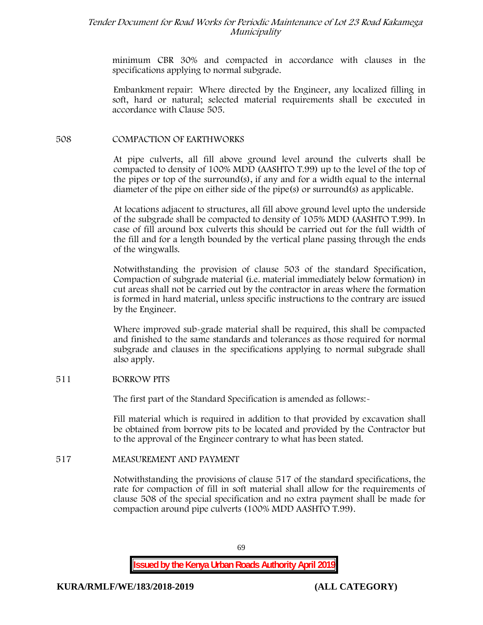minimum CBR 30% and compacted in accordance with clauses in the specifications applying to normal subgrade.

Embankment repair: Where directed by the Engineer, any localized filling in soft, hard or natural; selected material requirements shall be executed in accordance with Clause 505.

# **508 COMPACTION OF EARTHWORKS**

At pipe culverts, all fill above ground level around the culverts shall be compacted to density of 100% MDD (AASHTO T.99) up to the level of the top of the pipes or top of the surround(s), if any and for a width equal to the internal diameter of the pipe on either side of the pipe(s) or surround(s) as applicable.

At locations adjacent to structures, all fill above ground level upto the underside of the subgrade shall be compacted to density of 105% MDD (AASHTO T.99). In case of fill around box culverts this should be carried out for the full width of the fill and for a length bounded by the vertical plane passing through the ends of the wingwalls.

Notwithstanding the provision of clause 503 of the standard Specification, Compaction of subgrade material (i.e. material immediately below formation) in cut areas shall not be carried out by the contractor in areas where the formation is formed in hard material, unless specific instructions to the contrary are issued by the Engineer.

Where improved sub-grade material shall be required, this shall be compacted and finished to the same standards and tolerances as those required for normal subgrade and clauses in the specifications applying to normal subgrade shall also apply.

### **511 BORROW PITS**

The first part of the Standard Specification is amended as follows:-

Fill material which is required in addition to that provided by excavation shall be obtained from borrow pits to be located and provided by the Contractor but to the approval of the Engineer contrary to what has been stated.

### **517 MEASUREMENT AND PAYMENT**

Notwithstanding the provisions of clause 517 of the standard specifications, the rate for compaction of fill in soft material shall allow for the requirements of clause 508 of the special specification and no extra payment shall be made for compaction around pipe culverts (100% MDD AASHTO T.99).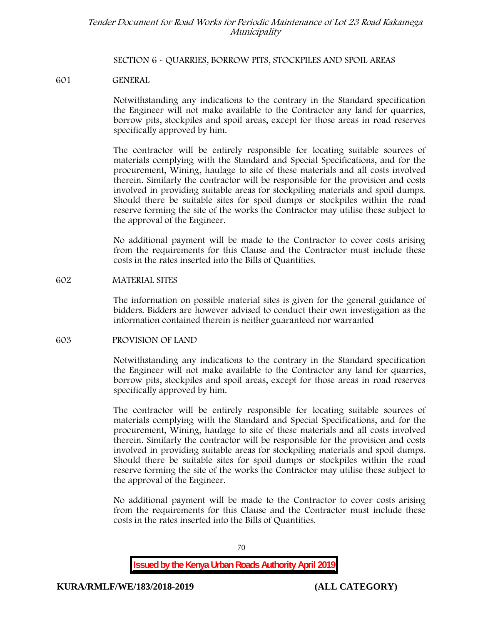### **SECTION 6 - QUARRIES, BORROW PITS, STOCKPILES AND SPOIL AREAS**

### **601 GENERAL**

Notwithstanding any indications to the contrary in the Standard specification the Engineer will not make available to the Contractor any land for quarries, borrow pits, stockpiles and spoil areas, except for those areas in road reserves specifically approved by him.

The contractor will be entirely responsible for locating suitable sources of materials complying with the Standard and Special Specifications, and for the procurement, Wining, haulage to site of these materials and all costs involved therein. Similarly the contractor will be responsible for the provision and costs involved in providing suitable areas for stockpiling materials and spoil dumps. Should there be suitable sites for spoil dumps or stockpiles within the road reserve forming the site of the works the Contractor may utilise these subject to the approval of the Engineer.

No additional payment will be made to the Contractor to cover costs arising from the requirements for this Clause and the Contractor must include these costs in the rates inserted into the Bills of Quantities.

### **602 MATERIAL SITES**

The information on possible material sites is given for the general guidance of bidders. Bidders are however advised to conduct their own investigation as the information contained therein is neither guaranteed nor warranted

### **603 PROVISION OF LAND**

Notwithstanding any indications to the contrary in the Standard specification the Engineer will not make available to the Contractor any land for quarries, borrow pits, stockpiles and spoil areas, except for those areas in road reserves specifically approved by him.

The contractor will be entirely responsible for locating suitable sources of materials complying with the Standard and Special Specifications, and for the procurement, Wining, haulage to site of these materials and all costs involved therein. Similarly the contractor will be responsible for the provision and costs involved in providing suitable areas for stockpiling materials and spoil dumps. Should there be suitable sites for spoil dumps or stockpiles within the road reserve forming the site of the works the Contractor may utilise these subject to the approval of the Engineer.

No additional payment will be made to the Contractor to cover costs arising from the requirements for this Clause and the Contractor must include these costs in the rates inserted into the Bills of Quantities.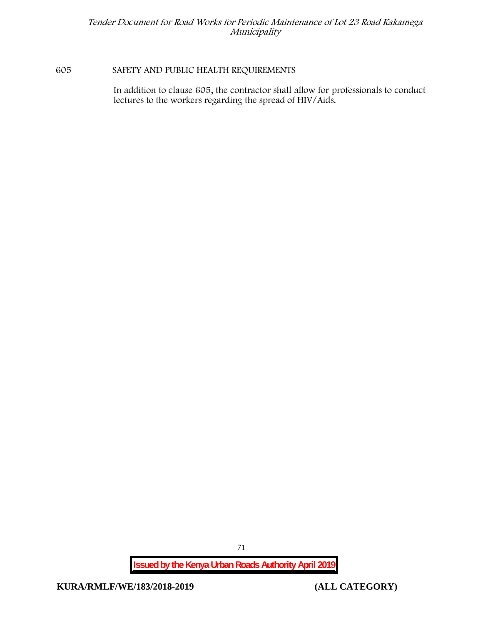# **605 SAFETY AND PUBLIC HEALTH REQUIREMENTS**

In addition to clause 605, the contractor shall allow for professionals to conduct lectures to the workers regarding the spread of HIV/Aids.

**Issued by the Kenya Urban Roads Authority April 2019**

**KURA/RMLF/WE/183/2018-2019 (ALL CATEGORY)**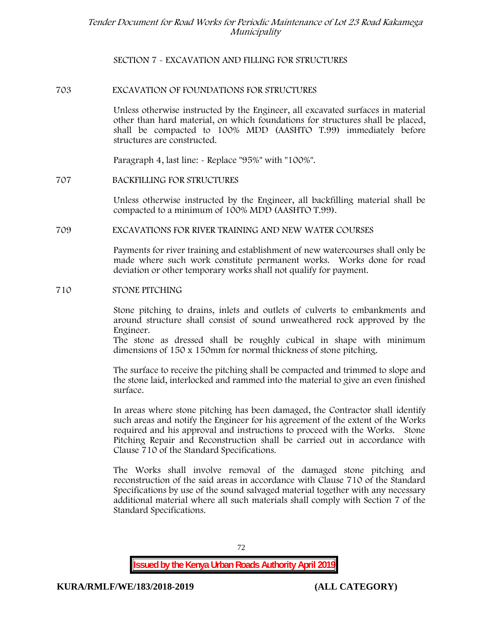# **SECTION 7 - EXCAVATION AND FILLING FOR STRUCTURES**

## **703 EXCAVATION OF FOUNDATIONS FOR STRUCTURES**

Unless otherwise instructed by the Engineer, all excavated surfaces in material other than hard material, on which foundations for structures shall be placed, shall be compacted to 100% MDD (AASHTO T.99) immediately before structures are constructed.

Paragraph 4, last line: - Replace "95%" with "100%".

# **707 BACKFILLING FOR STRUCTURES**

Unless otherwise instructed by the Engineer, all backfilling material shall be compacted to a minimum of 100% MDD (AASHTO T.99).

**709 EXCAVATIONS FOR RIVER TRAINING AND NEW WATER COURSES**

Payments for river training and establishment of new watercourses shall only be made where such work constitute permanent works. Works done for road deviation or other temporary works shall not qualify for payment.

## **710 STONE PITCHING**

Stone pitching to drains, inlets and outlets of culverts to embankments and around structure shall consist of sound unweathered rock approved by the Engineer.

The stone as dressed shall be roughly cubical in shape with minimum dimensions of 150 x 150mm for normal thickness of stone pitching.

The surface to receive the pitching shall be compacted and trimmed to slope and the stone laid, interlocked and rammed into the material to give an even finished surface.

In areas where stone pitching has been damaged, the Contractor shall identify such areas and notify the Engineer for his agreement of the extent of the Works required and his approval and instructions to proceed with the Works. Stone Pitching Repair and Reconstruction shall be carried out in accordance with Clause 710 of the Standard Specifications.

The Works shall involve removal of the damaged stone pitching and reconstruction of the said areas in accordance with Clause 710 of the Standard Specifications by use of the sound salvaged material together with any necessary additional material where all such materials shall comply with Section 7 of the Standard Specifications.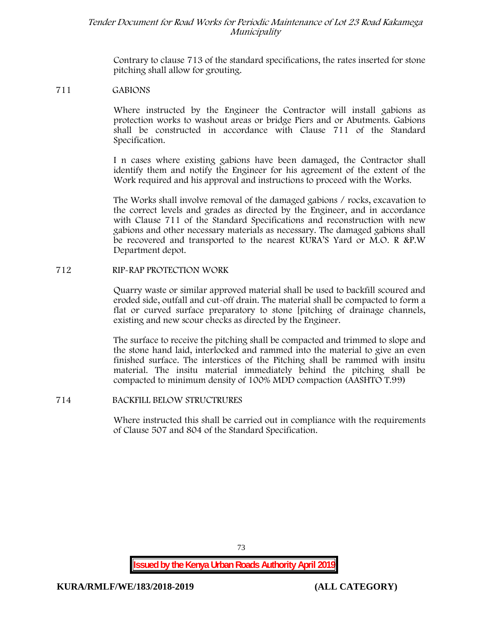Contrary to clause 713 of the standard specifications, the rates inserted for stone pitching shall allow for grouting.

#### **711 GABIONS**

Where instructed by the Engineer the Contractor will install gabions as protection works to washout areas or bridge Piers and or Abutments. Gabions shall be constructed in accordance with Clause 711 of the Standard Specification.

I n cases where existing gabions have been damaged, the Contractor shall identify them and notify the Engineer for his agreement of the extent of the Work required and his approval and instructions to proceed with the Works.

The Works shall involve removal of the damaged gabions / rocks, excavation to the correct levels and grades as directed by the Engineer, and in accordance with Clause 711 of the Standard Specifications and reconstruction with new gabions and other necessary materials as necessary. The damaged gabions shall be recovered and transported to the nearest KURA'S Yard or M.O. R &P.W Department depot.

#### **712 RIP-RAP PROTECTION WORK**

Quarry waste or similar approved material shall be used to backfill scoured and eroded side, outfall and cut-off drain. The material shall be compacted to form a flat or curved surface preparatory to stone [pitching of drainage channels, existing and new scour checks as directed by the Engineer.

The surface to receive the pitching shall be compacted and trimmed to slope and the stone hand laid, interlocked and rammed into the material to give an even finished surface. The interstices of the Pitching shall be rammed with insitu material. The insitu material immediately behind the pitching shall be compacted to minimum density of 100% MDD compaction (AASHTO T.99)

## **714 BACKFILL BELOW STRUCTRURES**

Where instructed this shall be carried out in compliance with the requirements of Clause 507 and 804 of the Standard Specification.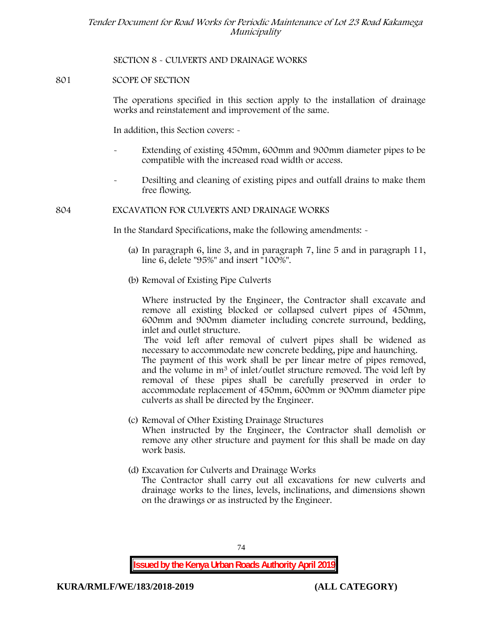# **SECTION 8 - CULVERTS AND DRAINAGE WORKS**

# **801 SCOPE OF SECTION**

The operations specified in this section apply to the installation of drainage works and reinstatement and improvement of the same.

In addition, this Section covers: -

- Extending of existing 450mm, 600mm and 900mm diameter pipes to be compatible with the increased road width or access.
- Desilting and cleaning of existing pipes and outfall drains to make them free flowing.

#### **804 EXCAVATION FOR CULVERTS AND DRAINAGE WORKS**

In the Standard Specifications, make the following amendments: -

- (a) In paragraph 6, line 3, and in paragraph 7, line 5 and in paragraph 11, line 6, delete "95%" and insert "100%".
- (b) Removal of Existing Pipe Culverts

Where instructed by the Engineer, the Contractor shall excavate and remove all existing blocked or collapsed culvert pipes of 450mm, 600mm and 900mm diameter including concrete surround, bedding, inlet and outlet structure.

The void left after removal of culvert pipes shall be widened as necessary to accommodate new concrete bedding, pipe and haunching. The payment of this work shall be per linear metre of pipes removed, and the volume in m<sup>3</sup> of inlet/outlet structure removed. The void left by removal of these pipes shall be carefully preserved in order to accommodate replacement of 450mm, 600mm or 900mm diameter pipe culverts as shall be directed by the Engineer.

- (c) Removal of Other Existing Drainage Structures When instructed by the Engineer, the Contractor shall demolish or remove any other structure and payment for this shall be made on day work basis.
- (d) Excavation for Culverts and Drainage Works The Contractor shall carry out all excavations for new culverts and drainage works to the lines, levels, inclinations, and dimensions shown on the drawings or as instructed by the Engineer.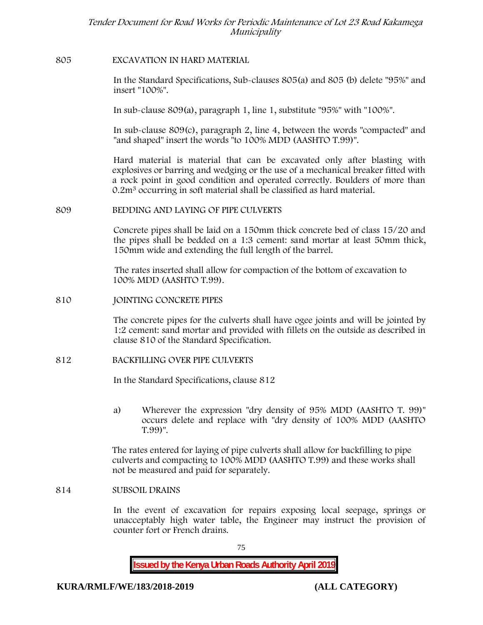## **805 EXCAVATION IN HARD MATERIAL**

In the Standard Specifications, Sub-clauses 805(a) and 805 (b) delete "95%" and insert "100%".

In sub-clause 809(a), paragraph 1, line 1, substitute "95%" with "100%".

In sub-clause 809(c), paragraph 2, line 4, between the words "compacted" and "and shaped" insert the words "to 100% MDD (AASHTO T.99)".

Hard material is material that can be excavated only after blasting with explosives or barring and wedging or the use of a mechanical breaker fitted with a rock point in good condition and operated correctly. Boulders of more than 0.2m<sup>3</sup> occurring in soft material shall be classified as hard material.

# **809 BEDDING AND LAYING OF PIPE CULVERTS**

Concrete pipes shall be laid on a 150mm thick concrete bed of class 15/20 and the pipes shall be bedded on a 1:3 cement: sand mortar at least 50mm thick, 150mm wide and extending the full length of the barrel.

The rates inserted shall allow for compaction of the bottom of excavation to 100% MDD (AASHTO T.99).

#### **810 JOINTING CONCRETE PIPES**

The concrete pipes for the culverts shall have ogee joints and will be jointed by 1:2 cement: sand mortar and provided with fillets on the outside as described in clause 810 of the Standard Specification.

#### **812 BACKFILLING OVER PIPE CULVERTS**

In the Standard Specifications, clause 812

a) Wherever the expression "dry density of 95% MDD (AASHTO T. 99)" occurs delete and replace with "dry density of 100% MDD (AASHTO T.99)".

The rates entered for laying of pipe culverts shall allow for backfilling to pipe culverts and compacting to 100% MDD (AASHTO T.99) and these works shall not be measured and paid for separately.

#### **814 SUBSOIL DRAINS**

In the event of excavation for repairs exposing local seepage, springs or unacceptably high water table, the Engineer may instruct the provision of counter fort or French drains.

75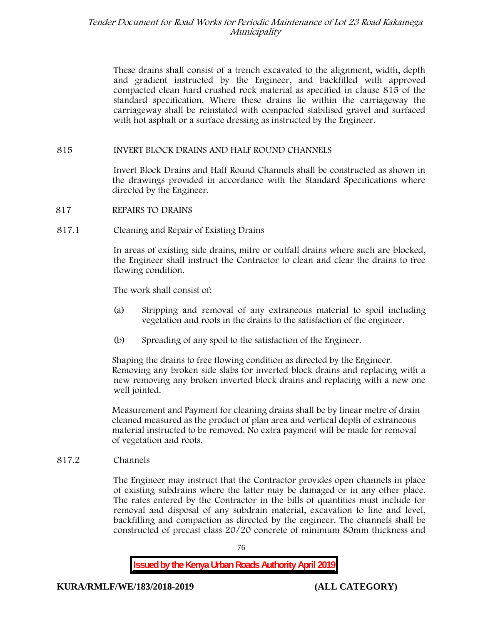These drains shall consist of a trench excavated to the alignment, width, depth and gradient instructed by the Engineer, and backfilled with approved compacted clean hard crushed rock material as specified in clause 815 of the standard specification. Where these drains lie within the carriageway the carriageway shall be reinstated with compacted stabilised gravel and surfaced with hot asphalt or a surface dressing as instructed by the Engineer.

# **815 INVERT BLOCK DRAINS AND HALF ROUND CHANNELS**

Invert Block Drains and Half Round Channels shall be constructed as shown in the drawings provided in accordance with the Standard Specifications where directed by the Engineer.

- **817 REPAIRS TO DRAINS**
- **817.1 Cleaning and Repair of Existing Drains**

In areas of existing side drains, mitre or outfall drains where such are blocked, the Engineer shall instruct the Contractor to clean and clear the drains to free flowing condition.

The work shall consist of:

- (a) Stripping and removal of any extraneous material to spoil including vegetation and roots in the drains to the satisfaction of the engineer.
- (b) Spreading of any spoil to the satisfaction of the Engineer.

Shaping the drains to free flowing condition as directed by the Engineer. Removing any broken side slabs for inverted block drains and replacing with a new removing any broken inverted block drains and replacing with a new one well jointed.

Measurement and Payment for cleaning drains shall be by linear metre of drain cleaned measured as the product of plan area and vertical depth of extraneous material instructed to be removed. No extra payment will be made for removal of vegetation and roots.

**817.2 Channels**

The Engineer may instruct that the Contractor provides open channels in place of existing subdrains where the latter may be damaged or in any other place. The rates entered by the Contractor in the bills of quantities must include for removal and disposal of any subdrain material, excavation to line and level, backfilling and compaction as directed by the engineer. The channels shall be constructed of precast class 20/20 concrete of minimum 80mm thickness and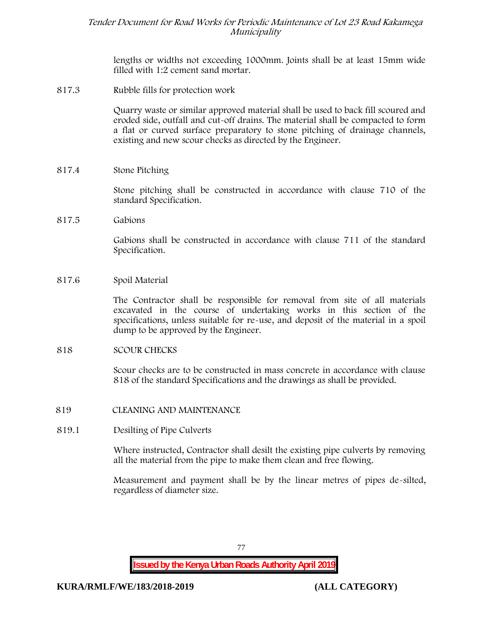lengths or widths not exceeding 1000mm. Joints shall be at least 15mm wide filled with 1:2 cement sand mortar.

**817.3 Rubble fills for protection work**

Quarry waste or similar approved material shall be used to back fill scoured and eroded side, outfall and cut-off drains. The material shall be compacted to form a flat or curved surface preparatory to stone pitching of drainage channels, existing and new scour checks as directed by the Engineer.

**817.4 Stone Pitching**

Stone pitching shall be constructed in accordance with clause 710 of the standard Specification.

**817.5 Gabions**

Gabions shall be constructed in accordance with clause 711 of the standard Specification.

**817.6 Spoil Material**

The Contractor shall be responsible for removal from site of all materials excavated in the course of undertaking works in this section of the specifications, unless suitable for re-use, and deposit of the material in a spoil dump to be approved by the Engineer.

#### **818 SCOUR CHECKS**

Scour checks are to be constructed in mass concrete in accordance with clause 818 of the standard Specifications and the drawings as shall be provided.

- **819 CLEANING AND MAINTENANCE**
- **819.1 Desilting of Pipe Culverts**

Where instructed, Contractor shall desilt the existing pipe culverts by removing all the material from the pipe to make them clean and free flowing.

Measurement and payment shall be by the linear metres of pipes de-silted, regardless of diameter size.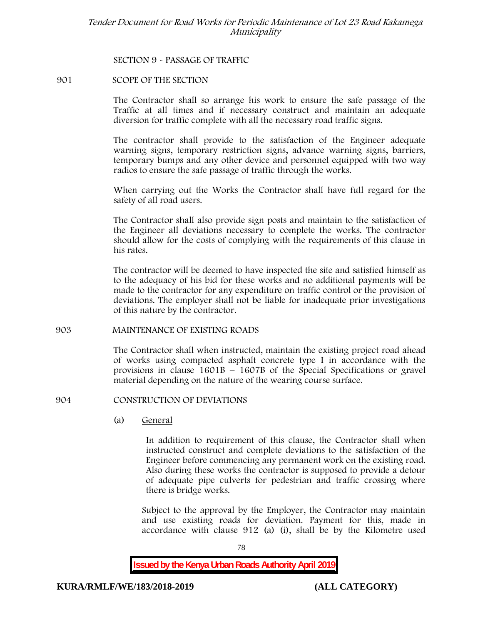## **SECTION 9 - PASSAGE OF TRAFFIC**

# **901 SCOPE OF THE SECTION**

The Contractor shall so arrange his work to ensure the safe passage of the Traffic at all times and if necessary construct and maintain an adequate diversion for traffic complete with all the necessary road traffic signs.

The contractor shall provide to the satisfaction of the Engineer adequate warning signs, temporary restriction signs, advance warning signs, barriers, temporary bumps and any other device and personnel equipped with two way radios to ensure the safe passage of traffic through the works.

When carrying out the Works the Contractor shall have full regard for the safety of all road users.

The Contractor shall also provide sign posts and maintain to the satisfaction of the Engineer all deviations necessary to complete the works. The contractor should allow for the costs of complying with the requirements of this clause in his rates.

The contractor will be deemed to have inspected the site and satisfied himself as to the adequacy of his bid for these works and no additional payments will be made to the contractor for any expenditure on traffic control or the provision of deviations. The employer shall not be liable for inadequate prior investigations of this nature by the contractor.

## **903 MAINTENANCE OF EXISTING ROADS**

The Contractor shall when instructed, maintain the existing project road ahead of works using compacted asphalt concrete type I in accordance with the provisions in clause 1601B – 1607B of the Special Specifications or gravel material depending on the nature of the wearing course surface.

#### **904 CONSTRUCTION OF DEVIATIONS**

(a) **General**

In addition to requirement of this clause, the Contractor shall when instructed construct and complete deviations to the satisfaction of the Engineer before commencing any permanent work on the existing road. Also during these works the contractor is supposed to provide a detour of adequate pipe culverts for pedestrian and traffic crossing where there is bridge works.

Subject to the approval by the Employer, the Contractor may maintain and use existing roads for deviation. Payment for this, made in accordance with clause 912 (a) (i), shall be by the Kilometre used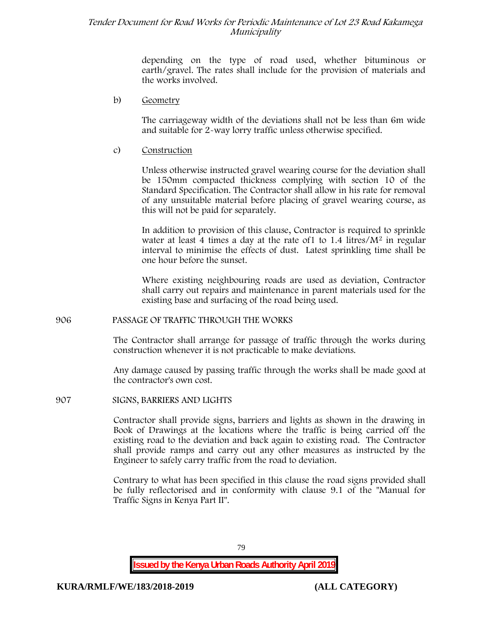depending on the type of road used, whether bituminous or earth/gravel. The rates shall include for the provision of materials and the works involved.

#### b) **Geometry**

The carriageway width of the deviations shall not be less than 6m wide and suitable for 2-way lorry traffic unless otherwise specified.

#### c) **Construction**

Unless otherwise instructed gravel wearing course for the deviation shall be 150mm compacted thickness complying with section 10 of the Standard Specification. The Contractor shall allow in his rate for removal of any unsuitable material before placing of gravel wearing course, as this will not be paid for separately.

In addition to provision of this clause, Contractor is required to sprinkle water at least 4 times a day at the rate of  $1$  to  $1.4$  litres/ $M<sup>2</sup>$  in regular interval to minimise the effects of dust. Latest sprinkling time shall be one hour before the sunset.

Where existing neighbouring roads are used as deviation, Contractor shall carry out repairs and maintenance in parent materials used for the existing base and surfacing of the road being used.

#### **906 PASSAGE OF TRAFFIC THROUGH THE WORKS**

The Contractor shall arrange for passage of traffic through the works during construction whenever it is not practicable to make deviations.

Any damage caused by passing traffic through the works shall be made good at the contractor's own cost.

**907 SIGNS, BARRIERS AND LIGHTS**

Contractor shall provide signs, barriers and lights as shown in the drawing in Book of Drawings at the locations where the traffic is being carried off the existing road to the deviation and back again to existing road. The Contractor shall provide ramps and carry out any other measures as instructed by the Engineer to safely carry traffic from the road to deviation.

Contrary to what has been specified in this clause the road signs provided shall be fully reflectorised and in conformity with clause 9.1 of the "Manual for Traffic Signs in Kenya Part II".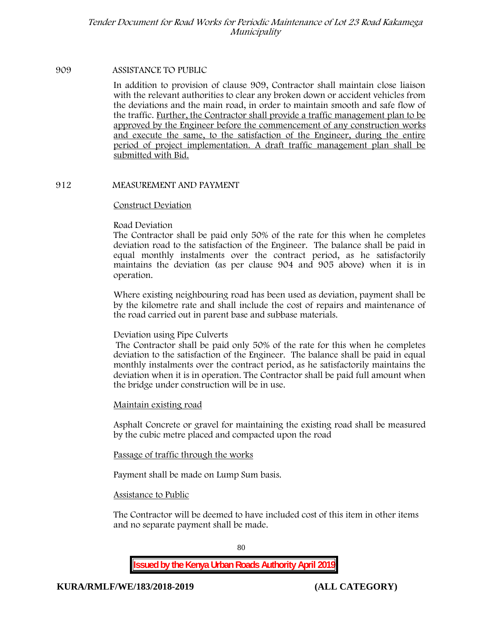#### **909 ASSISTANCE TO PUBLIC**

In addition to provision of clause 909, Contractor shall maintain close liaison with the relevant authorities to clear any broken down or accident vehicles from the deviations and the main road, in order to maintain smooth and safe flow of the traffic. Further, the Contractor shall provide a traffic management plan to be approved by the Engineer before the commencement of any construction works and execute the same, to the satisfaction of the Engineer, during the entire period of project implementation. A draft traffic management plan shall be submitted with Bid.

#### **912 MEASUREMENT AND PAYMENT**

#### **Construct Deviation**

#### **Road Deviation**

The Contractor shall be paid only 50% of the rate for this when he completes deviation road to the satisfaction of the Engineer. The balance shall be paid in equal monthly instalments over the contract period, as he satisfactorily maintains the deviation (as per clause 904 and 905 above) when it is in operation.

Where existing neighbouring road has been used as deviation, payment shall be by the kilometre rate and shall include the cost of repairs and maintenance of the road carried out in parent base and subbase materials.

#### **Deviation using Pipe Culverts**

The Contractor shall be paid only 50% of the rate for this when he completes deviation to the satisfaction of the Engineer. The balance shall be paid in equal monthly instalments over the contract period, as he satisfactorily maintains the deviation when it is in operation. The Contractor shall be paid full amount when the bridge under construction will be in use.

#### **Maintain existing road**

Asphalt Concrete or gravel for maintaining the existing road shall be measured by the cubic metre placed and compacted upon the road

#### **Passage of traffic through the works**

Payment shall be made on Lump Sum basis.

#### **Assistance to Public**

The Contractor will be deemed to have included cost of this item in other items and no separate payment shall be made.

80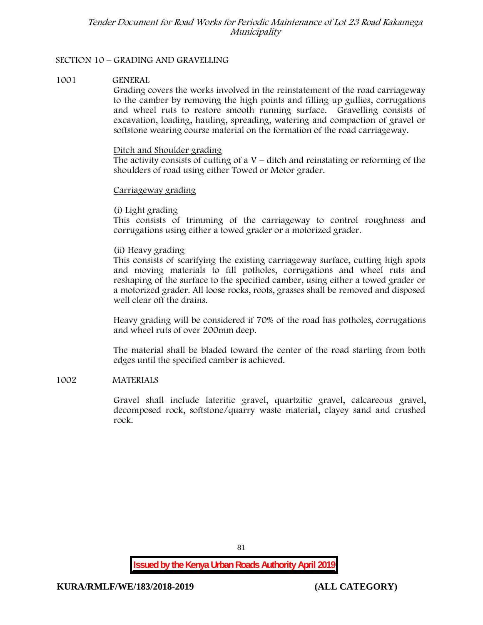# **SECTION 10 – GRADING AND GRAVELLING**

#### **1001 GENERAL**

Grading covers the works involved in the reinstatement of the road carriageway to the camber by removing the high points and filling up gullies, corrugations and wheel ruts to restore smooth running surface. Gravelling consists of excavation, loading, hauling, spreading, watering and compaction of gravel or softstone wearing course material on the formation of the road carriageway.

#### Ditch and Shoulder grading

The activity consists of cutting of a  $V$  – ditch and reinstating or reforming of the shoulders of road using either Towed or Motor grader.

#### Carriageway grading

#### **(i) Light grading**

This consists of trimming of the carriageway to control roughness and corrugations using either a towed grader or a motorized grader.

#### **(ii) Heavy grading**

This consists of scarifying the existing carriageway surface, cutting high spots and moving materials to fill potholes, corrugations and wheel ruts and reshaping of the surface to the specified camber, using either a towed grader or a motorized grader. All loose rocks, roots, grasses shall be removed and disposed well clear off the drains.

Heavy grading will be considered if 70% of the road has potholes, corrugations and wheel ruts of over 200mm deep.

The material shall be bladed toward the center of the road starting from both edges until the specified camber is achieved.

## **1002 MATERIALS**

Gravel shall include lateritic gravel, quartzitic gravel, calcareous gravel, decomposed rock, softstone/quarry waste material, clayey sand and crushed rock.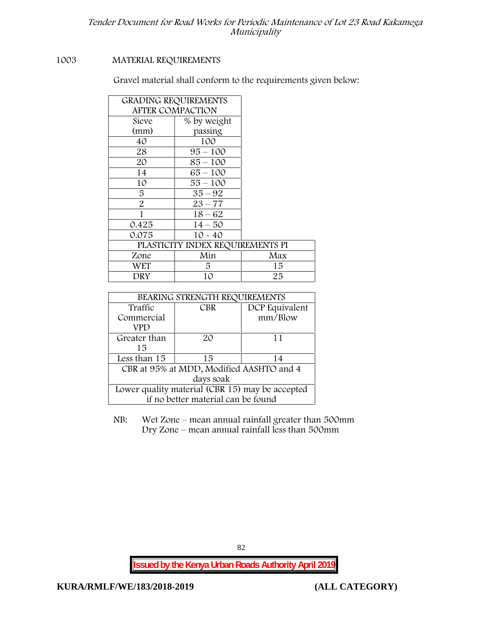# **1003 MATERIAL REQUIREMENTS**

Gravel material shall conform to the requirements given below:

| <b>GRADING REQUIREMENTS</b>      |     |  |  |
|----------------------------------|-----|--|--|
| <b>AFTER COMPACTION</b>          |     |  |  |
| % by weight                      |     |  |  |
| passing                          |     |  |  |
| 100                              |     |  |  |
| $95 - 100$                       |     |  |  |
| $85 - 100$                       |     |  |  |
| $65 - 100$                       |     |  |  |
| $55 - 100$                       |     |  |  |
| $35 - 92$                        |     |  |  |
| $23 - 77$                        |     |  |  |
| $18 - 62$                        |     |  |  |
| $14 - 50$                        |     |  |  |
| $10 - 40$                        |     |  |  |
| PLASTICITY INDEX REQUIREMENTS PI |     |  |  |
| Min                              | Max |  |  |
| 5                                | 15  |  |  |
| 10                               | 25  |  |  |
|                                  |     |  |  |

| BEARING STRENGTH REQUIREMENTS                   |                                    |                |  |  |  |
|-------------------------------------------------|------------------------------------|----------------|--|--|--|
| Traffic                                         | <b>CBR</b>                         | DCP Equivalent |  |  |  |
| Commercial                                      |                                    | mm/Blow        |  |  |  |
| VPD                                             |                                    |                |  |  |  |
| Greater than                                    | 20                                 | 11             |  |  |  |
| 15                                              |                                    |                |  |  |  |
| Less than 15                                    | 15                                 | 14             |  |  |  |
| CBR at 95% at MDD, Modified AASHTO and 4        |                                    |                |  |  |  |
| days soak                                       |                                    |                |  |  |  |
| Lower quality material (CBR 15) may be accepted |                                    |                |  |  |  |
|                                                 | if no better material can be found |                |  |  |  |

NB: Wet Zone – mean annual rainfall greater than 500mm Dry Zone – mean annual rainfall less than 500mm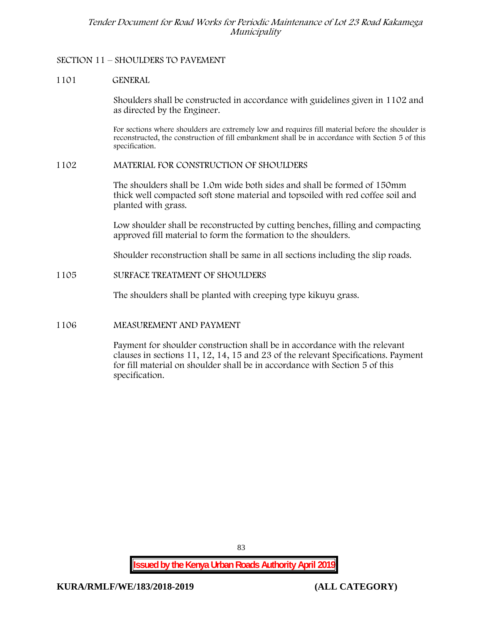# **SECTION 11 – SHOULDERS TO PAVEMENT**

# **1101 GENERAL**

Shoulders shall be constructed in accordance with guidelines given in 1102 and as directed by the Engineer.

For sections where shoulders are extremely low and requires fill material before the shoulder is reconstructed, the construction of fill embankment shall be in accordance with Section 5 of this specification.

#### **1102 MATERIAL FOR CONSTRUCTION OF SHOULDERS**

The shoulders shall be 1.0m wide both sides and shall be formed of 150mm thick well compacted soft stone material and topsoiled with red coffee soil and planted with grass.

Low shoulder shall be reconstructed by cutting benches, filling and compacting approved fill material to form the formation to the shoulders.

Shoulder reconstruction shall be same in all sections including the slip roads.

# **1105 SURFACE TREATMENT OF SHOULDERS**

The shoulders shall be planted with creeping type kikuyu grass.

# **1106 MEASUREMENT AND PAYMENT**

Payment for shoulder construction shall be in accordance with the relevant clauses in sections 11, 12, 14, 15 and 23 of the relevant Specifications. Payment for fill material on shoulder shall be in accordance with Section 5 of this specification.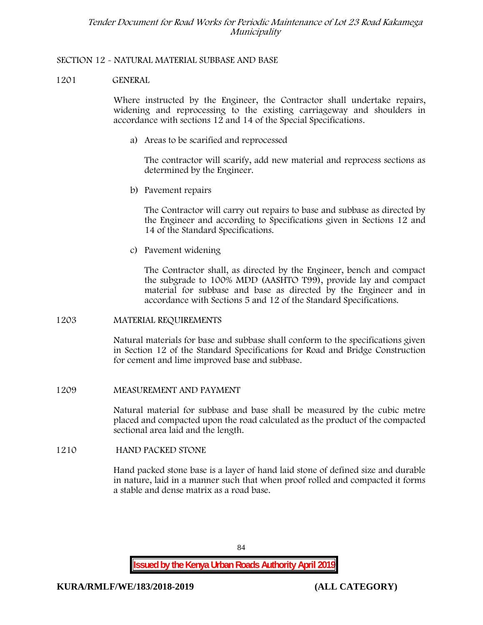# **SECTION 12 - NATURAL MATERIAL SUBBASE AND BASE**

## **1201 GENERAL**

Where instructed by the Engineer, the Contractor shall undertake repairs, widening and reprocessing to the existing carriageway and shoulders in accordance with sections 12 and 14 of the Special Specifications.

**a) Areas to be scarified and reprocessed**

The contractor will scarify, add new material and reprocess sections as determined by the Engineer.

**b) Pavement repairs**

The Contractor will carry out repairs to base and subbase as directed by the Engineer and according to Specifications given in Sections 12 and 14 of the Standard Specifications.

**c) Pavement widening**

The Contractor shall, as directed by the Engineer, bench and compact the subgrade to 100% MDD (AASHTO T99), provide lay and compact material for subbase and base as directed by the Engineer and in accordance with Sections 5 and 12 of the Standard Specifications.

#### **1203 MATERIAL REQUIREMENTS**

Natural materials for base and subbase shall conform to the specifications given in Section 12 of the Standard Specifications for Road and Bridge Construction for cement and lime improved base and subbase.

#### **1209 MEASUREMENT AND PAYMENT**

Natural material for subbase and base shall be measured by the cubic metre placed and compacted upon the road calculated as the product of the compacted sectional area laid and the length.

#### **1210 HAND PACKED STONE**

Hand packed stone base is a layer of hand laid stone of defined size and durable in nature, laid in a manner such that when proof rolled and compacted it forms a stable and dense matrix as a road base.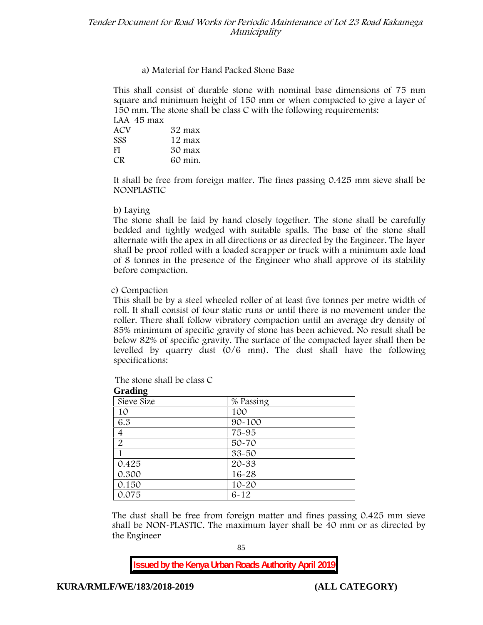# **a) Material for Hand Packed Stone Base**

This shall consist of durable stone with nominal base dimensions of 75 mm square and minimum height of 150 mm or when compacted to give a layer of 150 mm. The stone shall be class C with the following requirements:

| LAA 45 max |         |
|------------|---------|
| ACV        | 32 max  |
| <b>SSS</b> | 12 max  |
| -FI        | 30 max  |
| CR.        | 60 min. |

It shall be free from foreign matter. The fines passing 0.425 mm sieve shall be **NONPLASTIC**

#### **b) Laying**

The stone shall be laid by hand closely together. The stone shall be carefully bedded and tightly wedged with suitable spalls. The base of the stone shall alternate with the apex in all directions or as directed by the Engineer. The layer shall be proof rolled with a loaded scrapper or truck with a minimum axle load of 8 tonnes in the presence of the Engineer who shall approve of its stability before compaction.

# **c) Compaction**

This shall be by a steel wheeled roller of at least five tonnes per metre width of roll. It shall consist of four static runs or until there is no movement under the roller. There shall follow vibratory compaction until an average dry density of 85% minimum of specific gravity of stone has been achieved. No result shall be below 82% of specific gravity. The surface of the compacted layer shall then be levelled by quarry dust (0/6 mm). The dust shall have the following specifications:

| Oraung         |            |  |  |  |  |
|----------------|------------|--|--|--|--|
| Sieve Size     | % Passing  |  |  |  |  |
| 10             | 100        |  |  |  |  |
| 6.3            | $90 - 100$ |  |  |  |  |
| 4              | 75-95      |  |  |  |  |
| $\overline{2}$ | $50 - 70$  |  |  |  |  |
|                | $33 - 50$  |  |  |  |  |
| 0.425          | $20 - 33$  |  |  |  |  |
| 0.300          | $16 - 28$  |  |  |  |  |
| 0.150          | $10 - 20$  |  |  |  |  |
| 0.075          | $6 - 12$   |  |  |  |  |

The stone shall be class C

**Grading**

The dust shall be free from foreign matter and fines passing 0.425 mm sieve shall be **NON-PLASTIC**. The maximum layer shall be 40 mm or as directed by the Engineer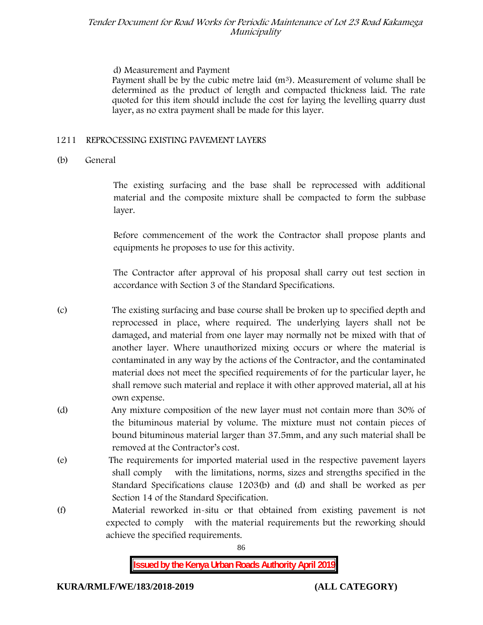# **d) Measurement and Payment**

Payment shall be by the cubic metre laid  $(m<sup>3</sup>)$ . Measurement of volume shall be determined as the product of length and compacted thickness laid. The rate quoted for this item should include the cost for laying the levelling quarry dust layer, as no extra payment shall be made for this layer.

# **1211 REPROCESSING EXISTING PAVEMENT LAYERS**

# **(b) General**

The existing surfacing and the base shall be reprocessed with additional material and the composite mixture shall be compacted to form the subbase layer.

Before commencement of the work the Contractor shall propose plants and equipments he proposes to use for this activity.

The Contractor after approval of his proposal shall carry out test section in accordance with Section 3 of the Standard Specifications.

- (c) The existing surfacing and base course shall be broken up to specified depth and reprocessed in place, where required. The underlying layers shall not be damaged, and material from one layer may normally not be mixed with that of another layer. Where unauthorized mixing occurs or where the material is contaminated in any way by the actions of the Contractor, and the contaminated material does not meet the specified requirements of for the particular layer, he shall remove such material and replace it with other approved material, all at his own expense.
- (d) Any mixture composition of the new layer must not contain more than 30% of the bituminous material by volume. The mixture must not contain pieces of bound bituminous material larger than 37.5mm, and any such material shall be removed at the Contractor's cost.
- (e) The requirements for imported material used in the respective pavement layers shall comply with the limitations, norms, sizes and strengths specified in the Standard Specifications clause 1203(b) and (d) and shall be worked as per Section 14 of the Standard Specification.
- (f) Material reworked in-situ or that obtained from existing pavement is not expected to comply with the material requirements but the reworking should achieve the specified requirements.

86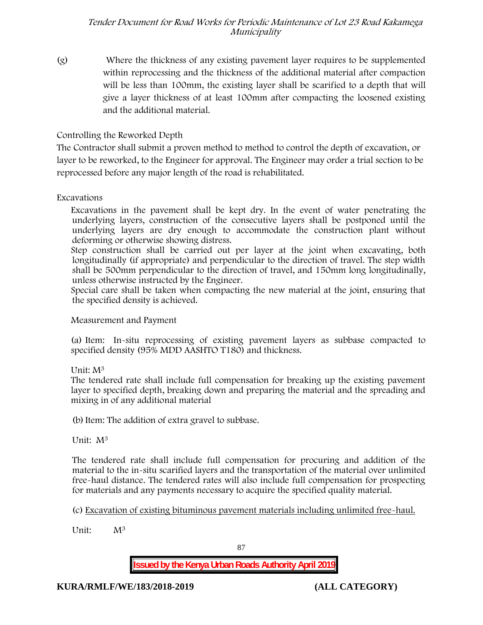(g) Where the thickness of any existing pavement layer requires to be supplemented within reprocessing and the thickness of the additional material after compaction will be less than 100mm, the existing layer shall be scarified to a depth that will give a layer thickness of at least 100mm after compacting the loosened existing and the additional material.

# **Controlling the Reworked Depth**

The Contractor shall submit a proven method to method to control the depth of excavation, or layer to be reworked, to the Engineer for approval. The Engineer may order a trial section to be reprocessed before any major length of the road is rehabilitated.

# **Excavations**

Excavations in the pavement shall be kept dry. In the event of water penetrating the underlying layers, construction of the consecutive layers shall be postponed until the underlying layers are dry enough to accommodate the construction plant without deforming or otherwise showing distress.

Step construction shall be carried out per layer at the joint when excavating, both longitudinally (if appropriate) and perpendicular to the direction of travel. The step width shall be 500mm perpendicular to the direction of travel, and 150mm long longitudinally, unless otherwise instructed by the Engineer.

Special care shall be taken when compacting the new material at the joint, ensuring that the specified density is achieved.

**Measurement and Payment**

(a) Item: In-situ reprocessing of existing pavement layers as subbase compacted to specified density (95% MDD AASHTO T180) and thickness.

# Unit: M<sup>3</sup>

The tendered rate shall include full compensation for breaking up the existing pavement layer to specified depth, breaking down and preparing the material and the spreading and mixing in of any additional material

(b)Item: The addition of extra gravel to subbase.

Unit: M<sup>3</sup>

The tendered rate shall include full compensation for procuring and addition of the material to the in-situ scarified layers and the transportation of the material over unlimited free-haul distance. The tendered rates will also include full compensation for prospecting for materials and any payments necessary to acquire the specified quality material.

(c) Excavation of existing bituminous pavement materials including unlimited free-haul.

Unit: M<sup>3</sup>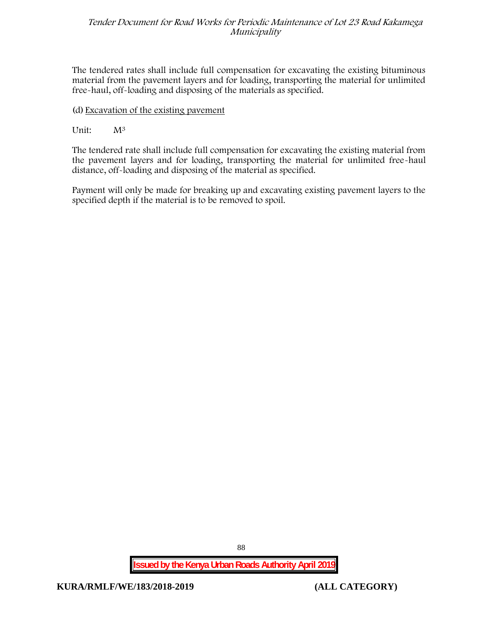The tendered rates shall include full compensation for excavating the existing bituminous material from the pavement layers and for loading, transporting the material for unlimited free-haul, off-loading and disposing of the materials as specified.

# (d) Excavation of the existing pavement

# Unit:  $M^3$

The tendered rate shall include full compensation for excavating the existing material from the pavement layers and for loading, transporting the material for unlimited free-haul distance, off-loading and disposing of the material as specified.

Payment will only be made for breaking up and excavating existing pavement layers to the specified depth if the material is to be removed to spoil.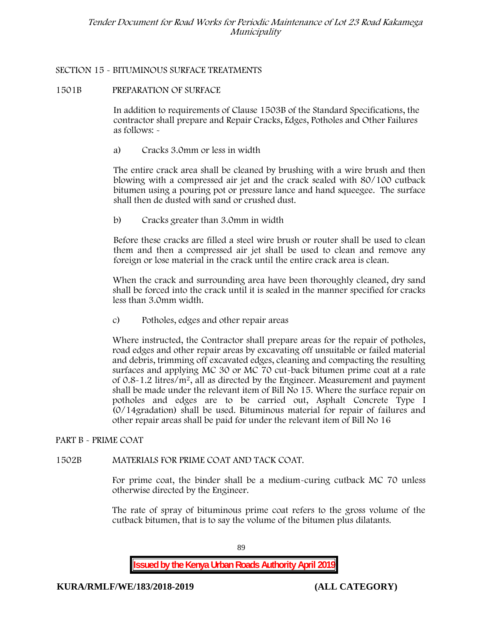# **SECTION 15 - BITUMINOUS SURFACE TREATMENTS**

# **1501B PREPARATION OF SURFACE**

In addition to requirements of Clause 1503B of the Standard Specifications, the contractor shall prepare and Repair Cracks, Edges, Potholes and Other Failures as follows: **-**

a) **Cracks 3.0mm or less in width**

The entire crack area shall be cleaned by brushing with a wire brush and then blowing with a compressed air jet and the crack sealed with 80/100 cutback bitumen using a pouring pot or pressure lance and hand squeegee. The surface shall then de dusted with sand or crushed dust.

b) **Cracks greater than 3.0mm in width**

Before these cracks are filled a steel wire brush or router shall be used to clean them and then a compressed air jet shall be used to clean and remove any foreign or lose material in the crack until the entire crack area is clean.

When the crack and surrounding area have been thoroughly cleaned, dry sand shall be forced into the crack until it is sealed in the manner specified for cracks less than 3.0mm width.

c) **Potholes, edges and other repair areas**

Where instructed, the Contractor shall prepare areas for the repair of potholes, road edges and other repair areas by excavating off unsuitable or failed material and debris, trimming off excavated edges, cleaning and compacting the resulting surfaces and applying MC 30 or MC 70 cut-back bitumen prime coat at a rate of 0.8-1.2 litres/m2, all as directed by the Engineer. Measurement and payment shall be made under the relevant item of Bill No 15. Where the surface repair on potholes and edges are to be carried out, Asphalt Concrete Type I (0/14gradation) shall be used. Bituminous material for repair of failures and other repair areas shall be paid for under the relevant item of Bill No 16

# **PART B - PRIME COAT**

# **1502B MATERIALS FOR PRIME COAT AND TACK COAT.**

For prime coat, the binder shall be a medium-curing cutback MC 70 unless otherwise directed by the Engineer.

The rate of spray of bituminous prime coat refers to the gross volume of the cutback bitumen, that is to say the volume of the bitumen plus dilatants.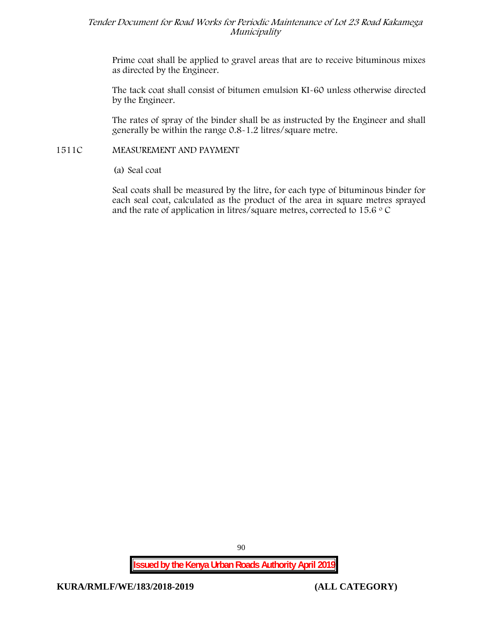Prime coat shall be applied to gravel areas that are to receive bituminous mixes as directed by the Engineer.

The tack coat shall consist of bitumen emulsion KI-60 unless otherwise directed by the Engineer.

The rates of spray of the binder shall be as instructed by the Engineer and shall generally be within the range 0.8-1.2 litres/square metre.

# **1511C MEASUREMENT AND PAYMENT**

(a) Seal coat

Seal coats shall be measured by the litre, for each type of bituminous binder for each seal coat, calculated as the product of the area in square metres sprayed and the rate of application in litres/square metres, corrected to 15.6  $\circ$  C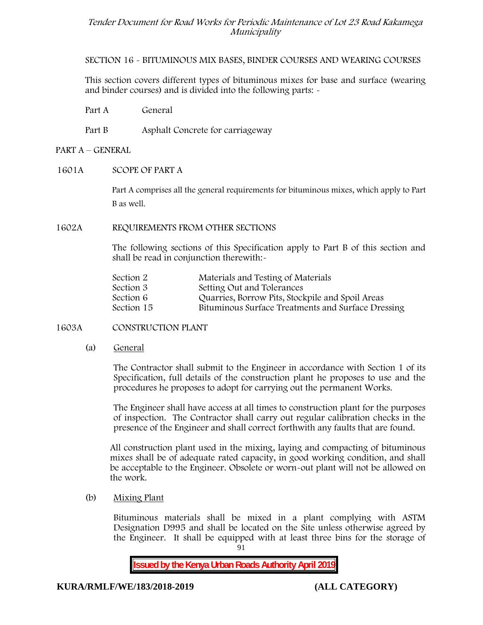**SECTION 16 - BITUMINOUS MIX BASES, BINDER COURSES AND WEARING COURSES**

This section covers different types of bituminous mixes for base and surface (wearing and binder courses) and is divided into the following parts: -

Part A General

Part B Asphalt Concrete for carriageway

# **PART A –GENERAL**

# **1601A SCOPE OF PART A**

Part A comprises all the general requirements for bituminous mixes, which apply to Part B as well.

#### **1602A REQUIREMENTS FROM OTHER SECTIONS**

The following sections of this Specification apply to Part B of this section and shall be read in conjunction therewith:-

| Section 2  | Materials and Testing of Materials                 |
|------------|----------------------------------------------------|
| Section 3  | Setting Out and Tolerances                         |
| Section 6  | Quarries, Borrow Pits, Stockpile and Spoil Areas   |
| Section 15 | Bituminous Surface Treatments and Surface Dressing |

#### **1603A CONSTRUCTION PLANT**

(a) **General**

The Contractor shall submit to the Engineer in accordance with Section 1 of its Specification, full details of the construction plant he proposes to use and the procedures he proposes to adopt for carrying out the permanent Works.

The Engineer shall have access at all times to construction plant for the purposes of inspection. The Contractor shall carry out regular calibration checks in the presence of the Engineer and shall correct forthwith any faults that are found.

All construction plant used in the mixing, laying and compacting of bituminous mixes shall be of adequate rated capacity, in good working condition, and shall be acceptable to the Engineer. Obsolete or worn-out plant will not be allowed on the work.

(b) **Mixing Plant**

Bituminous materials shall be mixed in a plant complying with ASTM Designation D995 and shall be located on the Site unless otherwise agreed by the Engineer. It shall be equipped with at least three bins for the storage of

91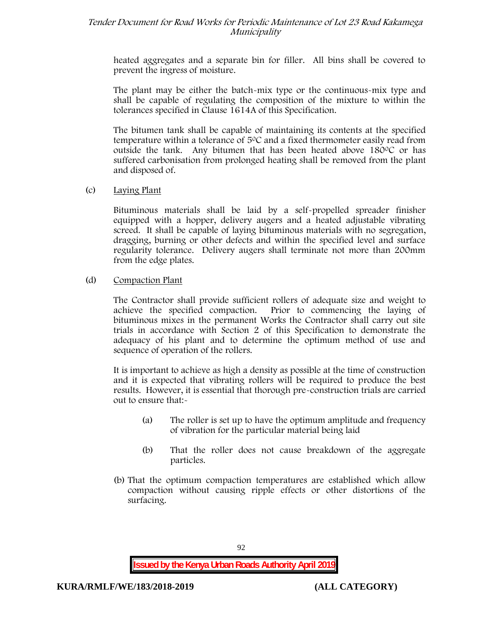heated aggregates and a separate bin for filler. All bins shall be covered to prevent the ingress of moisture.

The plant may be either the batch-mix type or the continuous-mix type and shall be capable of regulating the composition of the mixture to within the tolerances specified in Clause 1614A of this Specification.

The bitumen tank shall be capable of maintaining its contents at the specified temperature within a tolerance of  $5^{\circ}$ C and a fixed thermometer easily read from outside the tank. Any bitumen that has been heated above  $180^{\circ}$ C or has suffered carbonisation from prolonged heating shall be removed from the plant and disposed of.

# (c) **Laying Plant**

Bituminous materials shall be laid by a self-propelled spreader finisher equipped with a hopper, delivery augers and a heated adjustable vibrating screed. It shall be capable of laying bituminous materials with no segregation, dragging, burning or other defects and within the specified level and surface regularity tolerance. Delivery augers shall terminate not more than 200mm from the edge plates.

# (d) **Compaction Plant**

The Contractor shall provide sufficient rollers of adequate size and weight to achieve the specified compaction. Prior to commencing the laying of bituminous mixes in the permanent Works the Contractor shall carry out site trials in accordance with Section 2 of this Specification to demonstrate the adequacy of his plant and to determine the optimum method of use and sequence of operation of the rollers.

It is important to achieve as high a density as possible at the time of construction and it is expected that vibrating rollers will be required to produce the best results. However, it is essential that thorough pre-construction trials are carried out to ensure that:-

- (a) The roller is set up to have the optimum amplitude and frequency of vibration for the particular material being laid
- (b) That the roller does not cause breakdown of the aggregate particles.
- (b) That the optimum compaction temperatures are established which allow compaction without causing ripple effects or other distortions of the surfacing.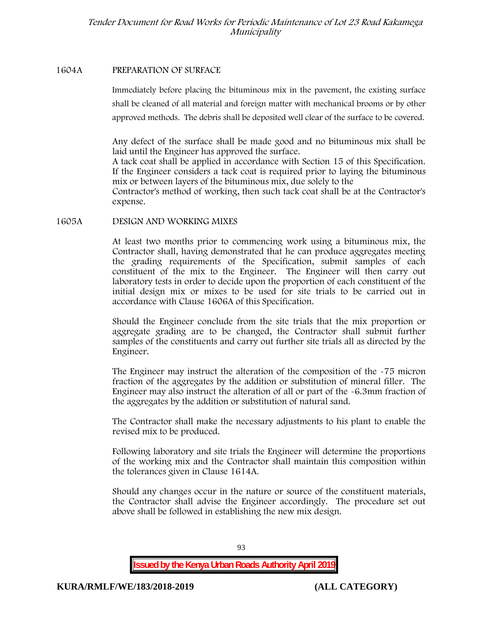#### **1604A PREPARATION OF SURFACE**

Immediately before placing the bituminous mix in the pavement, the existing surface shall be cleaned of all material and foreign matter with mechanical brooms or by other approved methods. The debris shall be deposited well clear of the surface to be covered.

Any defect of the surface shall be made good and no bituminous mix shall be laid until the Engineer has approved the surface.

A tack coat shall be applied in accordance with Section 15 of this Specification. If the Engineer considers a tack coat is required prior to laying the bituminous mix or between layers of the bituminous mix, due solely to the

Contractor's method of working, then such tack coat shall be at the Contractor's expense.

#### **1605A DESIGN AND WORKING MIXES**

At least two months prior to commencing work using a bituminous mix, the Contractor shall, having demonstrated that he can produce aggregates meeting the grading requirements of the Specification, submit samples of each constituent of the mix to the Engineer. The Engineer will then carry out laboratory tests in order to decide upon the proportion of each constituent of the initial design mix or mixes to be used for site trials to be carried out in accordance with Clause 1606A of this Specification.

Should the Engineer conclude from the site trials that the mix proportion or aggregate grading are to be changed, the Contractor shall submit further samples of the constituents and carry out further site trials all as directed by the Engineer.

The Engineer may instruct the alteration of the composition of the -75 micron fraction of the aggregates by the addition or substitution of mineral filler. The Engineer may also instruct the alteration of all or part of the -6.3mm fraction of the aggregates by the addition or substitution of natural sand.

The Contractor shall make the necessary adjustments to his plant to enable the revised mix to be produced.

Following laboratory and site trials the Engineer will determine the proportions of the working mix and the Contractor shall maintain this composition within the tolerances given in Clause 1614A.

Should any changes occur in the nature or source of the constituent materials, the Contractor shall advise the Engineer accordingly. The procedure set out above shall be followed in establishing the new mix design.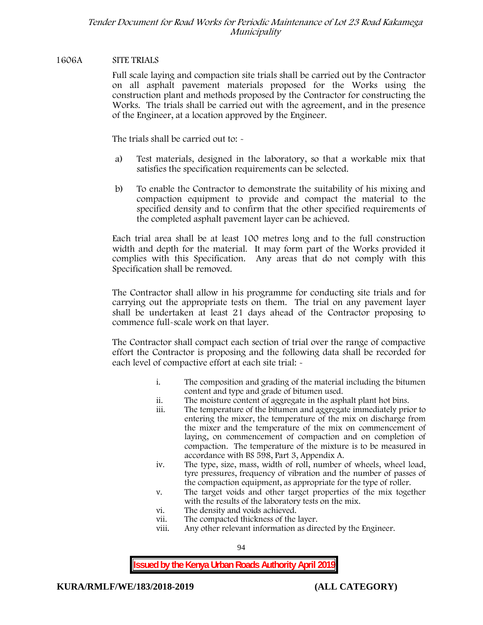## **1606A SITE TRIALS**

Full scale laying and compaction site trials shall be carried out by the Contractor on all asphalt pavement materials proposed for the Works using the construction plant and methods proposed by the Contractor for constructing the Works. The trials shall be carried out with the agreement, and in the presence of the Engineer, at a location approved by the Engineer.

The trials shall be carried out to: -

- a) Test materials, designed in the laboratory, so that a workable mix that satisfies the specification requirements can be selected.
- b) To enable the Contractor to demonstrate the suitability of his mixing and compaction equipment to provide and compact the material to the specified density and to confirm that the other specified requirements of the completed asphalt pavement layer can be achieved.

Each trial area shall be at least 100 metres long and to the full construction width and depth for the material. It may form part of the Works provided it complies with this Specification. Any areas that do not comply with this Specification shall be removed.

The Contractor shall allow in his programme for conducting site trials and for carrying out the appropriate tests on them. The trial on any pavement layer shall be undertaken at least 21 days ahead of the Contractor proposing to commence full-scale work on that layer.

The Contractor shall compact each section of trial over the range of compactive effort the Contractor is proposing and the following data shall be recorded for each level of compactive effort at each site trial:  $\sim$ 

- i. The composition and grading of the material including the bitumen content and type and grade of bitumen used.
- ii. The moisture content of aggregate in the asphalt plant hot bins.
- iii. The temperature of the bitumen and aggregate immediately prior to entering the mixer, the temperature of the mix on discharge from the mixer and the temperature of the mix on commencement of laying, on commencement of compaction and on completion of compaction. The temperature of the mixture is to be measured in accordance with BS 598, Part 3, Appendix A.
- iv. The type, size, mass, width of roll, number of wheels, wheel load, tyre pressures, frequency of vibration and the number of passes of the compaction equipment, as appropriate for the type of roller.
- v. The target voids and other target properties of the mix together with the results of the laboratory tests on the mix.
- vi. The density and voids achieved.
- vii. The compacted thickness of the layer.
- viii. Any other relevant information as directed by the Engineer.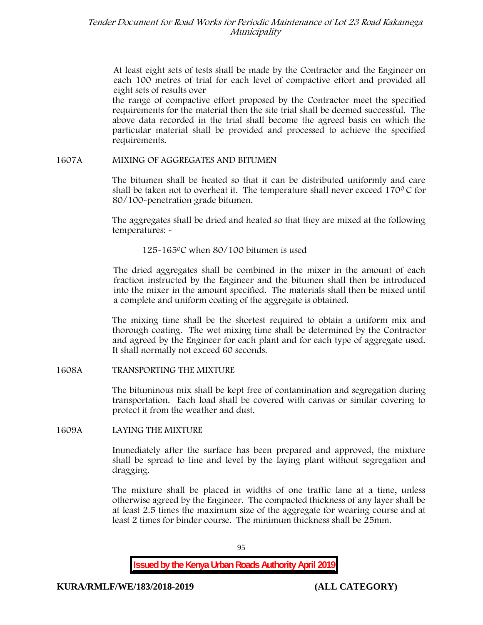At least eight sets of tests shall be made by the Contractor and the Engineer on each 100 metres of trial for each level of compactive effort and provided all eight sets of results over

the range of compactive effort proposed by the Contractor meet the specified requirements for the material then the site trial shall be deemed successful. The above data recorded in the trial shall become the agreed basis on which the particular material shall be provided and processed to achieve the specified requirements.

# **1607A MIXING OF AGGREGATES AND BITUMEN**

The bitumen shall be heated so that it can be distributed uniformly and care shall be taken not to overheat it. The temperature shall never exceed 170 $\degree$ C for 80/100-penetration grade bitumen.

The aggregates shall be dried and heated so that they are mixed at the following temperatures: -

125-1650C when 80/100 bitumen is used

The dried aggregates shall be combined in the mixer in the amount of each fraction instructed by the Engineer and the bitumen shall then be introduced into the mixer in the amount specified. The materials shall then be mixed until a complete and uniform coating of the aggregate is obtained.

The mixing time shall be the shortest required to obtain a uniform mix and thorough coating. The wet mixing time shall be determined by the Contractor and agreed by the Engineer for each plant and for each type of aggregate used. It shall normally not exceed 60 seconds.

**1608A TRANSPORTING THE MIXTURE**

The bituminous mix shall be kept free of contamination and segregation during transportation. Each load shall be covered with canvas or similar covering to protect it from the weather and dust.

# **1609A LAYING THE MIXTURE**

Immediately after the surface has been prepared and approved, the mixture shall be spread to line and level by the laying plant without segregation and dragging.

The mixture shall be placed in widths of one traffic lane at a time, unless otherwise agreed by the Engineer. The compacted thickness of any layer shall be at least 2.5 times the maximum size of the aggregate for wearing course and at least 2 times for binder course. The minimum thickness shall be 25mm.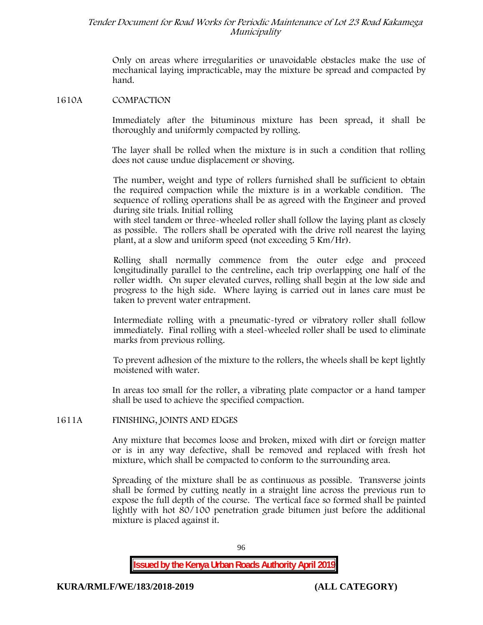Only on areas where irregularities or unavoidable obstacles make the use of mechanical laying impracticable, may the mixture be spread and compacted by hand.

#### **1610A COMPACTION**

Immediately after the bituminous mixture has been spread, it shall be thoroughly and uniformly compacted by rolling.

The layer shall be rolled when the mixture is in such a condition that rolling does not cause undue displacement or shoving.

The number, weight and type of rollers furnished shall be sufficient to obtain the required compaction while the mixture is in a workable condition. The sequence of rolling operations shall be as agreed with the Engineer and proved during site trials. Initial rolling

with steel tandem or three-wheeled roller shall follow the laying plant as closely as possible. The rollers shall be operated with the drive roll nearest the laying plant, at a slow and uniform speed (not exceeding 5 Km/Hr).

Rolling shall normally commence from the outer edge and proceed longitudinally parallel to the centreline, each trip overlapping one half of the roller width. On super elevated curves, rolling shall begin at the low side and progress to the high side. Where laying is carried out in lanes care must be taken to prevent water entrapment.

Intermediate rolling with a pneumatic-tyred or vibratory roller shall follow immediately. Final rolling with a steel-wheeled roller shall be used to eliminate marks from previous rolling.

To prevent adhesion of the mixture to the rollers, the wheels shall be kept lightly moistened with water.

In areas too small for the roller, a vibrating plate compactor or a hand tamper shall be used to achieve the specified compaction.

#### **1611A FINISHING, JOINTS AND EDGES**

Any mixture that becomes loose and broken, mixed with dirt or foreign matter or is in any way defective, shall be removed and replaced with fresh hot mixture, which shall be compacted to conform to the surrounding area.

Spreading of the mixture shall be as continuous as possible. Transverse joints shall be formed by cutting neatly in a straight line across the previous run to expose the full depth of the course. The vertical face so formed shall be painted lightly with hot 80/100 penetration grade bitumen just before the additional mixture is placed against it.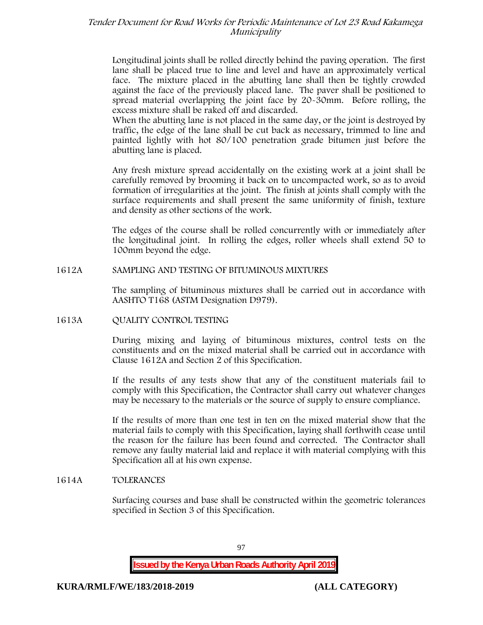Longitudinal joints shall be rolled directly behind the paving operation. The first lane shall be placed true to line and level and have an approximately vertical face. The mixture placed in the abutting lane shall then be tightly crowded against the face of the previously placed lane. The paver shall be positioned to spread material overlapping the joint face by 20-30mm. Before rolling, the excess mixture shall be raked off and discarded.

When the abutting lane is not placed in the same day, or the joint is destroyed by traffic, the edge of the lane shall be cut back as necessary, trimmed to line and painted lightly with hot 80/100 penetration grade bitumen just before the abutting lane is placed.

Any fresh mixture spread accidentally on the existing work at a joint shall be carefully removed by brooming it back on to uncompacted work, so as to avoid formation of irregularities at the joint. The finish at joints shall comply with the surface requirements and shall present the same uniformity of finish, texture and density as other sections of the work.

The edges of the course shall be rolled concurrently with or immediately after the longitudinal joint. In rolling the edges, roller wheels shall extend 50 to 100mm beyond the edge.

# **1612A SAMPLING AND TESTING OF BITUMINOUS MIXTURES**

The sampling of bituminous mixtures shall be carried out in accordance with AASHTO T168 (ASTM Designation D979).

#### **1613A QUALITY CONTROL TESTING**

During mixing and laying of bituminous mixtures, control tests on the constituents and on the mixed material shall be carried out in accordance with Clause 1612A and Section 2 of this Specification.

If the results of any tests show that any of the constituent materials fail to comply with this Specification, the Contractor shall carry out whatever changes may be necessary to the materials or the source of supply to ensure compliance.

If the results of more than one test in ten on the mixed material show that the material fails to comply with this Specification, laying shall forthwith cease until the reason for the failure has been found and corrected. The Contractor shall remove any faulty material laid and replace it with material complying with this Specification all at his own expense.

#### **1614A TOLERANCES**

Surfacing courses and base shall be constructed within the geometric tolerances specified in Section 3 of this Specification.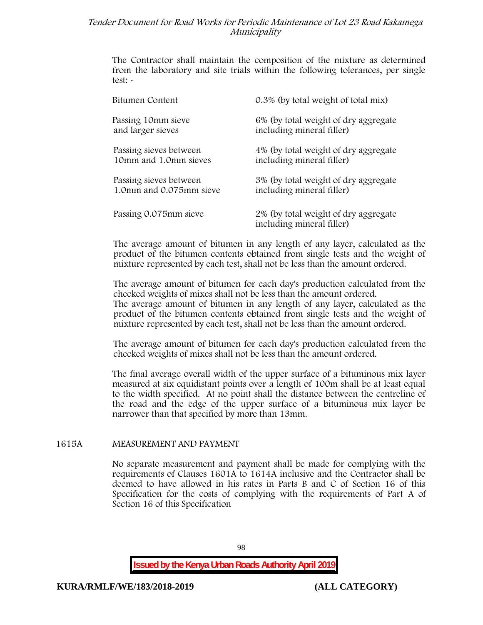The Contractor shall maintain the composition of the mixture as determined from the laboratory and site trials within the following tolerances, per single test: -

| Bitumen Content         | 0.3% (by total weight of total mix)                               |
|-------------------------|-------------------------------------------------------------------|
| Passing 10mm sieve      | 6% (by total weight of dry aggregate                              |
| and larger sieves       | including mineral filler)                                         |
| Passing sieves between  | 4% (by total weight of dry aggregate                              |
| 10mm and 1.0mm sieves   | including mineral filler)                                         |
| Passing sieves between  | 3% (by total weight of dry aggregate                              |
| 1.0mm and 0.075mm sieve | including mineral filler)                                         |
| Passing 0.075mm sieve   | 2% (by total weight of dry aggregate<br>including mineral filler) |

The average amount of bitumen in any length of any layer, calculated as the product of the bitumen contents obtained from single tests and the weight of mixture represented by each test, shall not be less than the amount ordered.

The average amount of bitumen for each day's production calculated from the checked weights of mixes shall not be less than the amount ordered. The average amount of bitumen in any length of any layer, calculated as the

product of the bitumen contents obtained from single tests and the weight of mixture represented by each test, shall not be less than the amount ordered.

The average amount of bitumen for each day's production calculated from the checked weights of mixes shall not be less than the amount ordered.

The final average overall width of the upper surface of a bituminous mix layer measured at six equidistant points over a length of 100m shall be at least equal to the width specified. At no point shall the distance between the centreline of the road and the edge of the upper surface of a bituminous mix layer be narrower than that specified by more than 13mm.

#### **1615A MEASUREMENT AND PAYMENT**

No separate measurement and payment shall be made for complying with the requirements of Clauses 1601A to 1614A inclusive and the Contractor shall be deemed to have allowed in his rates in Parts B and C of Section 16 of this Specification for the costs of complying with the requirements of Part A of Section 16 of this Specification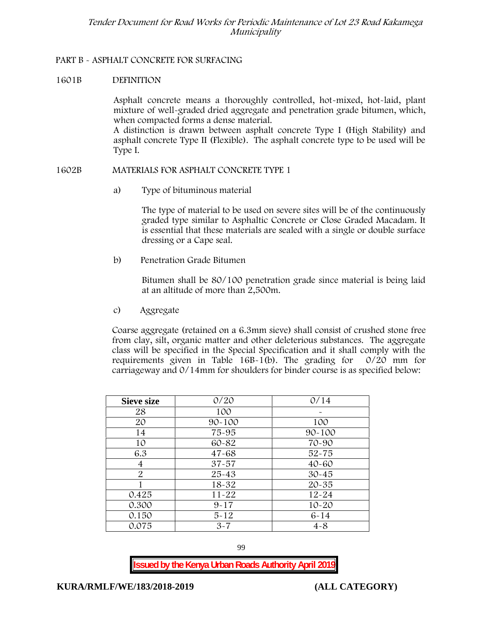# **PART B - ASPHALT CONCRETE FOR SURFACING**

## **1601B DEFINITION**

Asphalt concrete means a thoroughly controlled, hot-mixed, hot-laid, plant mixture of well-graded dried aggregate and penetration grade bitumen, which, when compacted forms a dense material.

A distinction is drawn between asphalt concrete Type I (High Stability) and asphalt concrete Type II (Flexible). The asphalt concrete type to be used will be Type I.

#### **1602B MATERIALS FOR ASPHALT CONCRETE TYPE 1**

a) **Type of bituminous material**

The type of material to be used on severe sites will be of the continuously graded type similar to Asphaltic Concrete or Close Graded Macadam. It is essential that these materials are sealed with a single or double surface dressing or a Cape seal.

b) **Penetration Grade Bitumen**

Bitumen shall be 80/100 penetration grade since material is being laid at an altitude of more than 2,500m.

c) **Aggregate**

Coarse aggregate (retained on a 6.3mm sieve) shall consist of crushed stone free from clay, silt, organic matter and other deleterious substances. The aggregate class will be specified in the Special Specification and it shall comply with the requirements given in Table 16B-1(b). The grading for 0/20 mm for carriageway and 0/14mm for shoulders for binder course is as specified below:

| <b>Sieve size</b> | 0/20       | 0/14       |  |  |
|-------------------|------------|------------|--|--|
| 28                | 100        |            |  |  |
| 20                | $90 - 100$ | 100        |  |  |
| 14                | 75-95      | $90 - 100$ |  |  |
| 10                | 60-82      | 70-90      |  |  |
| 6.3               | $47 - 68$  | $52 - 75$  |  |  |
| 4                 | $37 - 57$  | $40 - 60$  |  |  |
| $\overline{2}$    | $25 - 43$  | $30 - 45$  |  |  |
|                   | 18-32      | $20 - 35$  |  |  |
| 0.425             | $11 - 22$  | $12 - 24$  |  |  |
| 0.300             | $9 - 17$   | $10 - 20$  |  |  |
| 0.150             | $5 - 12$   | $6 - 14$   |  |  |
| 0.075             | $3 - 7$    | $4 - 8$    |  |  |

99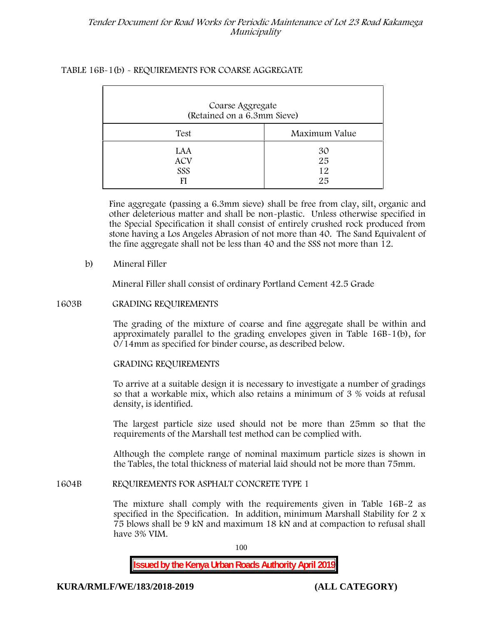# **TABLE 16B-1(b) - REQUIREMENTS FOR COARSE AGGREGATE**

| Coarse Aggregate<br>(Retained on a 6.3mm Sieve) |                      |  |  |  |
|-------------------------------------------------|----------------------|--|--|--|
| Test                                            | Maximum Value        |  |  |  |
| LAA<br><b>ACV</b><br>SSS                        | 30<br>25<br>12<br>25 |  |  |  |

Fine aggregate (passing a 6.3mm sieve) shall be free from clay, silt, organic and other deleterious matter and shall be non-plastic. Unless otherwise specified in the Special Specification it shall consist of entirely crushed rock produced from stone having a Los Angeles Abrasion of not more than 40. The Sand Equivalent of the fine aggregate shall not be less than 40 and the SSS not more than 12.

# **b) Mineral Filler**

Mineral Filler shall consist of ordinary Portland Cement 42.5 Grade

# **1603B GRADING REQUIREMENTS**

The grading of the mixture of coarse and fine aggregate shall be within and approximately parallel to the grading envelopes given in Table 16B-1(b), for 0/14mm as specified for binder course, as described below.

#### **GRADING REQUIREMENTS**

To arrive at a suitable design it is necessary to investigate a number of gradings so that a workable mix, which also retains a minimum of 3 % voids at refusal density, is identified.

The largest particle size used should not be more than 25mm so that the requirements of the Marshall test method can be complied with.

Although the complete range of nominal maximum particle sizes is shown in the Tables, the total thickness of material laid should not be more than 75mm.

# **1604B REQUIREMENTS FOR ASPHALT CONCRETE TYPE 1**

The mixture shall comply with the requirements given in Table 16B-2 as specified in the Specification. In addition, minimum Marshall Stability for 2 x 75 blows shall be 9 kN and maximum 18 kN and at compaction to refusal shall have 3% VIM.

100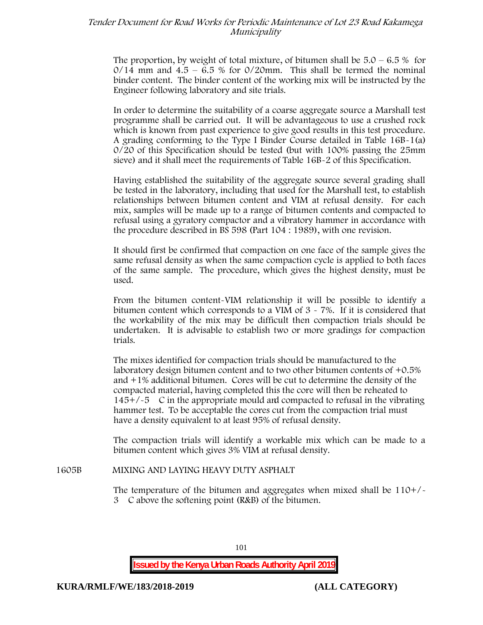The proportion, by weight of total mixture, of bitumen shall be  $5.0 - 6.5\%$  for  $0/14$  mm and  $4.5 - 6.5$  % for  $0/20$ mm. This shall be termed the nominal binder content. The binder content of the working mix will be instructed by the Engineer following laboratory and site trials.

In order to determine the suitability of a coarse aggregate source a Marshall test programme shall be carried out. It will be advantageous to use a crushed rock which is known from past experience to give good results in this test procedure. A grading conforming to the Type I Binder Course detailed in Table 16B-1(a) 0/20 of this Specification should be tested (but with 100% passing the 25mm sieve) and it shall meet the requirements of Table 16B-2 of this Specification.

Having established the suitability of the aggregate source several grading shall be tested in the laboratory, including that used for the Marshall test, to establish relationships between bitumen content and VIM at refusal density. For each mix, samples will be made up to a range of bitumen contents and compacted to refusal using a gyratory compactor and a vibratory hammer in accordance with the procedure described in BS 598 (Part 104 : 1989), with one revision.

It should first be confirmed that compaction on one face of the sample gives the same refusal density as when the same compaction cycle is applied to both faces of the same sample. The procedure, which gives the highest density, must be used.

From the bitumen content-VIM relationship it will be possible to identify a bitumen content which corresponds to a VIM of 3 - 7%. If it is considered that the workability of the mix may be difficult then compaction trials should be undertaken. It is advisable to establish two or more gradings for compaction trials.

The mixes identified for compaction trials should be manufactured to the laboratory design bitumen content and to two other bitumen contents of +0.5% and +1% additional bitumen. Cores will be cut to determine the density of the compacted material, having completed this the core will then be reheated to  $145+/5$  C in the appropriate mould and compacted to refusal in the vibrating hammer test. To be acceptable the cores cut from the compaction trial must have a density equivalent to at least 95% of refusal density.

The compaction trials will identify a workable mix which can be made to a bitumen content which gives 3% VIM at refusal density.

#### **1605B MIXING AND LAYING HEAVY DUTY ASPHALT**

The temperature of the bitumen and aggregates when mixed shall be 110+/- 3C above the softening point (R&B) of the bitumen.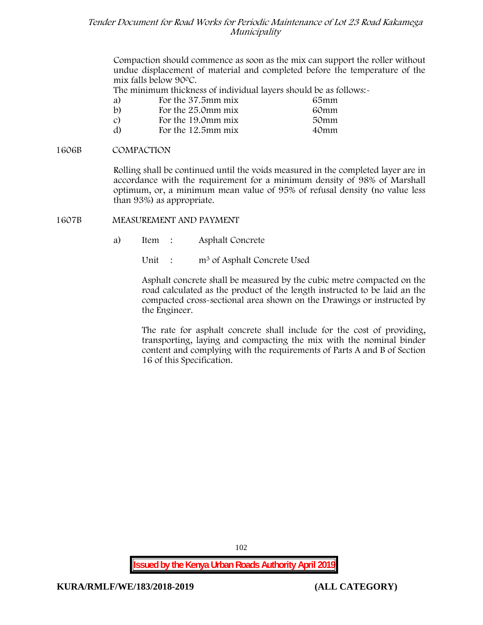Compaction should commence as soon as the mix can support the roller without undue displacement of material and completed before the temperature of the mix falls below 900C.

The minimum thickness of individual layers should be as follows:-

| a)            | For the 37.5mm mix | 65mm |  |
|---------------|--------------------|------|--|
| $\mathbf{b}$  | For the 25.0mm mix | 60mm |  |
| $\mathcal{C}$ | For the 19.0mm mix | 50mm |  |
| d)            | For the 12.5mm mix | 40mm |  |

## **1606B COMPACTION**

Rolling shall be continued until the voids measured in the completed layer are in accordance with the requirement for a minimum density of 98% of Marshall optimum, or, a minimum mean value of 95% of refusal density (no value less than 93%) as appropriate.

# **1607B MEASUREMENT AND PAYMENT**

- a) Item : Asphalt Concrete
	- Unit : m<sup>3</sup> of Asphalt Concrete Used

Asphalt concrete shall be measured by the cubic metre compacted on the road calculated as the product of the length instructed to be laid an the compacted cross-sectional area shown on the Drawings or instructed by the Engineer.

The rate for asphalt concrete shall include for the cost of providing, transporting, laying and compacting the mix with the nominal binder content and complying with the requirements of Parts A and B of Section 16 of this Specification.

**Issued by the Kenya Urban Roads Authority April 2019**

102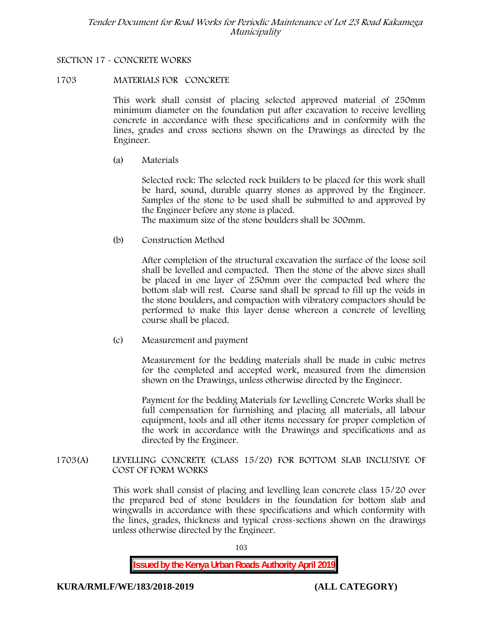# **SECTION 17 - CONCRETE WORKS**

#### **1703 MATERIALS FOR CONCRETE**

This work shall consist of placing selected approved material of 250mm minimum diameter on the foundation put after excavation to receive levelling concrete in accordance with these specifications and in conformity with the lines, grades and cross sections shown on the Drawings as directed by the Engineer.

(a) **Materials**

Selected rock: The selected rock builders to be placed for this work shall be hard, sound, durable quarry stones as approved by the Engineer. Samples of the stone to be used shall be submitted to and approved by the Engineer before any stone is placed.

The maximum size of the stone boulders shall be 300mm.

(b) **Construction Method**

After completion of the structural excavation the surface of the loose soil shall be levelled and compacted. Then the stone of the above sizes shall be placed in one layer of 250mm over the compacted bed where the bottom slab will rest. Coarse sand shall be spread to fill up the voids in the stone boulders, and compaction with vibratory compactors should be performed to make this layer dense whereon a concrete of levelling course shall be placed.

(c) **Measurement and payment**

Measurement for the bedding materials shall be made in cubic metres for the completed and accepted work, measured from the dimension shown on the Drawings, unless otherwise directed by the Engineer.

Payment for the bedding Materials for Levelling Concrete Works shall be full compensation for furnishing and placing all materials, all labour equipment, tools and all other items necessary for proper completion of the work in accordance with the Drawings and specifications and as directed by the Engineer.

**1703(A) LEVELLING CONCRETE (CLASS 15/20) FOR BOTTOM SLAB INCLUSIVE OF COST OF FORM WORKS**

> This work shall consist of placing and levelling lean concrete class 15/20 over the prepared bed of stone boulders in the foundation for bottom slab and wingwalls in accordance with these specifications and which conformity with the lines, grades, thickness and typical cross-sections shown on the drawings unless otherwise directed by the Engineer.

> > 103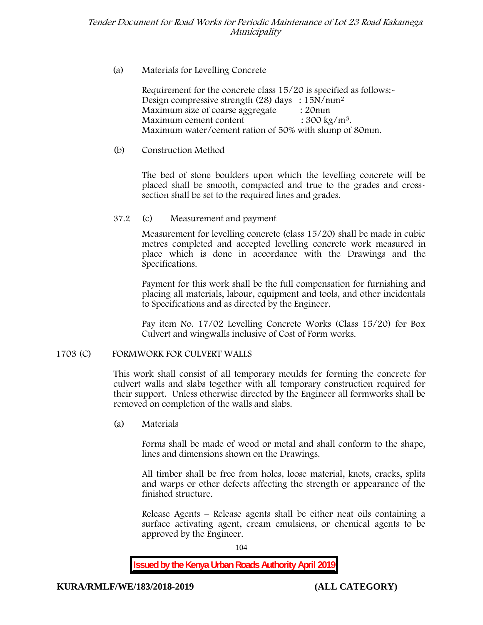# (a) **Materials for Levelling Concrete**

Requirement for the concrete class 15/20 is specified as follows:- Design compressive strength (28) days :  $15N/mm^2$ Maximum size of coarse aggregate : 20mm Maximum cement content  $: 300 \text{ kg/m}^3$ . Maximum water/cement ration of 50% with slump of 80mm.

# (b) **Construction Method**

The bed of stone boulders upon which the levelling concrete will be placed shall be smooth, compacted and true to the grades and crosssection shall be set to the required lines and grades.

# **37.2** (c) **Measurement and payment**

Measurement for levelling concrete (class 15/20) shall be made in cubic metres completed and accepted levelling concrete work measured in place which is done in accordance with the Drawings and the Specifications.

Payment for this work shall be the full compensation for furnishing and placing all materials, labour, equipment and tools, and other incidentals to Specifications and as directed by the Engineer.

Pay item No. 17/02 Levelling Concrete Works (Class 15/20) for Box Culvert and wingwalls inclusive of Cost of Form works.

# **1703 (C) FORMWORK FOR CULVERT WALLS**

This work shall consist of all temporary moulds for forming the concrete for culvert walls and slabs together with all temporary construction required for their support. Unless otherwise directed by the Engineer all formworks shall be removed on completion of the walls and slabs.

(a) **Materials**

Forms shall be made of wood or metal and shall conform to the shape, lines and dimensions shown on the Drawings.

All timber shall be free from holes, loose material, knots, cracks, splits and warps or other defects affecting the strength or appearance of the finished structure.

Release Agents – Release agents shall be either neat oils containing a surface activating agent, cream emulsions, or chemical agents to be approved by the Engineer.

104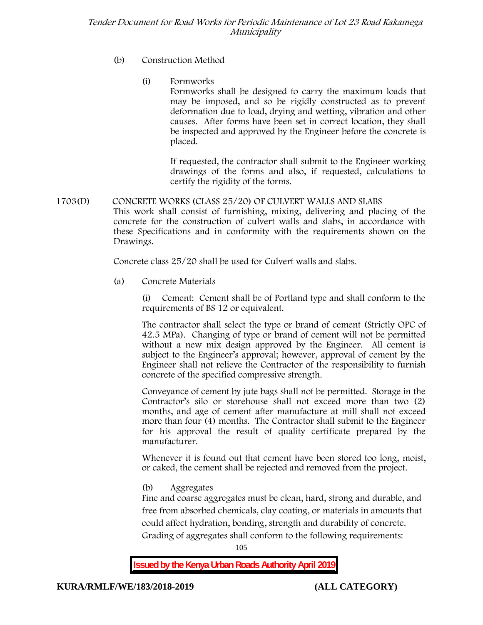- (b) **Construction Method**
	- (i) **Formworks**

Formworks shall be designed to carry the maximum loads that may be imposed, and so be rigidly constructed as to prevent deformation due to load, drying and wetting, vibration and other causes. After forms have been set in correct location, they shall be inspected and approved by the Engineer before the concrete is placed.

If requested, the contractor shall submit to the Engineer working drawings of the forms and also, if requested, calculations to certify the rigidity of the forms.

**1703(D) CONCRETE WORKS (CLASS 25/20) OF CULVERT WALLS AND SLABS** This work shall consist of furnishing, mixing, delivering and placing of the concrete for the construction of culvert walls and slabs, in accordance with these Specifications and in conformity with the requirements shown on the Drawings.

Concrete class 25/20 shall be used for Culvert walls and slabs.

**(a) Concrete Materials**

(i) Cement: Cement shall be of Portland type and shall conform to the requirements of BS 12 or equivalent.

The contractor shall select the type or brand of cement (Strictly OPC of 42.5 MPa). Changing of type or brand of cement will not be permitted without a new mix design approved by the Engineer. All cement is subject to the Engineer's approval; however, approval of cement by the Engineer shall not relieve the Contractor of the responsibility to furnish concrete of the specified compressive strength.

Conveyance of cement by jute bags shall not be permitted. Storage in the Contractor's silo or storehouse shall not exceed more than two (2) months, and age of cement after manufacture at mill shall not exceed more than four (4) months. The Contractor shall submit to the Engineer for his approval the result of quality certificate prepared by the manufacturer.

Whenever it is found out that cement have been stored too long, moist, or caked, the cement shall be rejected and removed from the project.

**(b) Aggregates**

Fine and coarse aggregates must be clean, hard, strong and durable, and free from absorbed chemicals, clay coating, or materials in amounts that could affect hydration, bonding, strength and durability of concrete. Grading of aggregates shall conform to the following requirements:

105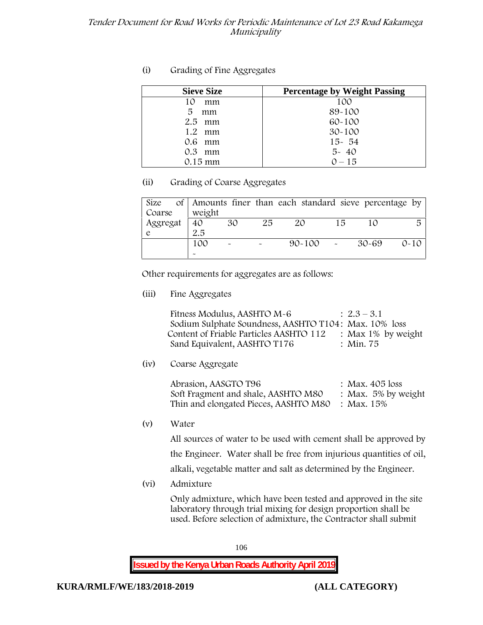# **(i) Grading of Fine Aggregates**

| <b>Sieve Size</b> | <b>Percentage by Weight Passing</b> |
|-------------------|-------------------------------------|
| 10<br>mm          | 100                                 |
| 5<br>mm           | 89-100                              |
| $2.5$ mm          | $60 - 100$                          |
| $1.2$ mm          | $30 - 100$                          |
| $0.6$ mm          | $15 - 54$                           |
| $0.3$ mm          | $5 - 40$                            |
| 0.15 mm           | $0 - 15$                            |

# **(ii) Grading of Coarse Aggregates**

| Size     |                       |                           |    | of Amounts finer than each standard sieve percentage by |    |       |          |
|----------|-----------------------|---------------------------|----|---------------------------------------------------------|----|-------|----------|
| Coarse   | weight                |                           |    |                                                         |    |       |          |
| Aggregat | 40                    | 30                        | 25 | ZO                                                      | 15 |       | 尽        |
|          | 2.5                   |                           |    |                                                         |    |       |          |
|          | 100                   | $\widetilde{\phantom{m}}$ |    | $90 - 100$                                              |    | 30-69 | $0 - 10$ |
|          | $\tilde{\phantom{a}}$ |                           |    |                                                         |    |       |          |

Other requirements for aggregates are as follows:

**(iii) Fine Aggregates**

| Fitness Modulus, AASHTO M-6                           | $: 2.3 - 3.1$         |
|-------------------------------------------------------|-----------------------|
| Sodium Sulphate Soundness, AASHTO T104: Max. 10% loss |                       |
| Content of Friable Particles AASHTO 112               | : Max $1\%$ by weight |
| Sand Equivalent, AASHTO T176                          | : Min. 75             |

**(iv) Coarse Aggregate**

Abrasion, AASGTO T96 : Max. 405 loss Soft Fragment and shale, AASHTO M80 : Max. 5% by weight Thin and elongated Pieces, AASHTO M80 : Max. 15%

**(v) Water**

All sources of water to be used with cement shall be approved by the Engineer. Water shall be free from injurious quantities of oil, alkali, vegetable matter and salt as determined by the Engineer.

**(vi) Admixture**

Only admixture, which have been tested and approved in the site laboratory through trial mixing for design proportion shall be used. Before selection of admixture, the Contractor shall submit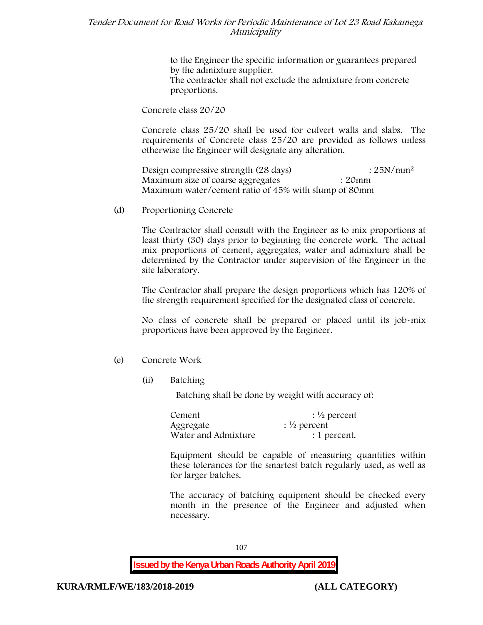to the Engineer the specific information or guarantees prepared by the admixture supplier. The contractor shall not exclude the admixture from concrete proportions.

**Concrete class 20/20**

Concrete class 25/20 shall be used for culvert walls and slabs. The requirements of Concrete class 25/20 are provided as follows unless otherwise the Engineer will designate any alteration.

Design compressive strength (28 days) : 25N/mm<sup>2</sup> Maximum size of coarse aggregates : 20mm Maximum water/cement ratio of 45% with slump of 80mm

(d) **Proportioning Concrete**

The Contractor shall consult with the Engineer as to mix proportions at least thirty (30) days prior to beginning the concrete work. The actual mix proportions of cement, aggregates, water and admixture shall be determined by the Contractor under supervision of the Engineer in the site laboratory.

The Contractor shall prepare the design proportions which has 120% of the strength requirement specified for the designated class of concrete.

No class of concrete shall be prepared or placed until its job-mix proportions have been approved by the Engineer.

- (e) **Concrete Work**
	- **(ii) Batching**

Batching shall be done by weight with accuracy of:

| Cement              | $\frac{1}{2}$ percent |
|---------------------|-----------------------|
| Aggregate           | $\frac{1}{2}$ percent |
| Water and Admixture | : 1 percent.          |

Equipment should be capable of measuring quantities within these tolerances for the smartest batch regularly used, as well as for larger batches.

The accuracy of batching equipment should be checked every month in the presence of the Engineer and adjusted when necessary.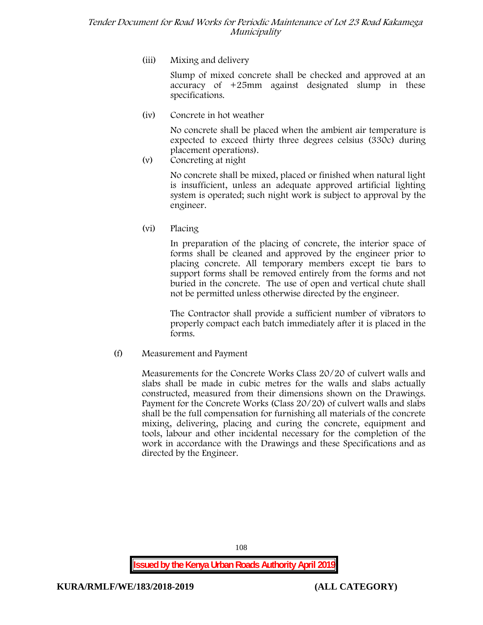**(iii) Mixing and delivery**

Slump of mixed concrete shall be checked and approved at an accuracy of +25mm against designated slump in these specifications.

**(iv) Concrete in hot weather**

No concrete shall be placed when the ambient air temperature is expected to exceed thirty three degrees celsius (330c) during placement operations).

**(v) Concreting at night**

No concrete shall be mixed, placed or finished when natural light is insufficient, unless an adequate approved artificial lighting system is operated; such night work is subject to approval by the engineer.

**(vi) Placing**

In preparation of the placing of concrete, the interior space of forms shall be cleaned and approved by the engineer prior to placing concrete. All temporary members except tie bars to support forms shall be removed entirely from the forms and not buried in the concrete. The use of open and vertical chute shall not be permitted unless otherwise directed by the engineer.

The Contractor shall provide a sufficient number of vibrators to properly compact each batch immediately after it is placed in the forms.

(f) **Measurement and Payment**

Measurements for the Concrete Works Class 20/20 of culvert walls and slabs shall be made in cubic metres for the walls and slabs actually constructed, measured from their dimensions shown on the Drawings. Payment for the Concrete Works (Class 20/20) of culvert walls and slabs shall be the full compensation for furnishing all materials of the concrete mixing, delivering, placing and curing the concrete, equipment and tools, labour and other incidental necessary for the completion of the work in accordance with the Drawings and these Specifications and as directed by the Engineer.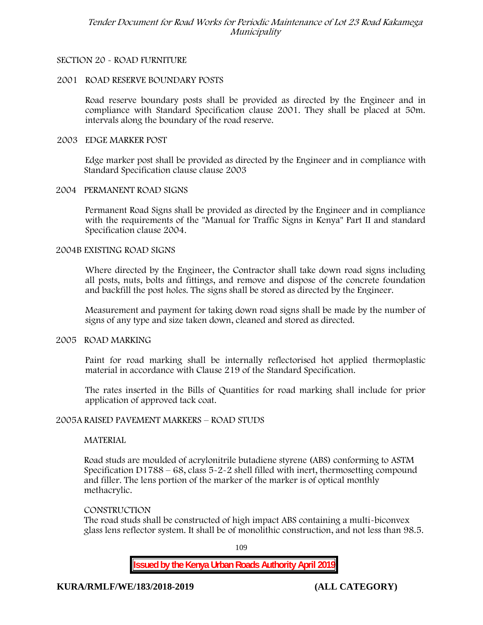## **SECTION 20 - ROAD FURNITURE**

#### **2001 ROAD RESERVE BOUNDARY POSTS**

Road reserve boundary posts shall be provided as directed by the Engineer and in compliance with Standard Specification clause 2001. They shall be placed at 50m. intervals along the boundary of the road reserve.

#### **2003 EDGE MARKER POST**

Edge marker post shall be provided as directed by the Engineer and in compliance with Standard Specification clause clause 2003

#### **2004 PERMANENT ROAD SIGNS**

Permanent Road Signs shall be provided as directed by the Engineer and in compliance with the requirements of the "Manual for Traffic Signs in Kenya" Part II and standard Specification clause 2004.

#### **2004B EXISTING ROAD SIGNS**

Where directed by the Engineer, the Contractor shall take down road signs including all posts, nuts, bolts and fittings, and remove and dispose of the concrete foundation and backfill the post holes. The signs shall be stored as directed by the Engineer.

Measurement and payment for taking down road signs shall be made by the number of signs of any type and size taken down, cleaned and stored as directed.

### **2005 ROAD MARKING**

Paint for road marking shall be internally reflectorised hot applied thermoplastic material in accordance with Clause 219 of the Standard Specification.

The rates inserted in the Bills of Quantities for road marking shall include for prior application of approved tack coat.

#### **2005A RAISED PAVEMENT MARKERS – ROAD STUDS**

#### **MATERIAL**

Road studs are moulded of acrylonitrile butadiene styrene (ABS) conforming to ASTM Specification D1788 – 68, class  $5 - 2 - 2$  shell filled with inert, thermosetting compound and filler. The lens portion of the marker of the marker is of optical monthly methacrylic.

#### **CONSTRUCTION**

The road studs shall be constructed of high impact ABS containing a multi-biconvex glass lens reflector system. It shall be of monolithic construction, and not less than 98.5.

109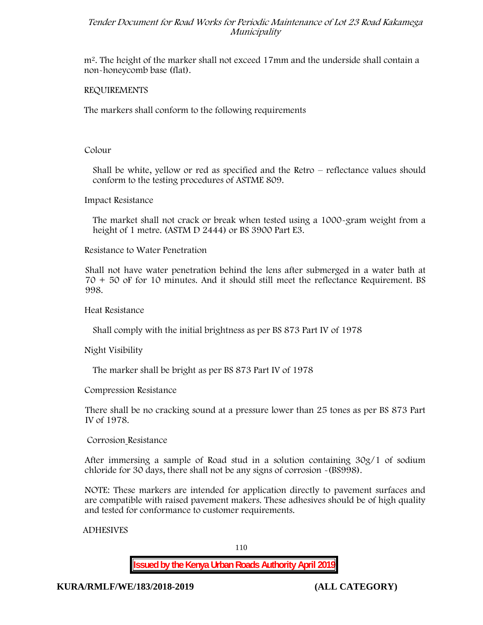m2. The height of the marker shall not exceed 17mm and the underside shall contain a non-honeycomb base (flat).

### **REQUIREMENTS**

The markers shall conform to the following requirements

#### **Colour**

Shall be white, yellow or red as specified and the Retro – reflectance values should conform to the testing procedures of ASTME 809.

#### **Impact Resistance**

The market shall not crack or break when tested using a 1000**-**gram weight from a height of 1 metre. (ASTM D 2444) or BS 3900 Part E3.

## **Resistance to Water Penetration**

Shall not have water penetration behind the lens after submerged in a water bath at 70 + 50 oF for 10 minutes. And it should still meet the reflectance Requirement. BS 998.

#### **Heat Resistance**

Shall comply with the initial brightness as per BS 873 Part IV of 1978

**Night Visibility**

The marker shall be bright as per BS 873 Part IV of 1978

**Compression Resistance**

There shall be no cracking sound at a pressure lower than 25 tones as per BS 873 Part IV of 1978.

#### **Corrosion Resistance**

After immersing a sample of Road stud in a solution containing 30g/1 of sodium chloride for 30 days, there shall not be any signs of corrosion **-**(BS998).

**NOTE**: These markers are intended for application directly to pavement surfaces and are compatible with raised pavement makers. These adhesives should be of high quality and tested for conformance to customer requirements.

## **ADHESIVES**

110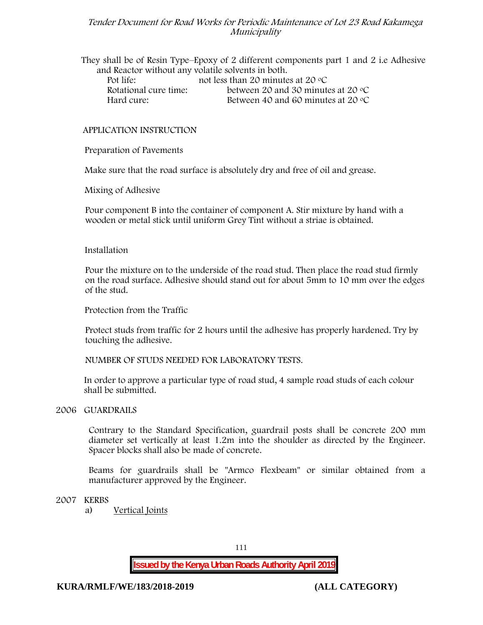They shall be of Resin Type–Epoxy of 2 different components part 1 and 2 i.e Adhesive and Reactor without any volatile solvents in both. Pot life: not less than 20 minutes at 20 °C Rotational cure time: between 20 and 30 minutes at 20 °C Hard cure: Between 40 and 60 minutes at 20 °C

#### **APPLICATION INSTRUCTION**

**Preparation of Pavements**

Make sure that the road surface is absolutely dry and free of oil and grease**.**

**Mixing of Adhesive**

Pour component B into the container of component A. Stir mixture by hand with a wooden or metal stick until uniform Grey Tint without a striae is obtained.

#### **Installation**

Pour the mixture on to the underside of the road stud. Then place the road stud firmly on the road surface. Adhesive should stand out for about 5mm to 10 mm over the edges of the stud.

**Protection from the Traffic**

Protect studs from traffic for 2 hours until the adhesive has properly hardened. Try by touching the adhesive.

**NUMBER OF STUDS NEEDED FOR LABORATORY TESTS.**

In order to approve a particular type of road stud, 4 sample road studs of each colour shall be submitted.

#### **2006 GUARDRAILS**

Contrary to the Standard Specification, guardrail posts shall be concrete 200 mm diameter set vertically at least 1.2m into the shoulder as directed by the Engineer. Spacer blocks shall also be made of concrete.

Beams for guardrails shall be "Armco Flexbeam" or similar obtained from a manufacturer approved by the Engineer.

**2007 KERBS**

a) **Vertical Joints**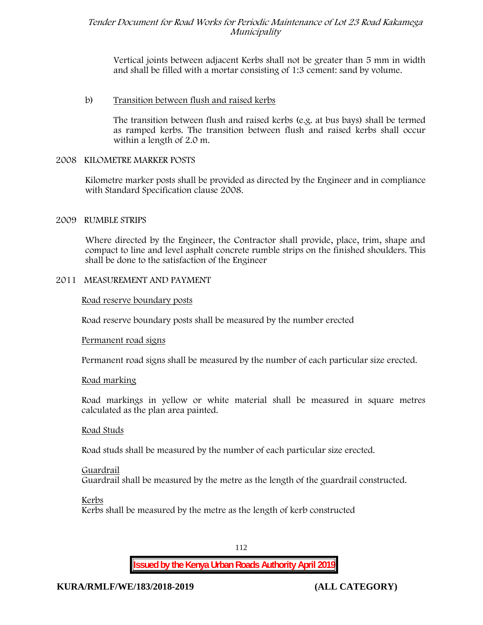Vertical joints between adjacent Kerbs shall not be greater than 5 mm in width and shall be filled with a mortar consisting of 1:3 cement: sand by volume.

## b) **Transition between flush and raised kerbs**

The transition between flush and raised kerbs (e.g. at bus bays) shall be termed as ramped kerbs. The transition between flush and raised kerbs shall occur within a length of 2.0 m.

## **2008 KILOMETRE MARKER POSTS**

Kilometre marker posts shall be provided as directed by the Engineer and in compliance with Standard Specification clause 2008.

## **2009 RUMBLE STRIPS**

Where directed by the Engineer, the Contractor shall provide, place, trim, shape and compact to line and level asphalt concrete rumble strips on the finished shoulders. This shall be done to the satisfaction of the Engineer

## **2011 MEASUREMENT AND PAYMENT**

**Road reserve boundary posts**

Road reserve boundary posts shall be measured by the number erected

#### **Permanent road signs**

Permanent road signs shall be measured by the number of each particular size erected.

#### **Road marking**

Road markings in yellow or white material shall be measured in square metres calculated as the plan area painted.

#### **Road Studs**

Road studs shall be measured by the number of each particular size erected.

#### **Guardrail**

Guardrail shall be measured by the metre as the length of the guardrail constructed.

#### **Kerbs**

Kerbs shall be measured by the metre as the length of kerb constructed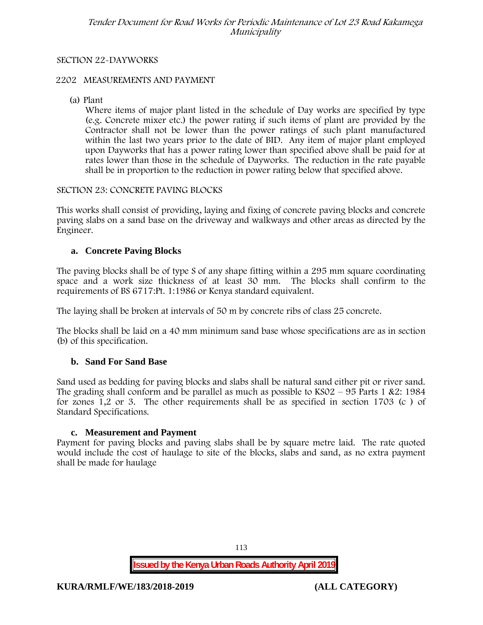## **SECTION 22-DAYWORKS**

### **2202 MEASUREMENTS AND PAYMENT**

(a) Plant

Where items of major plant listed in the schedule of Day works are specified by type (e.g. Concrete mixer etc.) the power rating if such items of plant are provided by the Contractor shall not be lower than the power ratings of such plant manufactured within the last two years prior to the date of BID. Any item of major plant employed upon Dayworks that has a power rating lower than specified above shall be paid for at rates lower than those in the schedule of Dayworks. The reduction in the rate payable shall be in proportion to the reduction in power rating below that specified above.

#### **SECTION 23: CONCRETE PAVING BLOCKS**

This works shall consist of providing, laying and fixing of concrete paving blocks and concrete paving slabs on a sand base on the driveway and walkways and other areas as directed by the Engineer.

## **a. Concrete Paving Blocks**

The paving blocks shall be of type S of any shape fitting within a 295 mm square coordinating space and a work size thickness of at least 30 mm. The blocks shall confirm to the requirements of BS 6717:Pt. 1:1986 or Kenya standard equivalent.

The laying shall be broken at intervals of 50 m by concrete ribs of class 25 concrete.

The blocks shall be laid on a 40 mm minimum sand base whose specifications are as in section (b) of this specification.

## **b. Sand For Sand Base**

Sand used as bedding for paving blocks and slabs shall be natural sand either pit or river sand. The grading shall conform and be parallel as much as possible to  $KSO2 - 95$  Parts 1 &2: 1984 for zones 1,2 or 3. The other requirements shall be as specified in section 1703 (c ) of Standard Specifications.

#### **c. Measurement and Payment**

Payment for paving blocks and paving slabs shall be by square metre laid. The rate quoted would include the cost of haulage to site of the blocks, slabs and sand, as no extra payment shall be made for haulage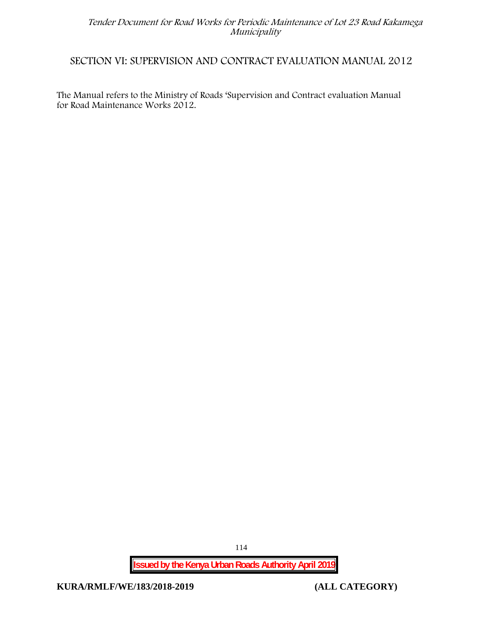## **SECTION VI: SUPERVISION AND CONTRACT EVALUATION MANUAL 2012**

The Manual refers to the Ministry of Roads 'Supervision and Contract evaluation Manual for Road Maintenance Works 2012.

**Issued by the Kenya Urban Roads Authority April 2019**

**KURA/RMLF/WE/183/2018-2019 (ALL CATEGORY)**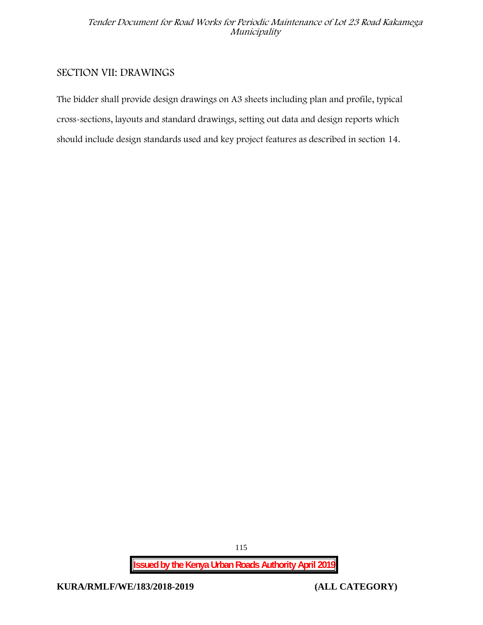## **SECTION VII: DRAWINGS**

The bidder shall provide design drawings on A3 sheets including plan and profile, typical cross-sections, layouts and standard drawings, setting out data and design reports which should include design standards used and key project features as described in section 14.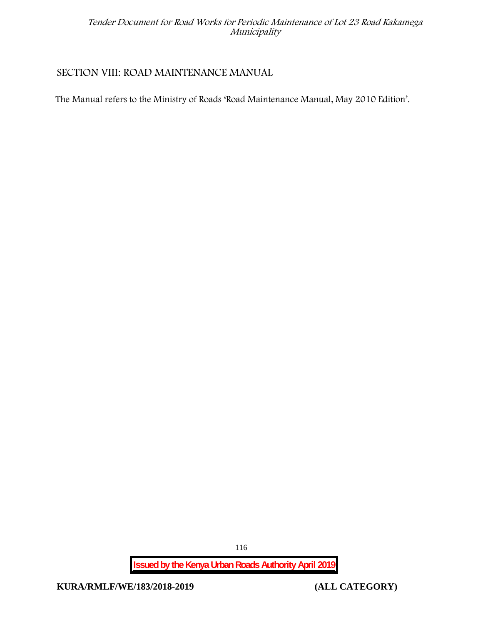## **SECTION VIII: ROAD MAINTENANCE MANUAL**

The Manual refers to the Ministry of Roads 'Road Maintenance Manual, May 2010 Edition'.

**Issued by the Kenya Urban Roads Authority April 2019**

**KURA/RMLF/WE/183/2018-2019 (ALL CATEGORY)**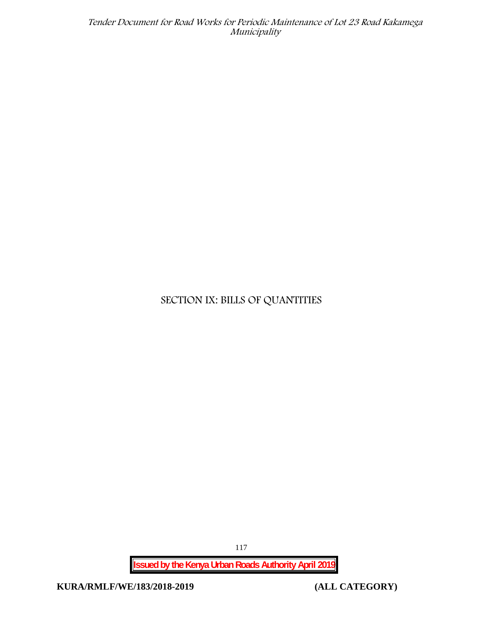## **SECTION IX: BILLS OF QUANTITIES**

117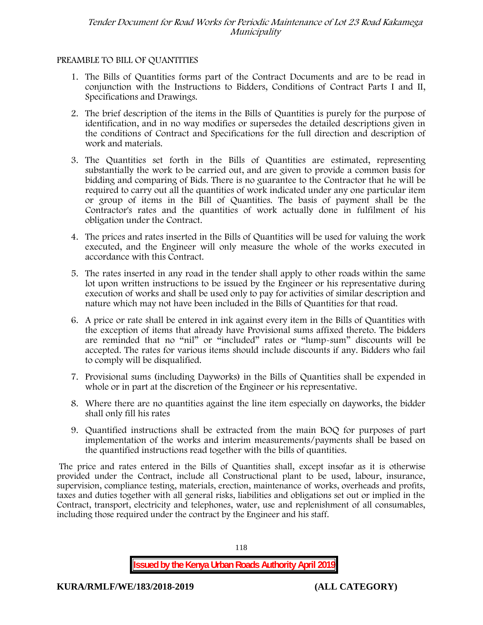## **PREAMBLE TO BILL OF QUANTITIES**

- 1. The Bills of Quantities forms part of the Contract Documents and are to be read in conjunction with the Instructions to Bidders, Conditions of Contract Parts I and II, Specifications and Drawings.
- 2. The brief description of the items in the Bills of Quantities is purely for the purpose of identification, and in no way modifies or supersedes the detailed descriptions given in the conditions of Contract and Specifications for the full direction and description of work and materials.
- 3. The Quantities set forth in the Bills of Quantities are estimated, representing substantially the work to be carried out, and are given to provide a common basis for bidding and comparing of Bids. There is no guarantee to the Contractor that he will be required to carry out all the quantities of work indicated under any one particular item or group of items in the Bill of Quantities. The basis of payment shall be the Contractor's rates and the quantities of work actually done in fulfilment of his obligation under the Contract.
- 4. The prices and rates inserted in the Bills of Quantities will be used for valuing the work executed, and the Engineer will only measure the whole of the works executed in accordance with this Contract.
- 5. The rates inserted in any road in the tender shall apply to other roads within the same lot upon written instructions to be issued by the Engineer or his representative during execution of works and shall be used only to pay for activities of similar description and nature which may not have been included in the Bills of Quantities for that road.
- 6. A price or rate shall be entered in ink against every item in the Bills of Quantities with the exception of items that already have Provisional sums affixed thereto. The bidders are reminded that no "nil" or "included" rates or "lump-sum" discounts will be accepted. The rates for various items should include discounts if any. Bidders who fail to comply will be disqualified.
- 7. Provisional sums (including Dayworks) in the Bills of Quantities shall be expended in whole or in part at the discretion of the Engineer or his representative.
- 8. Where there are no quantities against the line item especially on dayworks, the bidder shall only fill his rates
- 9. Quantified instructions shall be extracted from the main BOQ for purposes of part implementation of the works and interim measurements/payments shall be based on the quantified instructions read together with the bills of quantities.

The price and rates entered in the Bills of Quantities shall, except insofar as it is otherwise provided under the Contract, include all Constructional plant to be used, labour, insurance, supervision, compliance testing, materials, erection, maintenance of works, overheads and profits, taxes and duties together with all general risks, liabilities and obligations set out or implied in the Contract, transport, electricity and telephones, water, use and replenishment of all consumables, including those required under the contract by the Engineer and his staff.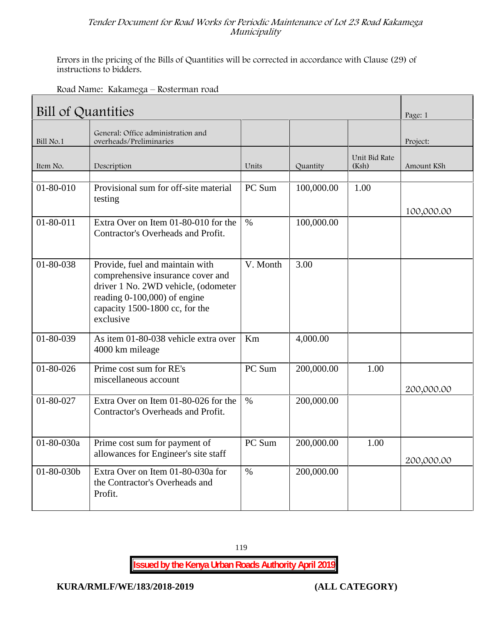Errors in the pricing of the Bills of Quantities will be corrected in accordance with Clause (29) of instructions to bidders.

| Road Name: Kakamega - Rosterman road |  |
|--------------------------------------|--|
|--------------------------------------|--|

| Bill of Quantities |                                                                                                                                                                                            |          |            |                        |            |  |
|--------------------|--------------------------------------------------------------------------------------------------------------------------------------------------------------------------------------------|----------|------------|------------------------|------------|--|
| Bill No.1          | General: Office administration and<br>overheads/Preliminaries                                                                                                                              |          |            |                        | Project:   |  |
| Item No.           | Description                                                                                                                                                                                | Units    | Quantity   | Unit Bid Rate<br>(Ksh) | Amount KSh |  |
| 01-80-010          | Provisional sum for off-site material<br>testing                                                                                                                                           | PC Sum   | 100,000.00 | 1.00                   | 100,000.00 |  |
| $01 - 80 - 011$    | Extra Over on Item 01-80-010 for the<br>Contractor's Overheads and Profit.                                                                                                                 | $\%$     | 100,000.00 |                        |            |  |
| $01 - 80 - 038$    | Provide, fuel and maintain with<br>comprehensive insurance cover and<br>driver 1 No. 2WD vehicle, (odometer<br>reading 0-100,000) of engine<br>capacity 1500-1800 cc, for the<br>exclusive | V. Month | 3.00       |                        |            |  |
| 01-80-039          | As item 01-80-038 vehicle extra over<br>4000 km mileage                                                                                                                                    | Km       | 4,000.00   |                        |            |  |
| $01 - 80 - 026$    | Prime cost sum for RE's<br>miscellaneous account                                                                                                                                           | PC Sum   | 200,000.00 | 1.00                   | 200,000.00 |  |
| 01-80-027          | Extra Over on Item 01-80-026 for the<br>Contractor's Overheads and Profit.                                                                                                                 | $\%$     | 200,000.00 |                        |            |  |
| 01-80-030a         | Prime cost sum for payment of<br>allowances for Engineer's site staff                                                                                                                      | PC Sum   | 200,000.00 | 1.00                   | 200,000.00 |  |
| $01 - 80 - 030b$   | Extra Over on Item 01-80-030a for<br>the Contractor's Overheads and<br>Profit.                                                                                                             | $\%$     | 200,000.00 |                        |            |  |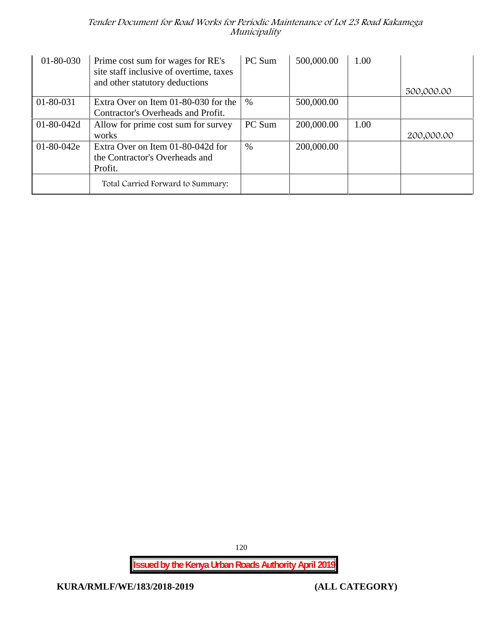| 01-80-030        | Prime cost sum for wages for RE's<br>site staff inclusive of overtime, taxes<br>and other statutory deductions | PC Sum | 500,000.00 | 1.00 |            |
|------------------|----------------------------------------------------------------------------------------------------------------|--------|------------|------|------------|
|                  |                                                                                                                |        |            |      | 500,000.00 |
| 01-80-031        | Extra Over on Item 01-80-030 for the                                                                           | $\%$   | 500,000.00 |      |            |
|                  | Contractor's Overheads and Profit.                                                                             |        |            |      |            |
| $01 - 80 - 042d$ | Allow for prime cost sum for survey                                                                            | PC Sum | 200,000.00 | 1.00 |            |
|                  | works                                                                                                          |        |            |      | 200,000.00 |
| $01 - 80 - 042e$ | Extra Over on Item 01-80-042d for                                                                              | $\%$   | 200,000.00 |      |            |
|                  | the Contractor's Overheads and                                                                                 |        |            |      |            |
|                  | Profit.                                                                                                        |        |            |      |            |
|                  | Total Carried Forward to Summary:                                                                              |        |            |      |            |

120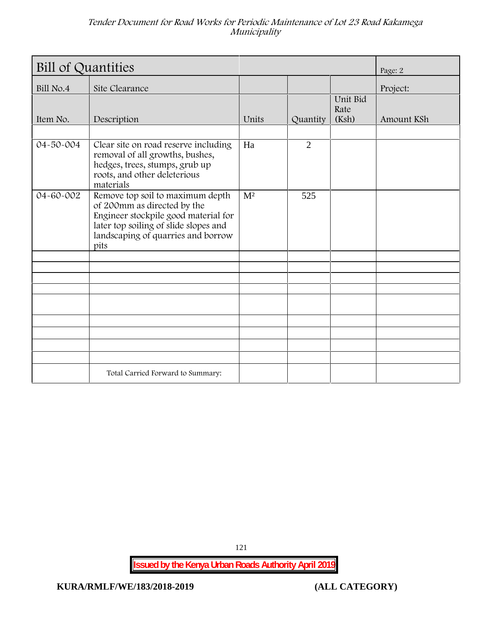| <b>Bill of Quantities</b> | Page: 2                                                                                                                                                                                        |                |                |                           |            |
|---------------------------|------------------------------------------------------------------------------------------------------------------------------------------------------------------------------------------------|----------------|----------------|---------------------------|------------|
| Bill No.4                 | Site Clearance                                                                                                                                                                                 |                |                |                           | Project:   |
| Item No.                  | Description                                                                                                                                                                                    | Units          | Quantity       | Unit Bid<br>Rate<br>(Ksh) | Amount KSh |
| 04-50-004                 | Clear site on road reserve including<br>removal of all growths, bushes,<br>hedges, trees, stumps, grub up<br>roots, and other deleterious<br>materials                                         | Ha             | $\overline{2}$ |                           |            |
| 04-60-002                 | Remove top soil to maximum depth<br>of 200mm as directed by the<br>Engineer stockpile good material for<br>later top soiling of slide slopes and<br>landscaping of quarries and borrow<br>pits | M <sup>2</sup> | 525            |                           |            |
|                           |                                                                                                                                                                                                |                |                |                           |            |
|                           |                                                                                                                                                                                                |                |                |                           |            |
|                           | Total Carried Forward to Summary:                                                                                                                                                              |                |                |                           |            |

121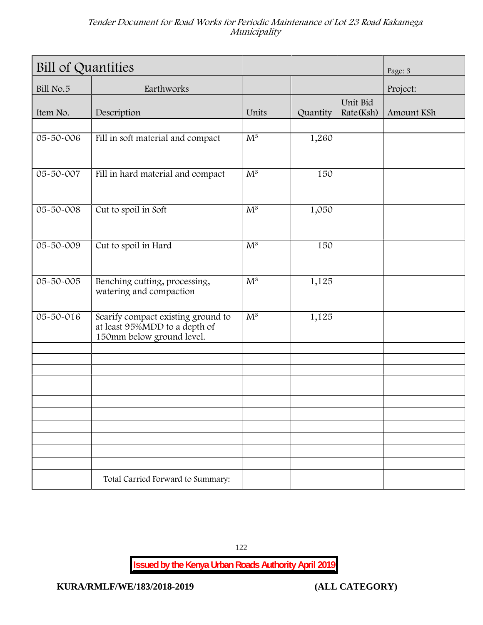| <b>Bill of Quantities</b> | Page: 3                                                                                          |                           |          |                       |            |
|---------------------------|--------------------------------------------------------------------------------------------------|---------------------------|----------|-----------------------|------------|
| Bill No.5                 | Earthworks                                                                                       |                           |          |                       | Project:   |
| Item No.                  | Description                                                                                      | Units                     | Quantity | Unit Bid<br>Rate(Ksh) | Amount KSh |
| 05-50-006                 | Fill in soft material and compact                                                                | $M^3$                     | 1,260    |                       |            |
| $05 - 50 - 007$           | Fill in hard material and compact                                                                | $\overline{\mathrm{M}^3}$ | 150      |                       |            |
| $05 - 50 - 008$           | Cut to spoil in Soft                                                                             | $\mathrm{M}^3$            | 1,050    |                       |            |
| 05-50-009                 | Cut to spoil in Hard                                                                             | $\mathrm{M}^3$            | 150      |                       |            |
| 05-50-005                 | Benching cutting, processing,<br>watering and compaction                                         | $\overline{M^3}$          | 1,125    |                       |            |
| $05 - 50 - 016$           | Scarify compact existing ground to<br>at least 95%MDD to a depth of<br>150mm below ground level. | $\overline{M^3}$          | 1,125    |                       |            |
|                           |                                                                                                  |                           |          |                       |            |
|                           |                                                                                                  |                           |          |                       |            |
|                           |                                                                                                  |                           |          |                       |            |
|                           |                                                                                                  |                           |          |                       |            |
|                           | Total Carried Forward to Summary:                                                                |                           |          |                       |            |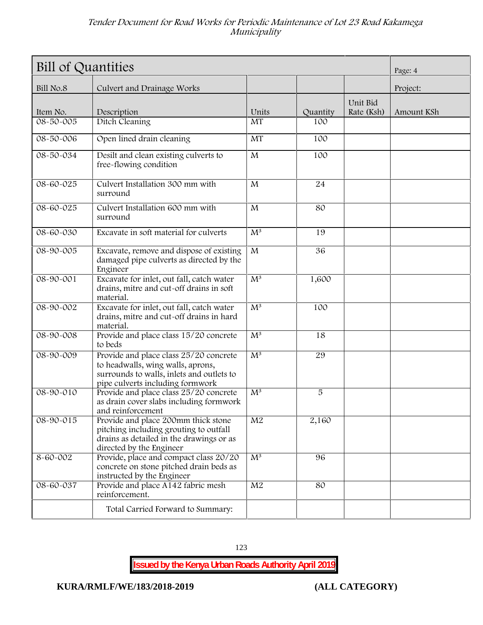| Bill of Quantities | Page: 4                                                                                                                                                      |                         |          |                        |            |
|--------------------|--------------------------------------------------------------------------------------------------------------------------------------------------------------|-------------------------|----------|------------------------|------------|
| Bill No.8          | Culvert and Drainage Works                                                                                                                                   |                         |          |                        | Project:   |
| Item No.           | Description                                                                                                                                                  | Units                   | Quantity | Unit Bid<br>Rate (Ksh) | Amount KSh |
| $08 - 50 - 005$    | Ditch Cleaning                                                                                                                                               | <b>MT</b>               | 100      |                        |            |
| 08-50-006          | Open lined drain cleaning                                                                                                                                    | MT                      | 100      |                        |            |
| 08-50-034          | Desilt and clean existing culverts to<br>free-flowing condition                                                                                              | $\mathbf{M}$            | 100      |                        |            |
| $08 - 60 - 025$    | Culvert Installation 300 mm with<br>surround                                                                                                                 | $\mathbf{M}$            | 24       |                        |            |
| 08-60-025          | Culvert Installation 600 mm with<br>surround                                                                                                                 | $\mathbf{M}$            | 80       |                        |            |
| 08-60-030          | Excavate in soft material for culverts                                                                                                                       | $M^3$                   | 19       |                        |            |
| 08-90-005          | Excavate, remove and dispose of existing<br>damaged pipe culverts as directed by the<br>Engineer                                                             | $\overline{\mathbf{M}}$ | 36       |                        |            |
| $08 - 90 - 001$    | Excavate for inlet, out fall, catch water<br>drains, mitre and cut-off drains in soft<br>material.                                                           | $\overline{M^3}$        | 1,600    |                        |            |
| 08-90-002          | Excavate for inlet, out fall, catch water<br>drains, mitre and cut-off drains in hard<br>material.                                                           | $M^3$                   | 100      |                        |            |
| $08 - 90 - 008$    | Provide and place class 15/20 concrete<br>to beds                                                                                                            | $\overline{M^3}$        | 18       |                        |            |
| 08-90-009          | Provide and place class 25/20 concrete<br>to headwalls, wing walls, aprons,<br>surrounds to walls, inlets and outlets to<br>pipe culverts including formwork | $\overline{M^3}$        | 29       |                        |            |
| 08-90-010          | Provide and place class 25/20 concrete<br>as drain cover slabs including formwork<br>and reinforcement                                                       | $M^3$                   | 5        |                        |            |
| 08-90-015          | Provide and place 200mm thick stone<br>pitching including grouting to outfall<br>drains as detailed in the drawings or as<br>directed by the Engineer        | M <sub>2</sub>          | 2,160    |                        |            |
| 8-60-002           | Provide, place and compact class 20/20<br>concrete on stone pitched drain beds as<br>instructed by the Engineer                                              | $M^3$                   | 96       |                        |            |
| 08-60-037          | Provide and place A142 fabric mesh<br>reinforcement.                                                                                                         | $\mathbf{M}2$           | 80       |                        |            |
|                    | Total Carried Forward to Summary:                                                                                                                            |                         |          |                        |            |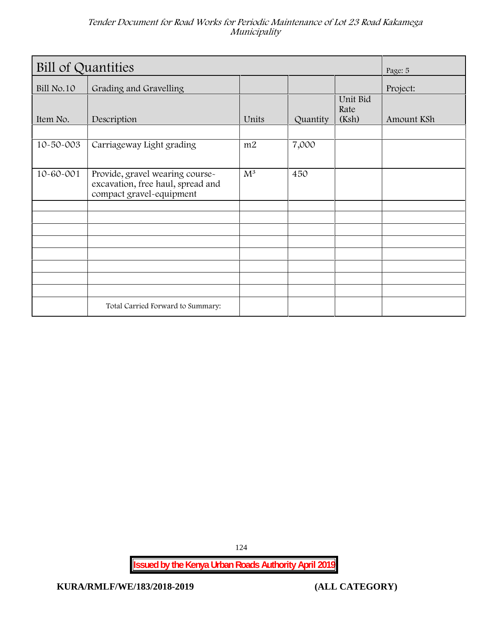| Bill of Quantities | Page: 5                                                                                          |                  |          |                           |            |
|--------------------|--------------------------------------------------------------------------------------------------|------------------|----------|---------------------------|------------|
| Bill No.10         | Grading and Gravelling                                                                           |                  |          |                           | Project:   |
| Item No.           | Description                                                                                      | Units            | Quantity | Unit Bid<br>Rate<br>(Ksh) | Amount KSh |
| 10-50-003          | Carriageway Light grading                                                                        | m2               | 7,000    |                           |            |
| 10-60-001          | Provide, gravel wearing course-<br>excavation, free haul, spread and<br>compact gravel-equipment | $\overline{M^3}$ | 450      |                           |            |
|                    |                                                                                                  |                  |          |                           |            |
|                    |                                                                                                  |                  |          |                           |            |
|                    |                                                                                                  |                  |          |                           |            |
|                    | Total Carried Forward to Summary:                                                                |                  |          |                           |            |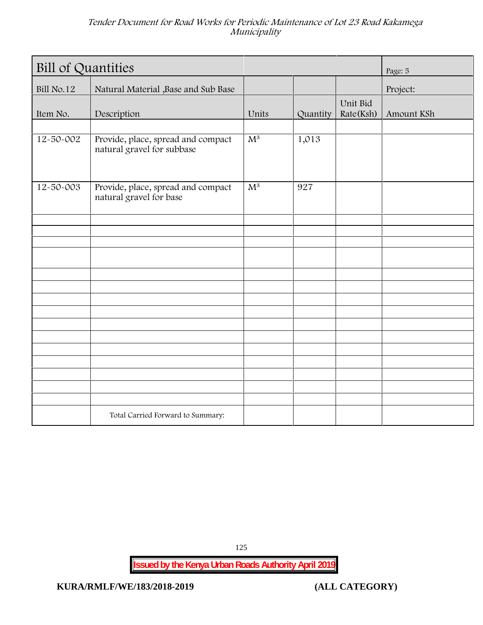| <b>Bill of Quantities</b> | Page: 5                                                          |                  |          |                       |            |
|---------------------------|------------------------------------------------------------------|------------------|----------|-----------------------|------------|
| Bill No.12                | Natural Material , Base and Sub Base                             |                  |          |                       | Project:   |
| Item No.                  | Description                                                      | Units            | Quantity | Unit Bid<br>Rate(Ksh) | Amount KSh |
|                           |                                                                  |                  |          |                       |            |
| $12 - 50 - 002$           | Provide, place, spread and compact<br>natural gravel for subbase | $\overline{M^3}$ | 1,013    |                       |            |
| $12 - 50 - 003$           | Provide, place, spread and compact<br>natural gravel for base    | $\overline{M^3}$ | 927      |                       |            |
|                           |                                                                  |                  |          |                       |            |
|                           |                                                                  |                  |          |                       |            |
|                           |                                                                  |                  |          |                       |            |
|                           |                                                                  |                  |          |                       |            |
|                           |                                                                  |                  |          |                       |            |
|                           |                                                                  |                  |          |                       |            |
|                           |                                                                  |                  |          |                       |            |
|                           |                                                                  |                  |          |                       |            |
|                           |                                                                  |                  |          |                       |            |
|                           |                                                                  |                  |          |                       |            |
|                           |                                                                  |                  |          |                       |            |
|                           |                                                                  |                  |          |                       |            |
|                           |                                                                  |                  |          |                       |            |
|                           |                                                                  |                  |          |                       |            |
|                           |                                                                  |                  |          |                       |            |
|                           | Total Carried Forward to Summary:                                |                  |          |                       |            |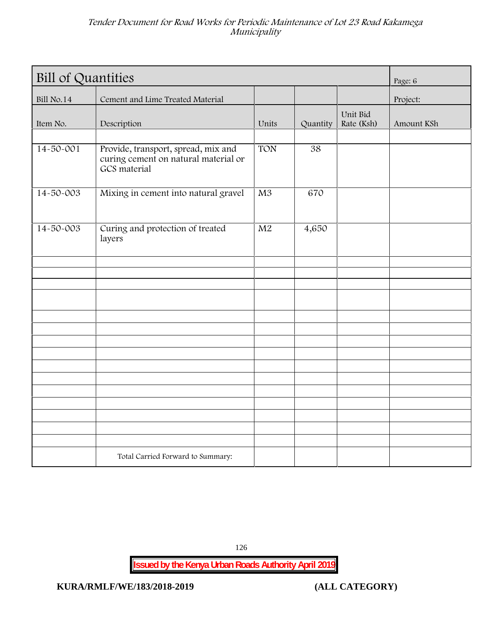| <b>Bill of Quantities</b> | Page: 6                                                                                     |                 |          |                        |            |
|---------------------------|---------------------------------------------------------------------------------------------|-----------------|----------|------------------------|------------|
| Bill No.14                | Cement and Lime Treated Material                                                            |                 |          |                        | Project:   |
| Item No.                  | Description                                                                                 | Units           | Quantity | Unit Bid<br>Rate (Ksh) | Amount KSh |
| $14 - 50 - 001$           | Provide, transport, spread, mix and<br>curing cement on natural material or<br>GCS material | <b>TON</b>      | 38       |                        |            |
| 14-50-003                 | Mixing in cement into natural gravel                                                        | $\overline{M3}$ | 670      |                        |            |
| 14-50-003                 | Curing and protection of treated<br>layers                                                  | $\overline{M2}$ | 4,650    |                        |            |
|                           |                                                                                             |                 |          |                        |            |
|                           |                                                                                             |                 |          |                        |            |
|                           |                                                                                             |                 |          |                        |            |
|                           |                                                                                             |                 |          |                        |            |
|                           |                                                                                             |                 |          |                        |            |
|                           |                                                                                             |                 |          |                        |            |
|                           |                                                                                             |                 |          |                        |            |
|                           |                                                                                             |                 |          |                        |            |
|                           |                                                                                             |                 |          |                        |            |
|                           |                                                                                             |                 |          |                        |            |
|                           |                                                                                             |                 |          |                        |            |
|                           |                                                                                             |                 |          |                        |            |
|                           | Total Carried Forward to Summary:                                                           |                 |          |                        |            |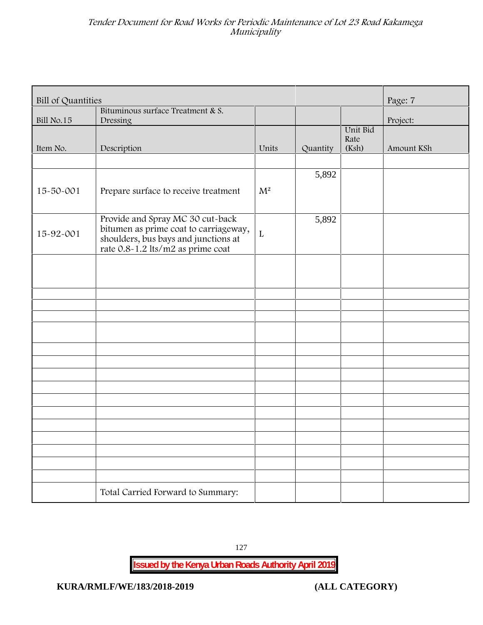| <b>Bill of Quantities</b> |                                                                                                                                                        |             |          |                  | Page: 7    |
|---------------------------|--------------------------------------------------------------------------------------------------------------------------------------------------------|-------------|----------|------------------|------------|
| Bill No.15                | Bituminous surface Treatment & S.<br>Dressing                                                                                                          |             |          |                  | Project:   |
|                           |                                                                                                                                                        |             |          | Unit Bid<br>Rate |            |
| Item No.                  | Description                                                                                                                                            | Units       | Quantity | (Ksh)            | Amount KSh |
|                           |                                                                                                                                                        |             |          |                  |            |
|                           |                                                                                                                                                        |             | 5,892    |                  |            |
| 15-50-001                 | Prepare surface to receive treatment                                                                                                                   | $M^2$       |          |                  |            |
| 15-92-001                 | Provide and Spray MC 30 cut-back<br>bitumen as prime coat to carriageway,<br>shoulders, bus bays and junctions at<br>rate 0.8-1.2 lts/m2 as prime coat | $\mathbf L$ | 5,892    |                  |            |
|                           |                                                                                                                                                        |             |          |                  |            |
|                           |                                                                                                                                                        |             |          |                  |            |
|                           |                                                                                                                                                        |             |          |                  |            |
|                           |                                                                                                                                                        |             |          |                  |            |
|                           |                                                                                                                                                        |             |          |                  |            |
|                           |                                                                                                                                                        |             |          |                  |            |
|                           |                                                                                                                                                        |             |          |                  |            |
|                           |                                                                                                                                                        |             |          |                  |            |
|                           |                                                                                                                                                        |             |          |                  |            |
|                           |                                                                                                                                                        |             |          |                  |            |
|                           |                                                                                                                                                        |             |          |                  |            |
|                           |                                                                                                                                                        |             |          |                  |            |
|                           |                                                                                                                                                        |             |          |                  |            |
|                           |                                                                                                                                                        |             |          |                  |            |
|                           |                                                                                                                                                        |             |          |                  |            |
|                           |                                                                                                                                                        |             |          |                  |            |
|                           | Total Carried Forward to Summary:                                                                                                                      |             |          |                  |            |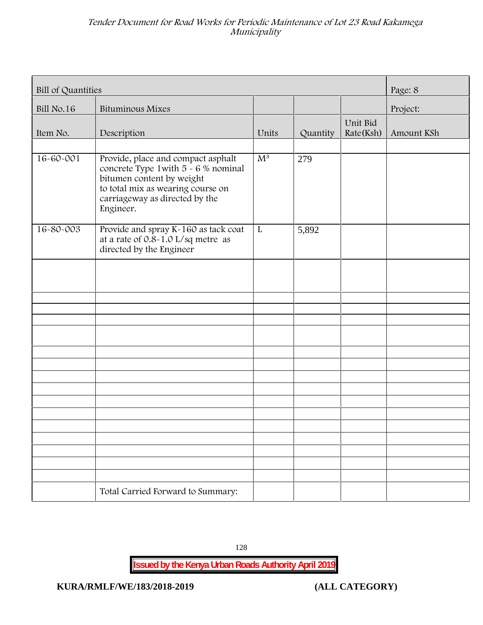| Bill of Quantities | Page: 8                                                                                                                                                                                     |                |          |                       |            |
|--------------------|---------------------------------------------------------------------------------------------------------------------------------------------------------------------------------------------|----------------|----------|-----------------------|------------|
| <b>Bill No.16</b>  | <b>Bituminous Mixes</b>                                                                                                                                                                     |                |          |                       | Project:   |
| Item No.           | Description                                                                                                                                                                                 | Units          | Quantity | Unit Bid<br>Rate(Ksh) | Amount KSh |
| 16-60-001          | Provide, place and compact asphalt<br>concrete Type 1 with 5 - 6 % nominal<br>bitumen content by weight<br>to total mix as wearing course on<br>carriageway as directed by the<br>Engineer. | $\mathbf{M}^3$ | 279      |                       |            |
| $16 - 80 - 003$    | Provide and spray K-160 as tack coat<br>at a rate of 0.8-1.0 L/sq metre as<br>directed by the Engineer                                                                                      | L              | 5,892    |                       |            |
|                    |                                                                                                                                                                                             |                |          |                       |            |
|                    |                                                                                                                                                                                             |                |          |                       |            |
|                    |                                                                                                                                                                                             |                |          |                       |            |
|                    |                                                                                                                                                                                             |                |          |                       |            |
|                    |                                                                                                                                                                                             |                |          |                       |            |
|                    |                                                                                                                                                                                             |                |          |                       |            |
|                    |                                                                                                                                                                                             |                |          |                       |            |
|                    |                                                                                                                                                                                             |                |          |                       |            |
|                    |                                                                                                                                                                                             |                |          |                       |            |
|                    |                                                                                                                                                                                             |                |          |                       |            |
|                    | Total Carried Forward to Summary:                                                                                                                                                           |                |          |                       |            |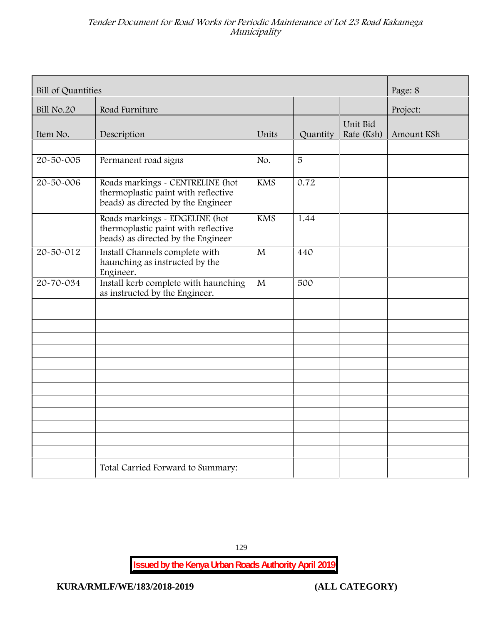| Bill of Quantities | Page: 8                                                                                                       |            |          |                        |            |
|--------------------|---------------------------------------------------------------------------------------------------------------|------------|----------|------------------------|------------|
| Bill No.20         | Road Furniture                                                                                                |            |          |                        | Project:   |
| Item No.           | Description                                                                                                   | Units      | Quantity | Unit Bid<br>Rate (Ksh) | Amount KSh |
| 20-50-005          | Permanent road signs                                                                                          | No.        | 5        |                        |            |
| 20-50-006          | Roads markings - CENTRELINE (hot<br>thermoplastic paint with reflective<br>beads) as directed by the Engineer | <b>KMS</b> | 0.72     |                        |            |
|                    | Roads markings - EDGELINE (hot<br>thermoplastic paint with reflective<br>beads) as directed by the Engineer   | <b>KMS</b> | 1.44     |                        |            |
| 20-50-012          | Install Channels complete with<br>haunching as instructed by the<br>Engineer.                                 | M          | 440      |                        |            |
| 20-70-034          | Install kerb complete with haunching<br>as instructed by the Engineer.                                        | M          | 500      |                        |            |
|                    |                                                                                                               |            |          |                        |            |
|                    |                                                                                                               |            |          |                        |            |
|                    |                                                                                                               |            |          |                        |            |
|                    |                                                                                                               |            |          |                        |            |
|                    |                                                                                                               |            |          |                        |            |
|                    |                                                                                                               |            |          |                        |            |
|                    | Total Carried Forward to Summary:                                                                             |            |          |                        |            |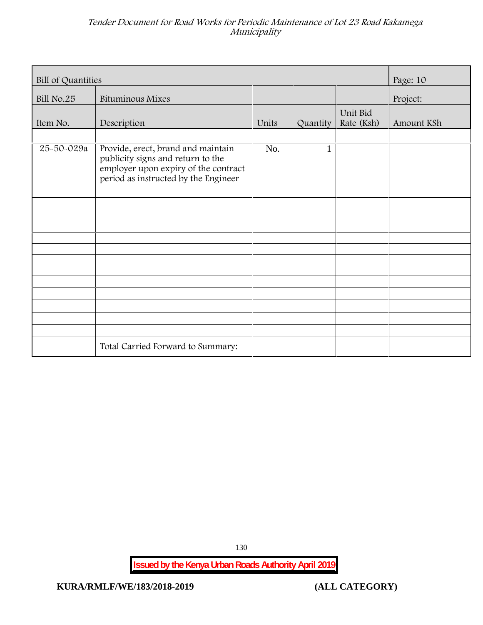| <b>Bill of Quantities</b> |                                                                                                                                                         |       |          | Page: 10               |            |
|---------------------------|---------------------------------------------------------------------------------------------------------------------------------------------------------|-------|----------|------------------------|------------|
| Bill No.25                | <b>Bituminous Mixes</b>                                                                                                                                 |       |          |                        | Project:   |
| Item No.                  | Description                                                                                                                                             | Units | Quantity | Unit Bid<br>Rate (Ksh) | Amount KSh |
| 25-50-029a                | Provide, erect, brand and maintain<br>publicity signs and return to the<br>employer upon expiry of the contract<br>period as instructed by the Engineer | No.   | 1        |                        |            |
|                           |                                                                                                                                                         |       |          |                        |            |
|                           |                                                                                                                                                         |       |          |                        |            |
|                           |                                                                                                                                                         |       |          |                        |            |
|                           |                                                                                                                                                         |       |          |                        |            |
|                           | Total Carried Forward to Summary:                                                                                                                       |       |          |                        |            |

130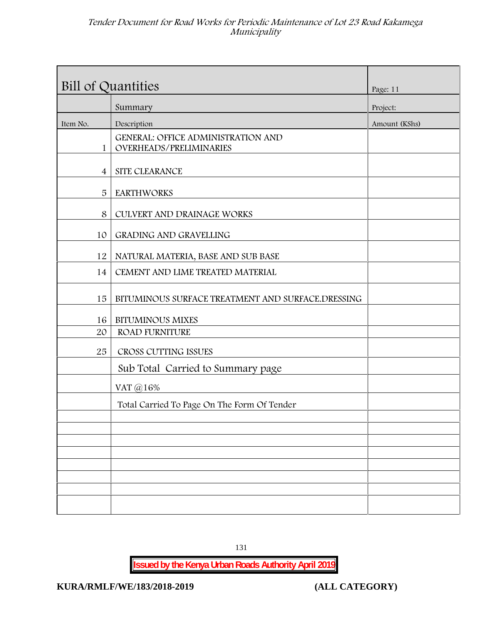| Bill of Quantities |                                                                      | Page: 11      |
|--------------------|----------------------------------------------------------------------|---------------|
|                    | Summary                                                              | Project:      |
| Item No.           | Description                                                          | Amount (KShs) |
| $\mathbf{1}$       | <b>GENERAL: OFFICE ADMINISTRATION AND</b><br>OVERHEADS/PRELIMINARIES |               |
| $\overline{4}$     | SITE CLEARANCE                                                       |               |
| 5                  | <b>EARTHWORKS</b>                                                    |               |
| 8                  | CULVERT AND DRAINAGE WORKS                                           |               |
| 10                 | <b>GRADING AND GRAVELLING</b>                                        |               |
| 12                 | NATURAL MATERIA, BASE AND SUB BASE                                   |               |
| 14                 | CEMENT AND LIME TREATED MATERIAL                                     |               |
| 15                 | BITUMINOUS SURFACE TREATMENT AND SURFACE.DRESSING                    |               |
| 16                 | <b>BITUMINOUS MIXES</b>                                              |               |
| 20                 | <b>ROAD FURNITURE</b>                                                |               |
| 25                 | CROSS CUTTING ISSUES                                                 |               |
|                    | Sub Total Carried to Summary page                                    |               |
|                    | VAT @16%                                                             |               |
|                    | Total Carried To Page On The Form Of Tender                          |               |
|                    |                                                                      |               |
|                    |                                                                      |               |
|                    |                                                                      |               |
|                    |                                                                      |               |
|                    |                                                                      |               |
|                    |                                                                      |               |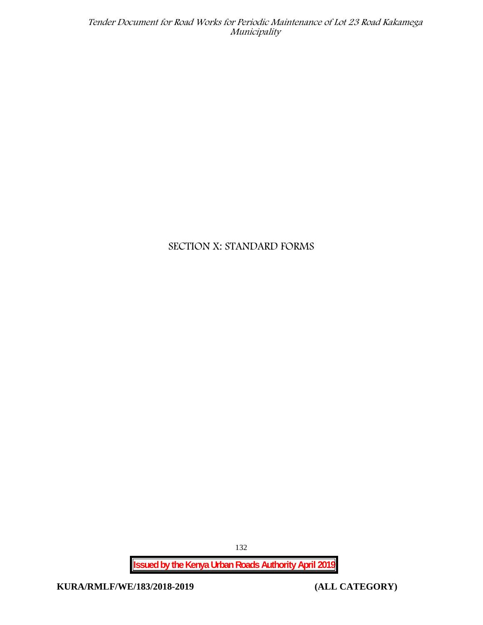## **SECTION X: STANDARD FORMS**

132

**Issued by the Kenya Urban Roads Authority April 2019**

**KURA/RMLF/WE/183/2018-2019 (ALL CATEGORY)**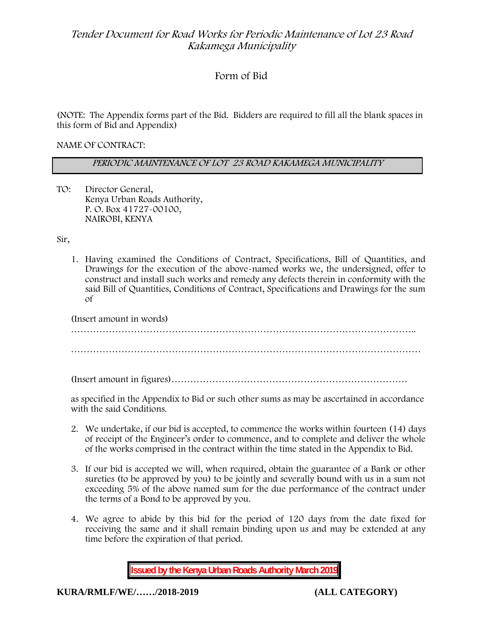## **Form of Bid**

(NOTE: The Appendix forms part of the Bid. Bidders are required to fill all the blank spaces in this form of Bid and Appendix)

**NAME OF CONTRACT:**

*PERIODIC MAINTENANCE OF LOT 23 ROAD KAKAMEGA MUNICIPALITY*

TO: Director General, Kenya Urban Roads Authority, P. O. Box 41727-00100, **NAIROBI, KENYA**

Sir,

1. Having examined the Conditions of Contract, Specifications, Bill of Quantities, and Drawings for the execution of the above-named works we, the undersigned, offer to construct and install such works and remedy any defects therein in conformity with the said Bill of Quantities, Conditions of Contract, Specifications and Drawings for the sum of

| (Insert amount in words) |  |
|--------------------------|--|
|                          |  |
|                          |  |
|                          |  |

(Insert amount in figures)…………………………………………………………………

as specified in the Appendix to Bid or such other sums as may be ascertained in accordance with the said Conditions.

- 2. We undertake, if our bid is accepted, to commence the works within fourteen (14) days of receipt of the Engineer's order to commence, and to complete and deliver the whole of the works comprised in the contract within the time stated in the Appendix to Bid.
- 3. If our bid is accepted we will, when required, obtain the guarantee of a Bank or other sureties (to be approved by you) to be jointly and severally bound with us in a sum not exceeding 5% of the above named sum for the due performance of the contract under the terms of a Bond to be approved by you.
- 4. We agree to abide by this bid for the period of 120 days from the date fixed for receiving the same and it shall remain binding upon us and may be extended at any time before the expiration of that period.

**Issued by the Kenya Urban Roads Authority March 2019**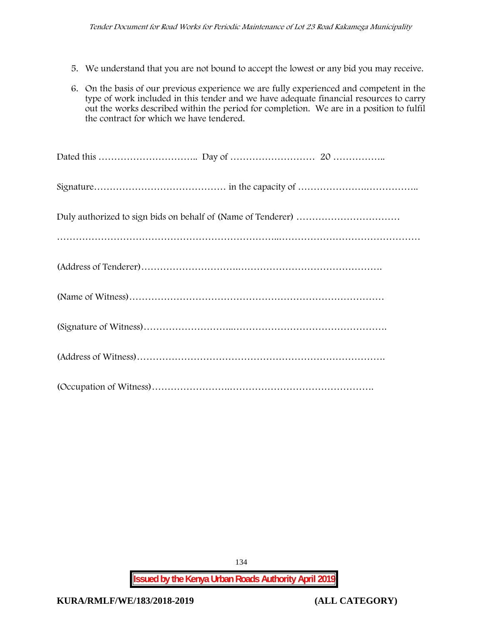- 5. We understand that you are not bound to accept the lowest or any bid you may receive.
- 6. On the basis of our previous experience we are fully experienced and competent in the type of work included in this tender and we have adequate financial resources to carry out the works described within the period for completion. We are in a position to fulfil the contract for which we have tendered.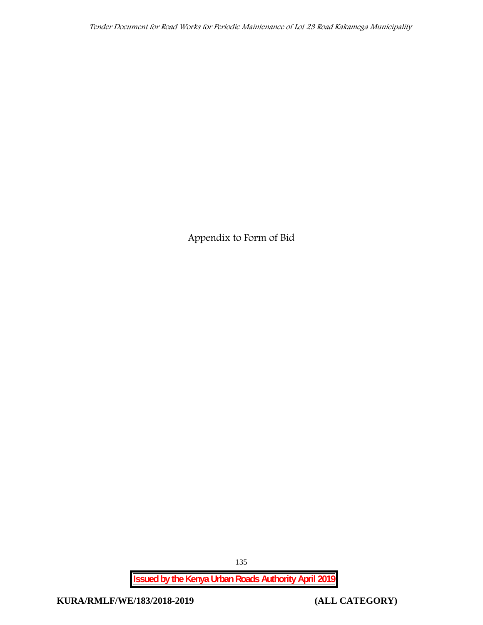**Appendix to Form of Bid**

**Issued by the Kenya Urban Roads Authority April 2019**

135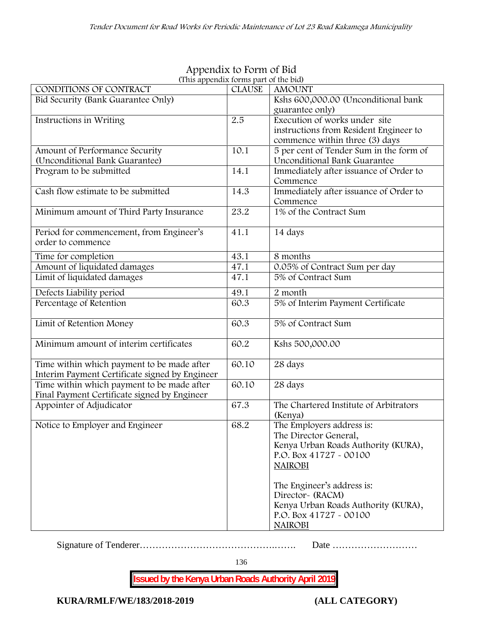| (This appendix forms part of the bid)          |               |                                         |
|------------------------------------------------|---------------|-----------------------------------------|
| CONDITIONS OF CONTRACT                         | <b>CLAUSE</b> | <b>AMOUNT</b>                           |
| Bid Security (Bank Guarantee Only)             |               | Kshs 600,000.00 (Unconditional bank     |
|                                                |               | guarantee only)                         |
| Instructions in Writing                        | 2.5           | Execution of works under site           |
|                                                |               | instructions from Resident Engineer to  |
|                                                |               | commence within three (3) days          |
| Amount of Performance Security                 | 10.1          | 5 per cent of Tender Sum in the form of |
| (Unconditional Bank Guarantee)                 |               | Unconditional Bank Guarantee            |
| Program to be submitted                        | 14.1          | Immediately after issuance of Order to  |
|                                                |               | Commence                                |
| Cash flow estimate to be submitted             | 14.3          | Immediately after issuance of Order to  |
|                                                |               | Commence                                |
| Minimum amount of Third Party Insurance        | 23.2          | 1% of the Contract Sum                  |
|                                                |               |                                         |
| Period for commencement, from Engineer's       | 41.1          | 14 days                                 |
| order to commence                              |               |                                         |
| Time for completion                            | 43.1          | 8 months                                |
| Amount of liquidated damages                   | 47.1          | 0.05% of Contract Sum per day           |
| Limit of liquidated damages                    | 47.1          | 5% of Contract Sum                      |
| Defects Liability period                       | 49.1          | 2 month                                 |
| Percentage of Retention                        | 60.3          | 5% of Interim Payment Certificate       |
|                                                |               |                                         |
| Limit of Retention Money                       | 60.3          | 5% of Contract Sum                      |
|                                                |               |                                         |
| Minimum amount of interim certificates         | 60.2          | Kshs 500,000.00                         |
|                                                |               |                                         |
| Time within which payment to be made after     | 60.10         | 28 days                                 |
| Interim Payment Certificate signed by Engineer |               |                                         |
| Time within which payment to be made after     | 60.10         | 28 days                                 |
| Final Payment Certificate signed by Engineer   |               |                                         |
| Appointer of Adjudicator                       | 67.3          | The Chartered Institute of Arbitrators  |
|                                                |               | (Kenya)                                 |
| Notice to Employer and Engineer                | 68.2          | The Employers address is:               |
|                                                |               | The Director General,                   |
|                                                |               | Kenya Urban Roads Authority (KURA),     |
|                                                |               | P.O. Box 41727 - 00100                  |
|                                                |               | <b>NAIROBI</b>                          |
|                                                |               |                                         |
|                                                |               | The Engineer's address is:              |
|                                                |               | Director~ (RACM)                        |
|                                                |               | Kenya Urban Roads Authority (KURA),     |
|                                                |               | P.O. Box 41727 - 00100                  |
|                                                |               | <b>NAIROBI</b>                          |
|                                                |               |                                         |

# **Appendix to Form of Bid**

Signature of Tenderer…………………………………….……. Date ………………………

136

**Issued by the Kenya Urban Roads Authority April 2019**

**KURA/RMLF/WE/183/2018-2019 (ALL CATEGORY)**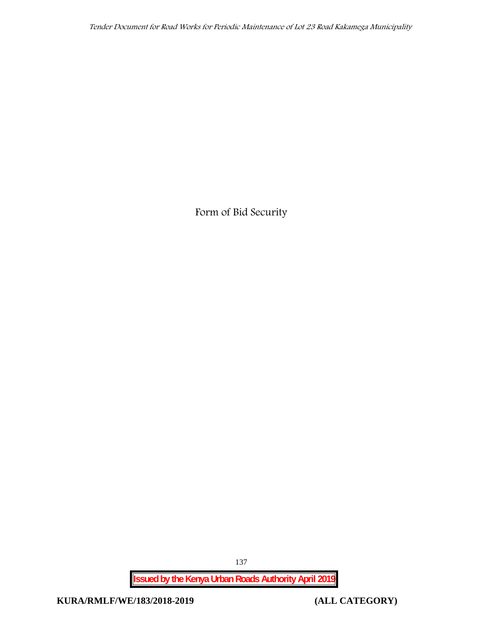**Form of Bid Security**

**Issued by the Kenya Urban Roads Authority April 2019**

137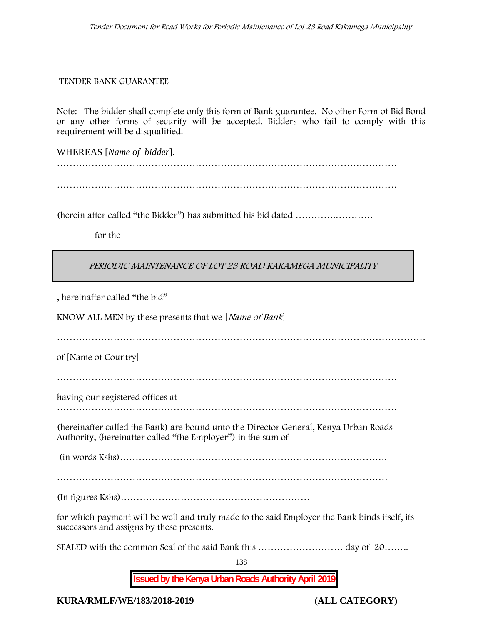#### **TENDER BANK GUARANTEE**

Note: The bidder shall complete only this form of Bank guarantee. No other Form of Bid Bond or any other forms of security will be accepted. Bidders who fail to comply with this requirement will be disqualified.

WHEREAS [*Name of bidder*]. ………………………………………………………………………………………………

………………………………………………………………………………………………

(herein after called "the Bidder") has submitted his bid dated ………….…………

**for the**

## *PERIODIC MAINTENANCE OF LOT 23 ROAD KAKAMEGA MUNICIPALITY*

, hereinafter called "the bid"

KNOW ALL MEN by these presents that we [*Name of Bank*]

………………………………………………………………………………………………………

of [Name of Country]

………………………………………………………………………………………………

having our registered offices at

………………………………………………………………………………………………

(hereinafter called the Bank) are bound unto the Director General, Kenya Urban Roads Authority, (hereinafter called "the Employer") in the sum of

(in words Kshs)………………………………………………………………………….

(In figures Kshs)……………………………………………………

for which payment will be well and truly made to the said Employer the Bank binds itself, its successors and assigns by these presents.

SEALED with the common Seal of the said Bank this ……………………… day of 20……..

138

**Issued by the Kenya Urban Roads Authority April 2019**

**KURA/RMLF/WE/183/2018-2019 (ALL CATEGORY)**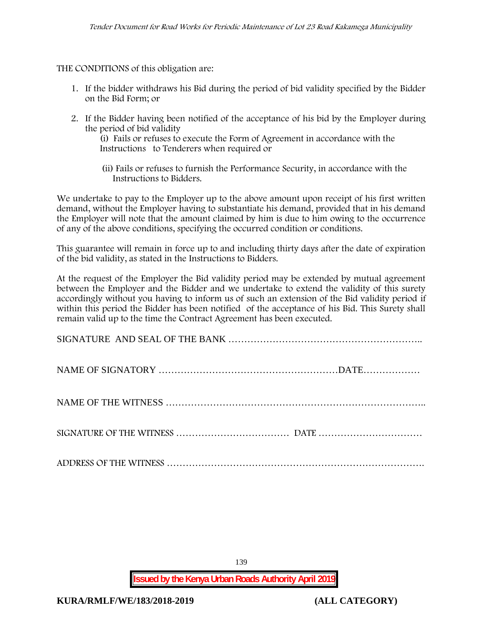THE CONDITIONS of this obligation are:

- 1. If the bidder withdraws his Bid during the period of bid validity specified by the Bidder on the Bid Form; or
- 2. If the Bidder having been notified of the acceptance of his bid by the Employer during the period of bid validity

(i) Fails or refuses to execute the Form of Agreement in accordance with the Instructions to Tenderers when required or

(ii) Fails or refuses to furnish the Performance Security, in accordance with the Instructions to Bidders.

We undertake to pay to the Employer up to the above amount upon receipt of his first written demand, without the Employer having to substantiate his demand, provided that in his demand the Employer will note that the amount claimed by him is due to him owing to the occurrence of any of the above conditions, specifying the occurred condition or conditions.

This guarantee will remain in force up to and including thirty days after the date of expiration of the bid validity, as stated in the Instructions to Bidders.

At the request of the Employer the Bid validity period may be extended by mutual agreement between the Employer and the Bidder and we undertake to extend the validity of this surety accordingly without you having to inform us of such an extension of the Bid validity period if within this period the Bidder has been notified of the acceptance of his Bid. This Surety shall remain valid up to the time the Contract Agreement has been executed.

139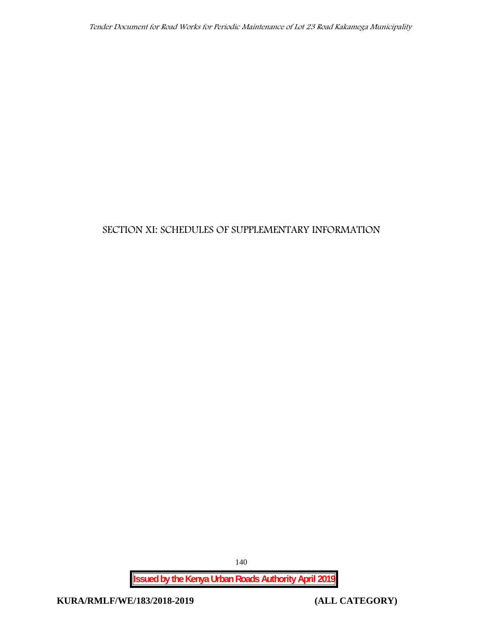## **SECTION XI: SCHEDULES OF SUPPLEMENTARY INFORMATION**

**Issued by the Kenya Urban Roads Authority April 2019**

140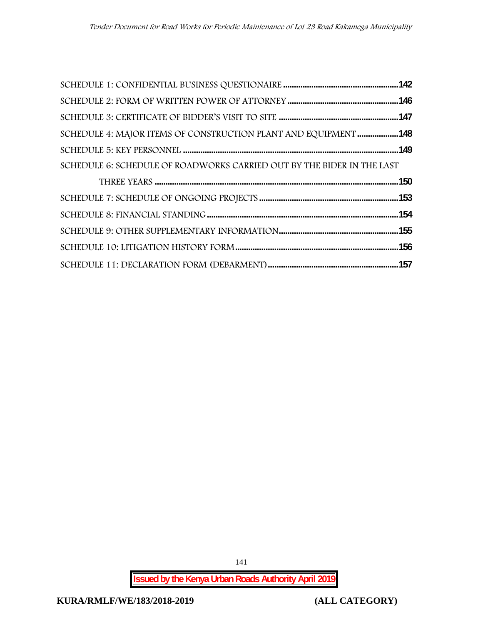| SCHEDULE 4: MAJOR ITEMS OF CONSTRUCTION PLANT AND EQUIPMENT 148        |  |
|------------------------------------------------------------------------|--|
|                                                                        |  |
| SCHEDULE 6: SCHEDULE OF ROADWORKS CARRIED OUT BY THE BIDER IN THE LAST |  |
|                                                                        |  |
|                                                                        |  |
|                                                                        |  |
|                                                                        |  |
|                                                                        |  |
|                                                                        |  |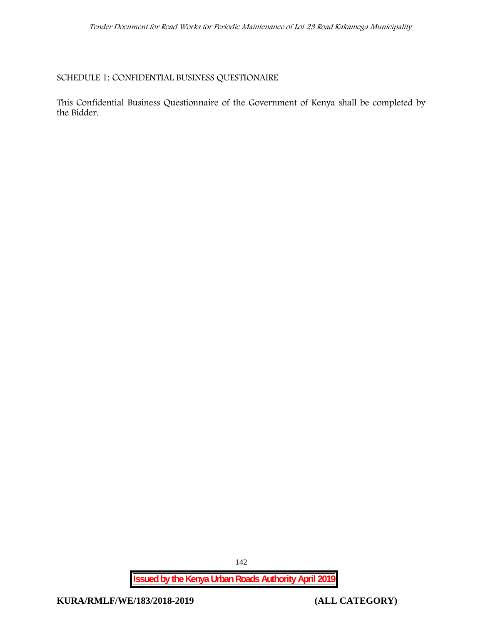## **SCHEDULE 1: CONFIDENTIAL BUSINESS QUESTIONAIRE**

This Confidential Business Questionnaire of the Government of Kenya shall be completed by the Bidder.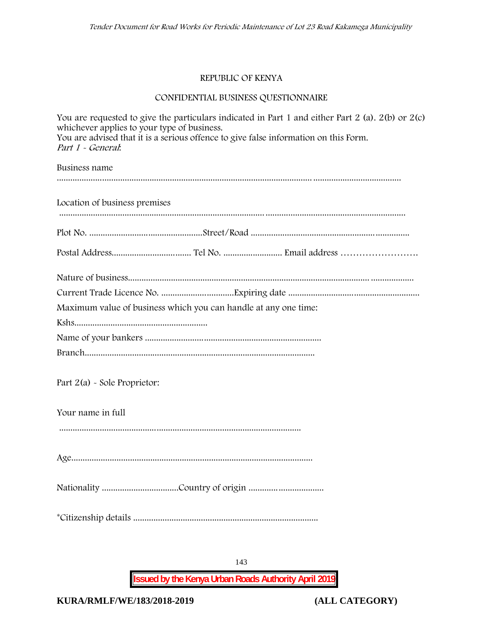## **REPUBLIC OF KENYA**

## **CONFIDENTIAL BUSINESS QUESTIONNAIRE**

| You are requested to give the particulars indicated in Part 1 and either Part 2 (a). $2(b)$ or $2(c)$<br>whichever applies to your type of business.<br>You are advised that it is a serious offence to give false information on this Form.<br>Part 1 - General. |
|-------------------------------------------------------------------------------------------------------------------------------------------------------------------------------------------------------------------------------------------------------------------|
| Business name                                                                                                                                                                                                                                                     |
| Location of business premises                                                                                                                                                                                                                                     |
|                                                                                                                                                                                                                                                                   |
|                                                                                                                                                                                                                                                                   |
|                                                                                                                                                                                                                                                                   |
|                                                                                                                                                                                                                                                                   |
| Maximum value of business which you can handle at any one time:                                                                                                                                                                                                   |
|                                                                                                                                                                                                                                                                   |
|                                                                                                                                                                                                                                                                   |
|                                                                                                                                                                                                                                                                   |
| Part $2(a)$ - Sole Proprietor:                                                                                                                                                                                                                                    |
| Your name in full                                                                                                                                                                                                                                                 |
|                                                                                                                                                                                                                                                                   |
|                                                                                                                                                                                                                                                                   |
|                                                                                                                                                                                                                                                                   |
|                                                                                                                                                                                                                                                                   |

**Issued by the Kenya Urban Roads Authority April 2019**

143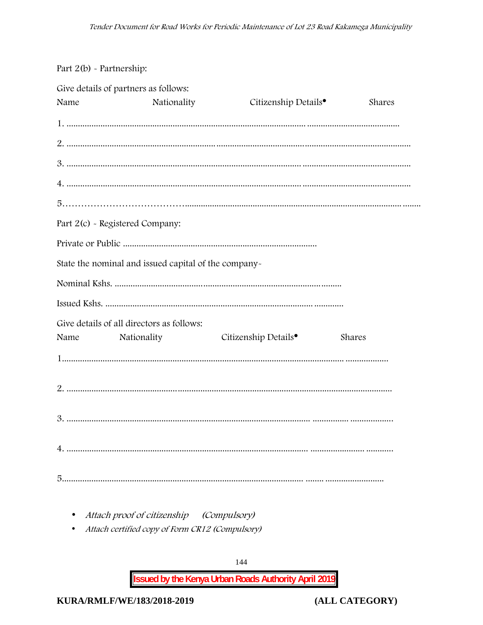## Part 2(b) - Partnership:

|      | Give details of partners as follows:                 |                                  |        |
|------|------------------------------------------------------|----------------------------------|--------|
| Name | Nationality                                          | Citizenship Details <sup>®</sup> | Shares |
|      |                                                      |                                  |        |
|      |                                                      |                                  |        |
|      |                                                      |                                  |        |
|      |                                                      |                                  |        |
|      |                                                      |                                  |        |
|      | Part 2(c) - Registered Company:                      |                                  |        |
|      |                                                      |                                  |        |
|      | State the nominal and issued capital of the company- |                                  |        |
|      |                                                      |                                  |        |
|      |                                                      |                                  |        |
|      | Give details of all directors as follows:            |                                  |        |
| Name | Nationality                                          | Citizenship Details <sup>•</sup> | Shares |
|      |                                                      |                                  |        |
|      |                                                      |                                  |        |
|      |                                                      |                                  |        |
|      |                                                      |                                  |        |
|      |                                                      |                                  |        |

- Attach proof of citizenship (Compulsory)
- Attach certified copy of Form CR12 (Compulsory)

**Issued by the Kenya Urban Roads Authority April 2019**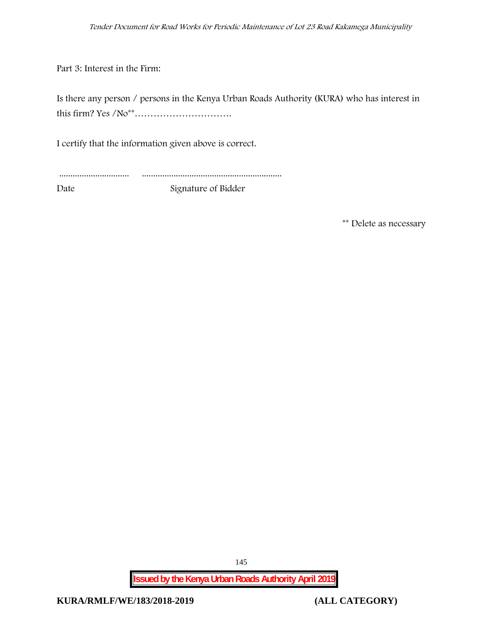Part 3: Interest in the Firm:

Is there any person / persons in the Kenya Urban Roads Authority (KURA) who has interest in this firm? Yes /No\*\*………………………….

I certify that the information given above is correct.

............................... ..............................................................

Date Signature of Bidder

**\*\* Delete as necessary**

**Issued by the Kenya Urban Roads Authority April 2019**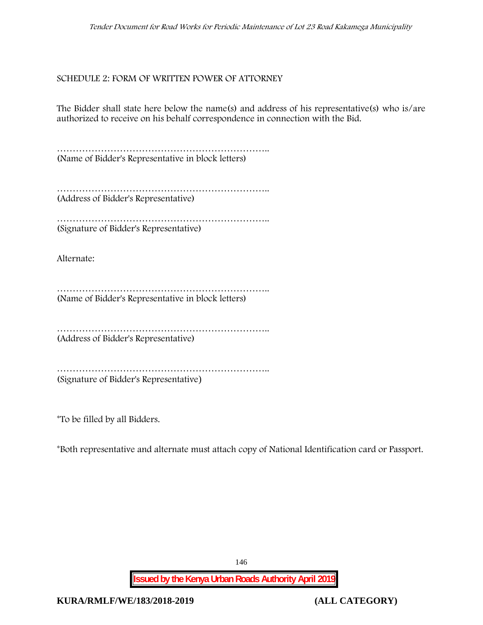## **SCHEDULE 2: FORM OF WRITTEN POWER OF ATTORNEY**

The Bidder shall state here below the name(s) and address of his representative(s) who is/are authorized to receive on his behalf correspondence in connection with the Bid.

………………………………………………………….. (Name of Bidder's Representative in block letters)

……………………………………………………………………… (Address of Bidder's Representative)

……………………………………………………………………… (Signature of Bidder's Representative)

Alternate:

………………………………………………………….. (Name of Bidder's Representative in block letters)

………………………………………………………….. (Address of Bidder's Representative)

……………………………………………………………………… (Signature of Bidder's Representative)

\*To be filled by all Bidders.

\*Both representative and alternate **must** attach copy of National Identification card or Passport.

146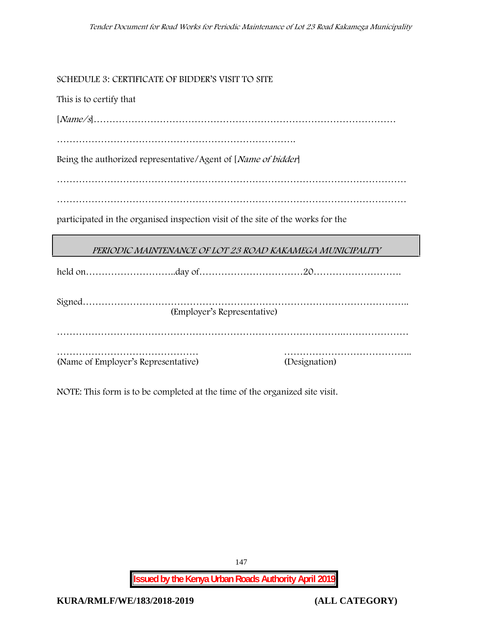**SCHEDULE 3: CERTIFICATE OF BIDDER'S VISIT TO SITE**

This is to certify that

[*Name/s*]……………………………………………………………………………………

………………………………………………………………….

Being the authorized representative/Agent of [*Name of bidder*]

…………………………………………………………………………………………………

…………………………………………………………………………………………………

participated in the organised inspection visit of the site of the works for the

|  | PERIODIC MAINTENANCE OF LOT 23 ROAD KAKAMEGA MUNICIPALITY |
|--|-----------------------------------------------------------|
|  |                                                           |

|                                     | (Employer's Representative) |               |
|-------------------------------------|-----------------------------|---------------|
|                                     |                             |               |
|                                     |                             |               |
| (Name of Employer's Representative) |                             | (Designation) |

NOTE: This form is to be completed at the time of the organized site visit.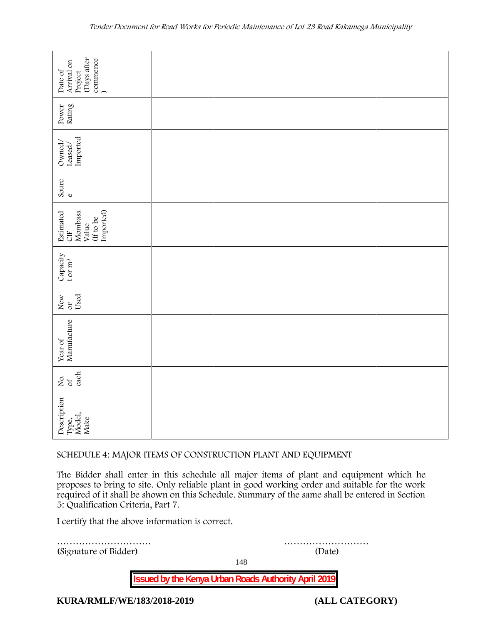| (Days after<br>commence<br>Arrival on<br>Date of<br>Project                                                                                                                                                                                                                                                                        |  |        |  |  |  |
|------------------------------------------------------------------------------------------------------------------------------------------------------------------------------------------------------------------------------------------------------------------------------------------------------------------------------------|--|--------|--|--|--|
| Rating<br>Power                                                                                                                                                                                                                                                                                                                    |  |        |  |  |  |
| Imported<br>Owned,<br>Leased/                                                                                                                                                                                                                                                                                                      |  |        |  |  |  |
| Sourc<br>$\circ$                                                                                                                                                                                                                                                                                                                   |  |        |  |  |  |
| Imported)<br>Estimated<br>Mombasa<br>(If to be<br>Value<br><b>UD</b>                                                                                                                                                                                                                                                               |  |        |  |  |  |
| Capacity<br>t or $m^3$                                                                                                                                                                                                                                                                                                             |  |        |  |  |  |
| Used<br>New<br>$\sigma$                                                                                                                                                                                                                                                                                                            |  |        |  |  |  |
| Manufacture<br>Year of                                                                                                                                                                                                                                                                                                             |  |        |  |  |  |
| each<br>ιό<br>Θά                                                                                                                                                                                                                                                                                                                   |  |        |  |  |  |
| Description<br>Type,<br>Model,<br>Make                                                                                                                                                                                                                                                                                             |  |        |  |  |  |
| SCHEDULE 4: MAJOR ITEMS OF CONSTRUCTION PLANT AND EQUIPMENT                                                                                                                                                                                                                                                                        |  |        |  |  |  |
| The Bidder shall enter in this schedule all major items of plant and equipment which he<br>proposes to bring to site. Only reliable plant in good working order and suitable for the work<br>required of it shall be shown on this Schedule. Summary of the same shall be entered in Section<br>5: Qualification Criteria, Part 7. |  |        |  |  |  |
| I certify that the above information is correct.                                                                                                                                                                                                                                                                                   |  |        |  |  |  |
| (Signature of Bidder)                                                                                                                                                                                                                                                                                                              |  | (Date) |  |  |  |

#### **SCHEDULE 4: MAJOR ITEMS OF CONSTRUCTION PLANT AND EQUIPMENT**

148

**Issued by the Kenya Urban Roads Authority April 2019**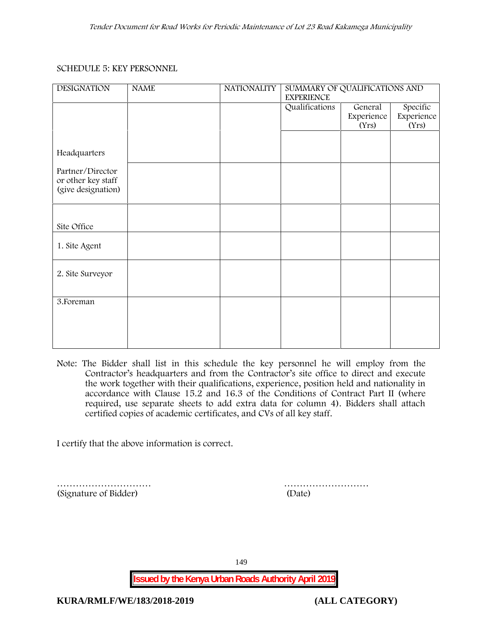#### **SCHEDULE 5: KEY PERSONNEL**

| <b>DESIGNATION</b>                                           | <b>NAME</b> | <b>NATIONALITY</b> | SUMMARY OF QUALIFICATIONS AND<br><b>EXPERIENCE</b> |                                |                                 |
|--------------------------------------------------------------|-------------|--------------------|----------------------------------------------------|--------------------------------|---------------------------------|
|                                                              |             |                    | Qualifications                                     | General<br>Experience<br>(Yrs) | Specific<br>Experience<br>(Yrs) |
| Headquarters                                                 |             |                    |                                                    |                                |                                 |
| Partner/Director<br>or other key staff<br>(give designation) |             |                    |                                                    |                                |                                 |
|                                                              |             |                    |                                                    |                                |                                 |
| Site Office                                                  |             |                    |                                                    |                                |                                 |
| 1. Site Agent                                                |             |                    |                                                    |                                |                                 |
| 2. Site Surveyor                                             |             |                    |                                                    |                                |                                 |
| 3. Foreman                                                   |             |                    |                                                    |                                |                                 |
|                                                              |             |                    |                                                    |                                |                                 |

**Note:** The Bidder shall list in this schedule the key personnel he will employ from the Contractor's headquarters and from the Contractor's site office to direct and execute the work together with their qualifications, experience, position held and nationality in accordance with Clause 15.2 and 16.3 of the Conditions of Contract Part II (where required, use separate sheets to add extra data for column 4). Bidders shall attach certified copies of academic certificates, and CVs of all key staff.

I certify that the above information is correct.

(Signature of Bidder) (Date)

………………………… ………………………

149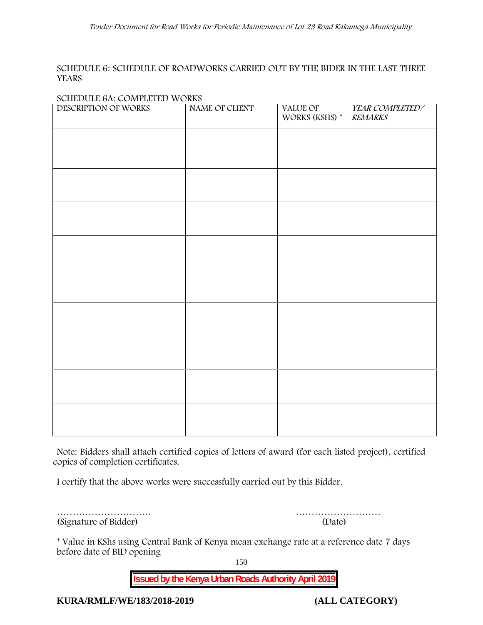#### **SCHEDULE 6: SCHEDULE OF ROADWORKS CARRIED OUT BY THE BIDER IN THE LAST THREE YEARS**

#### **SCHEDULE 6A: COMPLETED WORKS**

| $\sigma$ of $\sigma$ of $\sigma$ commutations $\sigma$ of $\sigma$<br>DESCRIPTION OF WORKS | NAME OF CLIENT | VALUE OF<br>WORKS (KSHS) $^\ast$ | YEAR COMPLETED/<br><b>REMARKS</b> |
|--------------------------------------------------------------------------------------------|----------------|----------------------------------|-----------------------------------|
|                                                                                            |                |                                  |                                   |
|                                                                                            |                |                                  |                                   |
|                                                                                            |                |                                  |                                   |
|                                                                                            |                |                                  |                                   |
|                                                                                            |                |                                  |                                   |
|                                                                                            |                |                                  |                                   |
|                                                                                            |                |                                  |                                   |
|                                                                                            |                |                                  |                                   |
|                                                                                            |                |                                  |                                   |
|                                                                                            |                |                                  |                                   |
|                                                                                            |                |                                  |                                   |
|                                                                                            |                |                                  |                                   |
|                                                                                            |                |                                  |                                   |
|                                                                                            |                |                                  |                                   |

**Note:** Bidders shall attach certified copies of letters of award (for each listed project), certified copies of completion certificates.

I certify that the above works were successfully carried out by this Bidder.

………………………… ……………………… (Signature of Bidder) (Date)

\* **Value in KShs using Central Bank of Kenya mean exchange rate at a reference date 7 days before date of BID opening**

150

**Issued by the Kenya Urban Roads Authority April 2019**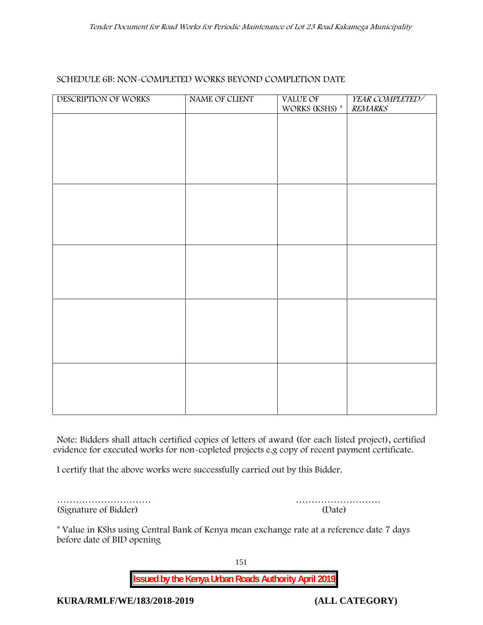#### **SCHEDULE 6B: NON-COMPLETED WORKS BEYOND COMPLETION DATE**

| DESCRIPTION OF WORKS | NAME OF CLIENT | VALUE OF<br>WORKS (KSHS) $^\ast$ | YEAR COMPLETED/<br>REMARKS |
|----------------------|----------------|----------------------------------|----------------------------|
|                      |                |                                  |                            |
|                      |                |                                  |                            |
|                      |                |                                  |                            |
|                      |                |                                  |                            |
|                      |                |                                  |                            |
|                      |                |                                  |                            |
|                      |                |                                  |                            |
|                      |                |                                  |                            |
|                      |                |                                  |                            |
|                      |                |                                  |                            |
|                      |                |                                  |                            |
|                      |                |                                  |                            |
|                      |                |                                  |                            |
|                      |                |                                  |                            |
|                      |                |                                  |                            |
|                      |                |                                  |                            |

**Note:** Bidders shall attach certified copies of letters of award (for each listed project), certified evidence for executed works for non-copleted projects e.g copy of recent payment certificate.

I certify that the above works were successfully carried out by this Bidder.

(Signature of Bidder) (Date)

………………………… ………………………

\* **Value in KShs using Central Bank of Kenya mean exchange rate at a reference date 7 days before date of BID opening**

151

**Issued by the Kenya Urban Roads Authority April 2019**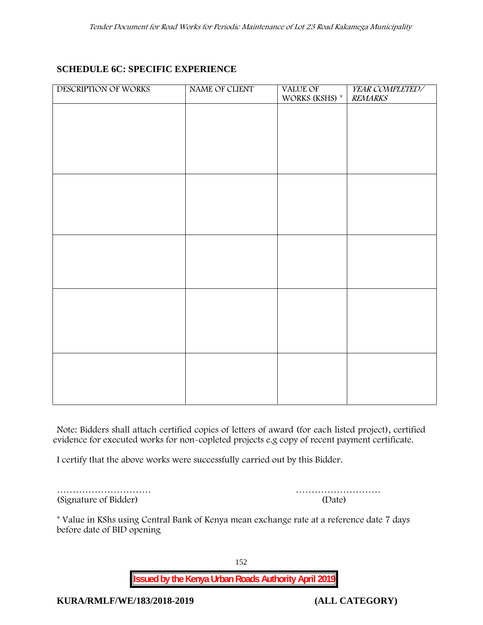# **SCHEDULE 6C: SPECIFIC EXPERIENCE**

| DESCRIPTION OF WORKS | NAME OF CLIENT | VALUE OF<br>WORKS (KSHS) * | YEAR COMPLETED/<br><b>REMARKS</b> |
|----------------------|----------------|----------------------------|-----------------------------------|
|                      |                |                            |                                   |
|                      |                |                            |                                   |
|                      |                |                            |                                   |
|                      |                |                            |                                   |
|                      |                |                            |                                   |
|                      |                |                            |                                   |
|                      |                |                            |                                   |
|                      |                |                            |                                   |
|                      |                |                            |                                   |
|                      |                |                            |                                   |
|                      |                |                            |                                   |
|                      |                |                            |                                   |
|                      |                |                            |                                   |
|                      |                |                            |                                   |
|                      |                |                            |                                   |
|                      |                |                            |                                   |

**Note:** Bidders shall attach certified copies of letters of award (for each listed project), certified evidence for executed works for non-copleted projects e.g copy of recent payment certificate.

I certify that the above works were successfully carried out by this Bidder.

| (Signature of Bidder) | (Date) |
|-----------------------|--------|

………………………… ………………………

\* **Value in KShs using Central Bank of Kenya mean exchange rate at a reference date 7 days before date of BID opening**

152

**Issued by the Kenya Urban Roads Authority April 2019**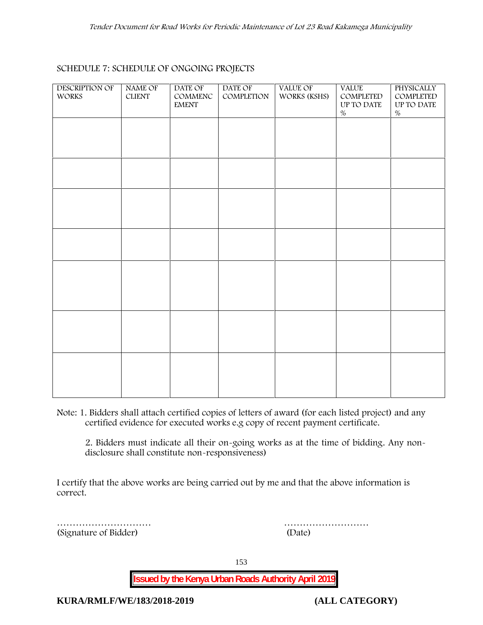#### **SCHEDULE 7: SCHEDULE OF ONGOING PROJECTS**

| <b>DESCRIPTION OF</b><br><b>WORKS</b> | <b>NAME OF</b><br><b>CLIENT</b> | DATE OF<br>COMMENC<br><b>EMENT</b> | DATE OF<br>COMPLETION | VALUE OF<br>WORKS (KSHS) | <b>VALUE</b><br>COMPLETED<br>UP TO DATE<br>$\%$ | PHYSICALLY<br>COMPLETED<br>UP TO DATE<br>$\%$ |  |
|---------------------------------------|---------------------------------|------------------------------------|-----------------------|--------------------------|-------------------------------------------------|-----------------------------------------------|--|
|                                       |                                 |                                    |                       |                          |                                                 |                                               |  |
|                                       |                                 |                                    |                       |                          |                                                 |                                               |  |
|                                       |                                 |                                    |                       |                          |                                                 |                                               |  |
|                                       |                                 |                                    |                       |                          |                                                 |                                               |  |
|                                       |                                 |                                    |                       |                          |                                                 |                                               |  |
|                                       |                                 |                                    |                       |                          |                                                 |                                               |  |
|                                       |                                 |                                    |                       |                          |                                                 |                                               |  |
|                                       |                                 |                                    |                       |                          |                                                 |                                               |  |

**Note:** 1. Bidders shall attach certified copies of letters of award (for each listed project) and any certified evidence for executed works e.g copy of recent payment certificate.

2. Bidders must indicate all their on-going works as at the time of bidding. Any non disclosure shall constitute non-responsiveness)

I certify that the above works are being carried out by me and that the above information is correct.

(Signature of Bidder) (Date)

………………………… ………………………

153

**Issued by the Kenya Urban Roads Authority April 2019**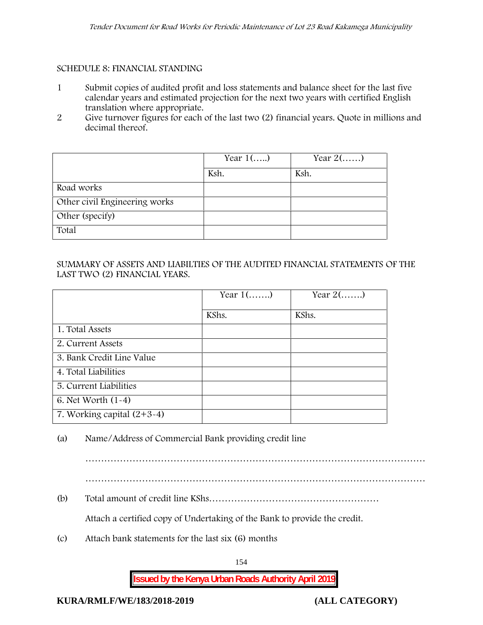### **SCHEDULE 8: FINANCIAL STANDING**

- 1 Submit copies of audited profit and loss statements and balance sheet for the last five calendar years and estimated projection for the next two years with certified English translation where appropriate.
- 2 Give turnover figures for each of the last two (2) financial years. Quote in millions and decimal thereof.

|                               | Year $1()$ | Year $2(\ldots)$ |
|-------------------------------|------------|------------------|
|                               | Ksh.       | Ksh.             |
| Road works                    |            |                  |
| Other civil Engineering works |            |                  |
| Other (specify)               |            |                  |
| Total                         |            |                  |

## SUMMARY OF ASSETS AND LIABILTIES OF THE AUDITED FINANCIAL STATEMENTS OF THE LAST TWO (2) FINANCIAL YEARS.

|                              | Year $1$ () | Year $2(\ldots)$ |
|------------------------------|-------------|------------------|
|                              | KShs.       | KShs.            |
| 1. Total Assets              |             |                  |
| 2. Current Assets            |             |                  |
| 3. Bank Credit Line Value    |             |                  |
| 4. Total Liabilities         |             |                  |
| 5. Current Liabilities       |             |                  |
| 6. Net Worth (1-4)           |             |                  |
| 7. Working capital $(2+3-4)$ |             |                  |

(a) Name/Address of Commercial Bank providing credit line

………………………………………………………………………………………………

(b) Total amount of credit line KShs………………………………………………

Attach a certified copy of Undertaking of the Bank to provide the credit.

(c) Attach bank statements for the last six (6) months

154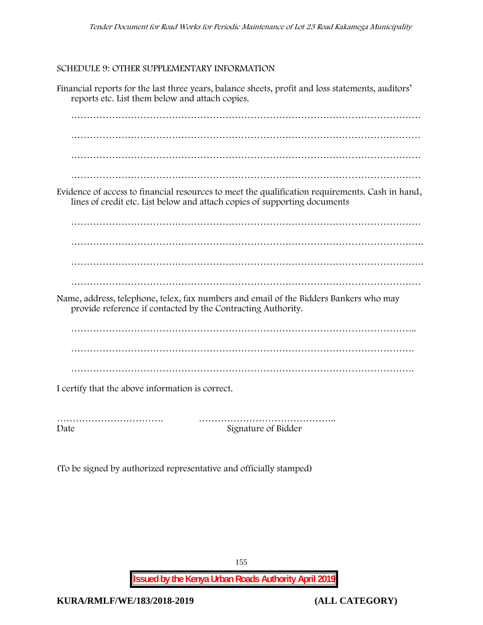#### **SCHEDULE 9: OTHER SUPPLEMENTARY INFORMATION**

Financial reports for the last three years, balance sheets, profit and loss statements, auditors' reports etc. List them below and attach copies. ………………………………………………………………………………………………… ………………………………………………………………………………………………… ………………………………………………………………………………………………… ………………………………………………………………………………………………… Evidence of access to financial resources to meet the qualification requirements. Cash in hand, lines of credit etc. List below and attach copies of supporting documents ………………………………………………………………………………………………… …………………………………………………………………………………………………. …………………………………………………………………………………………………. Name, address, telephone, telex, fax numbers and email of the Bidders Bankers who may provide reference if contacted by the Contracting Authority. ……………………………………………………………………………………………….. ………………………………………………………………………………………………. ………………………………………………………………………………………………. I certify that the above information is correct. ……………………………. ……………………………………..

Date Signature of Bidder

(To be signed by authorized representative and officially stamped)

155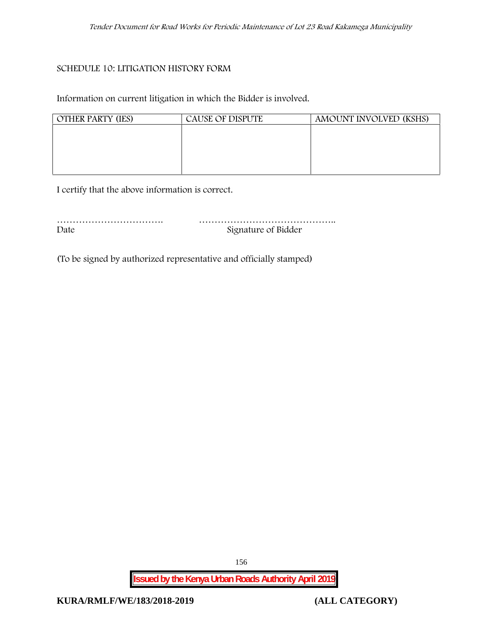#### **SCHEDULE 10: LITIGATION HISTORY FORM**

Information on current litigation in which the Bidder is involved.

| <b>OTHER PARTY (IES)</b> | CAUSE OF DISPUTE | AMOUNT INVOLVED (KSHS) |
|--------------------------|------------------|------------------------|
|                          |                  |                        |
|                          |                  |                        |
|                          |                  |                        |
|                          |                  |                        |

I certify that the above information is correct.

| Date | Signature of Bidder |
|------|---------------------|

(To be signed by authorized representative and officially stamped)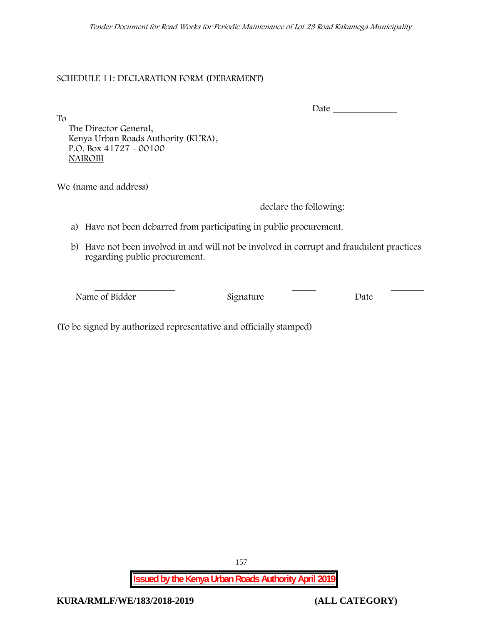## **SCHEDULE 11: DECLARATION FORM (DEBARMENT)**

To

Date

The Director General, Kenya Urban Roads Authority (KURA), P.O. Box 41727 - 00100 **NAIROBI**

We (name and address)

declare the following:

- a) Have not been debarred from participating in public procurement.
- b) Have not been involved in and will not be involved in corrupt and fraudulent practices regarding public procurement.

Name of Bidder Signature Date

 $\frac{1}{\sqrt{2}}$  ,  $\frac{1}{\sqrt{2}}$  ,  $\frac{1}{\sqrt{2}}$  ,  $\frac{1}{\sqrt{2}}$  ,  $\frac{1}{\sqrt{2}}$  ,  $\frac{1}{\sqrt{2}}$  ,  $\frac{1}{\sqrt{2}}$  ,  $\frac{1}{\sqrt{2}}$  ,  $\frac{1}{\sqrt{2}}$  ,  $\frac{1}{\sqrt{2}}$  ,  $\frac{1}{\sqrt{2}}$  ,  $\frac{1}{\sqrt{2}}$  ,  $\frac{1}{\sqrt{2}}$  ,  $\frac{1}{\sqrt{2}}$  ,  $\frac{1}{\sqrt{2}}$ 

(To be signed by authorized representative and officially stamped)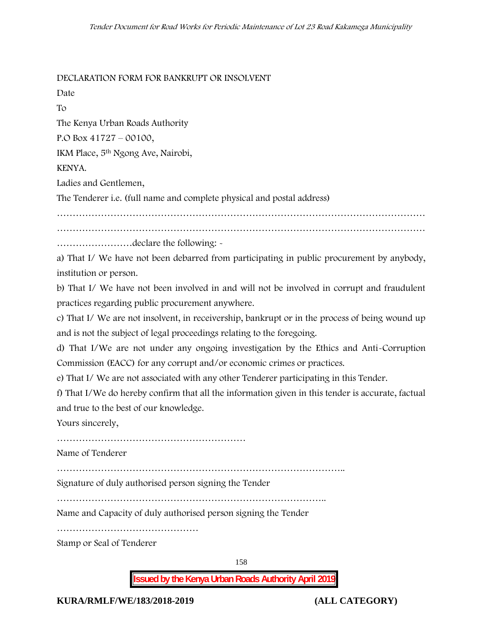**DECLARATION FORM FOR BANKRUPT OR INSOLVENT**

Date

To

The Kenya Urban Roads Authority

P.O Box 41727 – 00100,

IKM Place, 5th Ngong Ave, Nairobi,

## KENYA.

Ladies and Gentlemen,

The Tenderer i.e. (full name and complete physical and postal address)

……………………………………………………………………………………………………… ………………………………………………………………………………………………………

……………………declare the following: -

a) That I/ We have not been debarred from participating in public procurement by anybody, institution or person.

b) That I/ We have not been involved in and will not be involved in corrupt and fraudulent practices regarding public procurement anywhere.

c) That I/ We are not insolvent, in receivership, bankrupt or in the process of being wound up and is not the subject of legal proceedings relating to the foregoing.

d) That I/We are not under any ongoing investigation by the Ethics and Anti-Corruption Commission (EACC) for any corrupt and/or economic crimes or practices.

e) That I/ We are not associated with any other Tenderer participating in this Tender.

f) That I/We do hereby confirm that all the information given in this tender is accurate, factual and true to the best of our knowledge.

Yours sincerely,

……………………………………………………

Name of Tenderer

………………………………………………………………………………..

Signature of duly authorised person signing the Tender

…………………………………………………………………………..

Name and Capacity of duly authorised person signing the Tender

………………………………………

Stamp or Seal of Tenderer

158

**Issued by the Kenya Urban Roads Authority April 2019**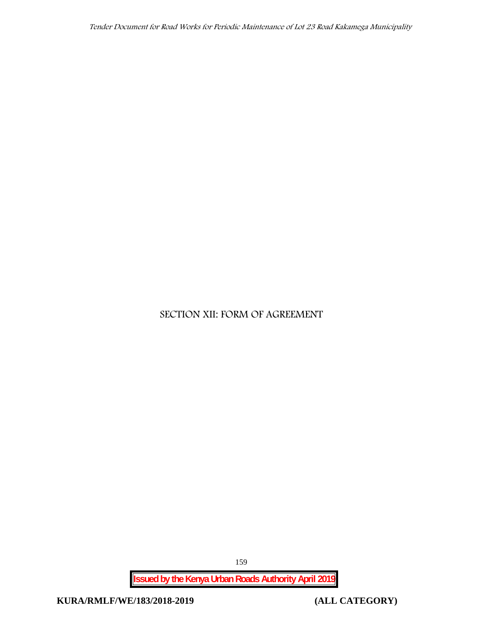# **SECTION XII: FORM OF AGREEMENT**

**Issued by the Kenya Urban Roads Authority April 2019**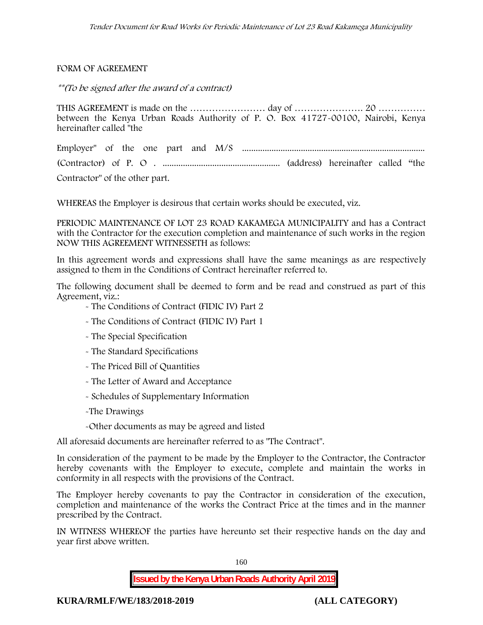#### FORM OF AGREEMENT

*\*\*(To be signed after the award of a contract)*

THIS AGREEMENT is made on the …………………… day of …………………. 20 …………… between the Kenya Urban Roads Authority of P. O. Box 41727-00100, Nairobi, Kenya hereinafter called "the

Employer" of the one part and M/S ................................................................................. (Contractor) of P. O . .................................................... (address) hereinafter called "the Contractor" of the other part.

WHEREAS the Employer is desirous that certain works should be executed, viz.

**PERIODIC MAINTENANCE OF LOT 23 ROAD KAKAMEGA MUNICIPALITY** and has a Contract with the Contractor for the execution completion and maintenance of such works in the region NOW THIS AGREEMENT WITNESSETH as follows:

In this agreement words and expressions shall have the same meanings as are respectively assigned to them in the Conditions of Contract hereinafter referred to.

The following document shall be deemed to form and be read and construed as part of this Agreement, viz.:

- The Conditions of Contract (FIDIC IV) Part 2
- The Conditions of Contract (FIDIC IV) Part 1
- The Special Specification
- The Standard Specifications
- The Priced Bill of Quantities
- The Letter of Award and Acceptance
- Schedules of Supplementary Information
- -The Drawings
- -Other documents as may be agreed and listed

All aforesaid documents are hereinafter referred to as "The Contract".

In consideration of the payment to be made by the Employer to the Contractor, the Contractor hereby covenants with the Employer to execute, complete and maintain the works in conformity in all respects with the provisions of the Contract.

The Employer hereby covenants to pay the Contractor in consideration of the execution, completion and maintenance of the works the Contract Price at the times and in the manner prescribed by the Contract.

IN WITNESS WHEREOF the parties have hereunto set their respective hands on the day and year first above written.

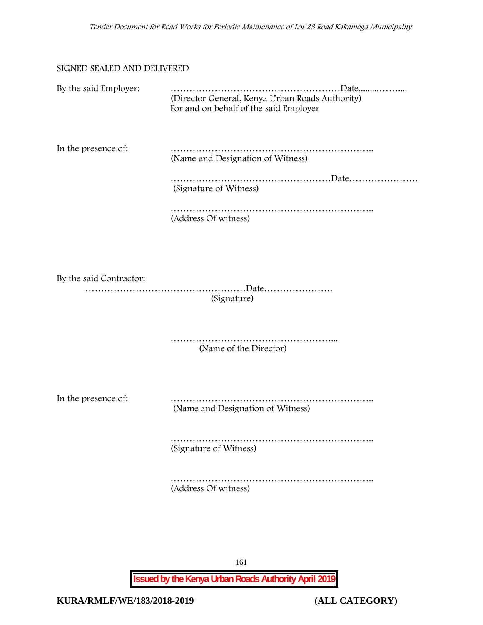#### SIGNED SEALED AND DELIVERED

| By the said Employer:   | (Director General, Kenya Urban Roads Authority)<br>For and on behalf of the said Employer |
|-------------------------|-------------------------------------------------------------------------------------------|
| In the presence of:     | (Name and Designation of Witness)                                                         |
|                         | (Signature of Witness)                                                                    |
|                         | (Address Of witness)                                                                      |
|                         |                                                                                           |
| By the said Contractor: | (Signature)                                                                               |
|                         | (Name of the Director)                                                                    |
| In the presence of:     | (Name and Designation of Witness)                                                         |
|                         | (Signature of Witness)                                                                    |
|                         | (Address Of witness)                                                                      |
|                         |                                                                                           |

161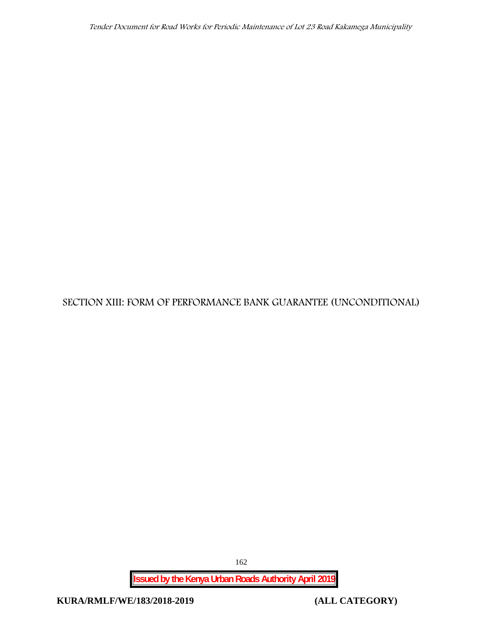# **SECTION XIII: FORM OF PERFORMANCE BANK GUARANTEE (UNCONDITIONAL)**

**Issued by the Kenya Urban Roads Authority April 2019**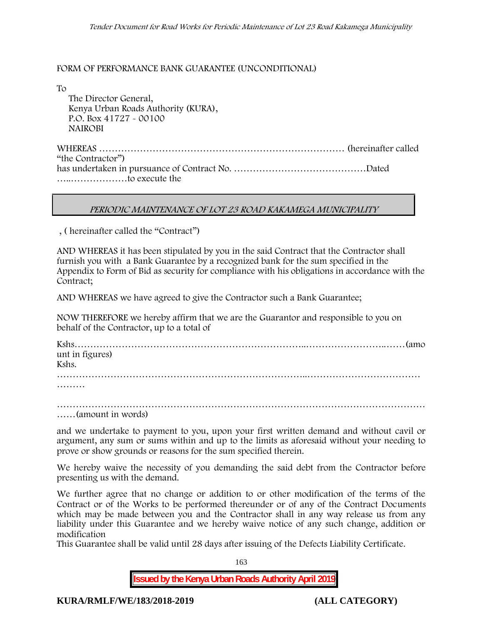#### FORM OF PERFORMANCE BANK GUARANTEE (UNCONDITIONAL)

To

The Director General, Kenya Urban Roads Authority (KURA), P.O. Box 41727 - 00100 **NAIROBI**

WHEREAS …………………………………………………………………… (hereinafter called "the Contractor") has undertaken in pursuance of Contract No. ……………………………………Dated …..………………to execute the

### *PERIODIC MAINTENANCE OF LOT 23 ROAD KAKAMEGA MUNICIPALITY*

, ( hereinafter called the "Contract")

AND WHEREAS it has been stipulated by you in the said Contract that the Contractor shall furnish you with a Bank Guarantee by a recognized bank for the sum specified in the Appendix to Form of Bid as security for compliance with his obligations in accordance with the Contract;

AND WHEREAS we have agreed to give the Contractor such a Bank Guarantee;

NOW THEREFORE we hereby affirm that we are the Guarantor and responsible to you on behalf of the Contractor, up to a total of

| unt in figures) |  |
|-----------------|--|
| Kshs.           |  |
|                 |  |

………

……………………………………………………………………………………………………… ……(amount in words)

and we undertake to payment to you, upon your first written demand and without cavil or argument, any sum or sums within and up to the limits as aforesaid without your needing to prove or show grounds or reasons for the sum specified therein.

We hereby waive the necessity of you demanding the said debt from the Contractor before presenting us with the demand.

We further agree that no change or addition to or other modification of the terms of the Contract or of the Works to be performed thereunder or of any of the Contract Documents which may be made between you and the Contractor shall in any way release us from any liability under this Guarantee and we hereby waive notice of any such change, addition or modification

This Guarantee shall be valid until 28 days after issuing of the Defects Liability Certificate.

163

**Issued by the Kenya Urban Roads Authority April 2019**